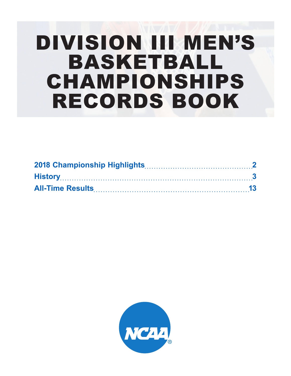# DIVISION III MEN'S BASKETBALL CHAMPIONSHIPS RECORDS BOOK

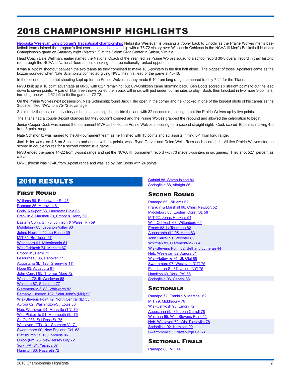## <span id="page-1-0"></span>2018 CHAMPIONSHIP HIGHLIGHTS

[Nebraska Wesleyan wins program's first national championship](https://www.ncaa.com/news/basketball-men/article/2018-03-17/nebraska-wesleyan-wins-78-72-thriller-over-uw-oshkosh)[:](http://www.ncaa.com/video/basketball-men/2017-03-18/diii-mens-basketball-augustana-babson-championship-recap-0) Nebraska Wesleyan is bringing a trophy back to Lincoln as the Prairie Wolves men's basketball team claimed the program's first ever national championship with a 78-72 victory over Wisconsin-Oshkosh in the NCAA III Men's Basketball National Championship game on Saturday night (March 17) at the Salem Civic Center in Salem, Virginia.

Head Coach Dale Wellman, earlier named the National Coach of the Year, led his Prairie Wolves squad to a school record 30-3 overall record in their historic run through the NCAA III National Tournament knocking off three nationally-ranked opponents.

It was a 3-point shootout between the two teams as they combined to make 18 3-pointers in the first half alone. The biggest of those 3-pointers came as the buzzer sounded when Nate Schimonitz connected giving NWU their first lead of the game at 45-43.

In the second half, the hot shooting kept up for the Prairie Wolves as they made 6-10 from long range compared to only 7-24 for the Titans.

NWU built up a 10 point advantage at 68-58 with 8:27 remaining, but UW-Oshkosh came storming back. Ben Boots scored six straight points to cut the lead down to seven points. A pair of Titan free throws pulled them back within six with just under four minutes to play. Boots then knocked in two more 3-pointers, including one with 2:52 left to tie the game at 72-72.

On the Prairie Wolves next possession, Nate Schimonitz found Jack Hiller open in the corner and he knocked in one of the biggest shots of his career as the 3-pointer lifted NWU to a 75-72 advantage.

Schimonitz then sealed the victory as he hit a spinning shot inside the lane with 32 seconds remaining to put the Prairie Wolves up by five points.

The Titans had a couple 3-point chances but they couldn't connect and the Prairie Wolves grabbed the rebound and allowed the celebration to begin.

Junior Cooper Cook was named the tournament MVP as he led the Prairie Wolves in scoring for a second straight night. Cook scored 16 points, making 4-6 from 3-point range.

Nate Schimonitz was named to the All-Tournament team as he finished with 15 points and six assists, hitting 3-4 from long range.

Jack Hiller was also 4-6 on 3-pointers and ended with 14 points, while Ryan Garver and Deion Wells-Ross each scored 11. All five Prairie Wolves starters scored in double figures for a second consecutive game.

NWU ended the game 14-22 from 3-point range and set the NCAA III Tournament record with 73 made 3-pointers in six games. They shot 52.1 percent as a team.

UW-Oshkosh was 17-40 from 3-point range and was led by Ben Boots with 24 points.

## 2018 RESULTS

## **FIRST ROUND**

[Williams 56, Bridgewater St. 45](https://stats.ncaa.org/contests/25747/box_score) [Ramapo 86, Moravian 61](https://stats.ncaa.org/contests/25773/box_score) [Chris. Newport 68, Lancaster Bible 65](https://stats.ncaa.org/contests/25748/box_score) [Franklin & Marshall 73, Emory & Henry 59](https://stats.ncaa.org/contests/25802/box_score) [Eastern Conn. St. 75, Johnson & Wales \(RI\) 59](https://stats.ncaa.org/contests/25749/box_score) [Middlebury 83, Lebanon Valley 63](https://stats.ncaa.org/contests/25825/box_score) [Johns Hopkins 52, La Roche 39](https://stats.ncaa.org/contests/25750/box_score) [MIT 81, Brockport 67](https://stats.ncaa.org/contests/25767/box_score) [Wittenberg 91, Misericordia 61](https://stats.ncaa.org/contests/25751/box_score) [Wis.-Oshkosh 74, Marietta 67](https://stats.ncaa.org/contests/25816/box_score) [Emory 91, Berry 72](https://stats.ncaa.org/contests/25752/box_score) [LeTourneau 85, Hanover 77](https://stats.ncaa.org/contests/25766/box_score) [Augustana \(IL\) 123, Greenville 111](https://stats.ncaa.org/contests/25753/box_score) [Hope 93, Augsburg 91](https://stats.ncaa.org/contests/25807/box_score) [John Carroll 95, Thomas More 72](https://stats.ncaa.org/contests/25754/box_score) [Wooster 72, Ill. Wesleyan 68](https://stats.ncaa.org/contests/25778/box_score) [Whitman 87, Schreiner 77](https://stats.ncaa.org/contests/25758/box_score) [Claremont-M-S 83, Whitworth 82](https://stats.ncaa.org/contests/25813/box_score) [Bethany Lutheran 102, Saint John's \(MN\) 92](https://stats.ncaa.org/contests/25759/box_score) [Wis.-Stevens Point 72, North Central \(IL\) 55](https://stats.ncaa.org/contests/25812/box_score) [Aurora 82, Washington-St. Louis 80](https://stats.ncaa.org/contests/25760/box_score) [Neb. Wesleyan 94, Maryville \(TN\) 70](https://stats.ncaa.org/contests/25817/box_score) [Wis.-Platteville 91, Monmouth \(IL\) 76](https://stats.ncaa.org/contests/25761/box_score) [St. Olaf 88, Sul Ross St. 75](https://stats.ncaa.org/contests/25830/box_score) [Wesleyan \(CT\) 101, Southern Vt. 71](https://stats.ncaa.org/contests/25755/box_score) [Swarthmore 90, New England Col. 63](https://stats.ncaa.org/contests/25829/box_score) [Plattsburgh St. 103, Nichols 86](https://stats.ncaa.org/contests/25756/box_score) [Union \(NY\) 76, New Jersey City 72](https://stats.ncaa.org/contests/25805/box_score) [York \(PA\) 81, Yeshiva 67](https://stats.ncaa.org/contests/25826/box_score) [Hamilton 86, Nazareth 72](https://stats.ncaa.org/contests/25831/box_score)

[Cabrini 88, Staten Island 86](https://stats.ncaa.org/contests/25757/box_score) [Springfield 88, Albright 86](https://stats.ncaa.org/contests/25800/box_score)

## **SECOND ROUND**

[Ramapo 66, Williams 62](https://stats.ncaa.org/contests/25924/box_score) [Franklin & Marshall 66, Chris. Newport 52](https://stats.ncaa.org/contests/25925/box_score) [Middlebury 83, Eastern Conn. St. 58](https://stats.ncaa.org/contests/25927/box_score) [MIT 62, Johns Hopkins 54](https://stats.ncaa.org/contests/25928/box_score) [Wis.-Oshkosh 68, Wittenberg 60](https://stats.ncaa.org/contests/25930/box_score) [Emory 83, LeTourneau 82](https://stats.ncaa.org/contests/25931/box_score) [Augustanta \(IL\) 95, Hope 83](https://stats.ncaa.org/contests/25934/box_score) [John Carroll 91, Wooster 85](https://stats.ncaa.org/contests/25935/box_score) [Whitman 89, Claremont-M-S 84](https://stats.ncaa.org/contests/25926/box_score) [Wis.-Stevens Point 82, Bethany Lutheran 44](https://stats.ncaa.org/contests/25974/box_score) [Neb. Wesleyan 82, Aurora 61](https://stats.ncaa.org/contests/25976/box_score) [Wis.-Platteville 74, St. Olaf 68](https://stats.ncaa.org/contests/25929/box_score) [Swarthmore 97, Wesleyan \(CT\) 75](https://stats.ncaa.org/contests/25932/box_score) [Plattsburgh St. 87, Union \(NY\) 75](https://stats.ncaa.org/contests/25933/box_score) [Hamilton 69, York \(PA\) 66](https://stats.ncaa.org/contests/25936/box_score) [Springfield 96, Cabrini 88](https://stats.ncaa.org/contests/25937/box_score)

## **SECTIONALS**

[Ramapo 72, Franklin & Marshall 62](https://stats.ncaa.org/contests/26168/box_score) [MIT 79, Middlebury 76](https://stats.ncaa.org/contests/26203/box_score) [Wis.-Oshkosh 93, Emory 72](https://stats.ncaa.org/contests/26211/box_score) [Augustana \(IL\) 86, John Carroll 78](https://stats.ncaa.org/contests/26169/box_score) [Whitman 65, Wis.-Stevens Point 55](https://stats.ncaa.org/contests/26181/box_score) [Neb. Wesleyan 79, Wis.-Platteville 78](https://stats.ncaa.org/contests/26170/box_score) [Springfield 92, Hamilton 90](https://stats.ncaa.org/contests/26216/box_score) [Swarthmore 93, Plattsburgh St. 63](https://stats.ncaa.org/contests/26171/box_score)

## Sectional Finals

[Ramapo 68, MIT 66](https://stats.ncaa.org/contests/26279/box_score)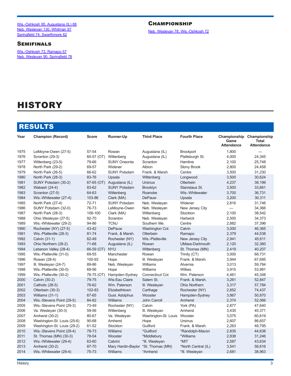<span id="page-2-0"></span>[Wis.-Oshkosh 95, Augustana \(IL\) 88](https://stats.ncaa.org/contests/26280/box_score) [Neb. Wesleyan 130, Whitman 97](https://stats.ncaa.org/contests/26282/box_score) [Springfield 74, Swarthmore 62](https://stats.ncaa.org/contests/26278/box_score)

## **SEMIFINALS**

[Wis.-Oshkosh 73, Ramapo 57](https://stats.ncaa.org/contests/26376/box_score) [Neb. Wesleyan 90, Springfield 78](https://stats.ncaa.org/contests/26377/box_score)

## **CHAMPIONSHIP**

[Neb. Wesleyan 78, Wis.-Oshkosh 72](https://stats.ncaa.org/contests/26392/box_score)

## **HISTORY**

## RESULTS

| Year | <b>Champion (Record)</b>    | Score      | <b>Runner-Up</b>      | <b>Third Place</b>   | <b>Fourth Place</b>    | Championship Championship<br>Game<br><b>Attendance</b> | <b>Total</b><br><b>Attendance</b> |
|------|-----------------------------|------------|-----------------------|----------------------|------------------------|--------------------------------------------------------|-----------------------------------|
| 1975 | LeMoyne-Owen (27-5)         | 57-54      | Rowan                 | Augustana (IL)       | <b>Brockport</b>       | 1,800                                                  |                                   |
| 1976 | Scranton (29-3)             | 60-57 (OT) | Wittenberg            | Augustana (IL)       | Plattsburgh St.        | 4,000                                                  | 24,345                            |
| 1977 | Wittenberg (23-5)           | 79-66      | <b>SUNY Oneonta</b>   | Scranton             | Hamline                | 2,100                                                  | 25,748                            |
| 1978 | North Park (29-2)           | 69-57      | Widener               | Albion               | <b>Stony Brook</b>     | 2,800                                                  | 24,458                            |
| 1979 | North Park (26-5)           | 66-62      | <b>SUNY Potsdam</b>   | Frank. & Marsh.      | Centre                 | 3,500                                                  | 31,230                            |
| 1980 | North Park (28-3)           | 83-76      | Upsala                | Wittenberg           | Longwood               | 3,500                                                  | 30,624                            |
| 1981 | SUNY Potsdam (30-2)         | 67-65 (OT) | Augustana (IL)        | <b>Ursinus</b>       | Otterbein              | 4,237                                                  | 38,199                            |
| 1982 | Wabash (24-4)               | 83-62      | <b>SUNY Potsdam</b>   | <b>Brooklyn</b>      | Stanislaus St.         | 3,500                                                  | 33,661                            |
| 1983 | Scranton (27-5)             | 64-63      | Wittenberg            | Roanoke              | Wis.-Whitewater        | 3,700                                                  | 36,731                            |
| 1984 | Wis.-Whitewater (27-4)      | 103-86     | Clark (MA)            | <b>DePauw</b>        | Upsala                 | 3,200                                                  | 30,311                            |
| 1985 | North Park (27-4)           | 72-71      | <b>SUNY Potsdam</b>   | Neb. Wesleyan        | Widener                | 2,816                                                  | 31,746                            |
| 1986 | SUNY Potsdam (32-0)         | 76-73      | LeMoyne-Owen          | Neb. Wesleyan        | New Jersey City        | $\overbrace{\phantom{12322111}}$                       | 34,366                            |
| 1987 | North Park (28-3)           | 106-100    | Clark (MA)            | Wittenberg           | Stockton               | 2,100                                                  | 38,542                            |
| 1988 | Ohio Wesleyan (27-5)        | 92-70      | Scranton              | Neb. Wesleyan        | Hartwick               | 2,500                                                  | 34,373                            |
| 1989 | Wis.-Whitewater (29-2)      | 94-86      | <b>TCNJ</b>           | Southern Me.         | Centre                 | 2,882                                                  | 37,396                            |
| 1990 | Rochester (NY) (27-5)       | 43-42      | <b>DePauw</b>         | Washington Col.      | Calvin                 | 3,000                                                  | 46,365                            |
| 1991 | Wis.-Platteville (28-3)     | 81-74      | Frank. & Marsh.       | Otterbein            | Ramapo                 | 2,379                                                  | 44,538                            |
| 1992 | Calvin (31-1)               | 62-49      | Rochester (NY)        | Wis.-Platteville     | New Jersey City        | 2,941                                                  | 45,611                            |
| 1993 | Ohio Northern (28-2)        | 71-68      | Augustana (IL)        | Rowan                | <b>UMass-Dartmouth</b> | 2,120                                                  | 32,360                            |
| 1994 | Lebanon Valley (28-4)       | 66-59 (OT) | <b>NYU</b>            | Wittenberg           | St. Thomas (MN)        | 2,419                                                  | 40,207                            |
| 1995 | Wis.-Platteville (31-0)     | 69-55      | Manchester            | Rowan                | Trinity (CT)           | 3,000                                                  | 68,731                            |
| 1996 | Rowan (28-4)                | 100-93     | Hope                  | III. Wesleyan        | Frank. & Marsh.        | 3,944                                                  | 67,695                            |
| 1997 | III. Wesleyan (24-7)        | 89-86      | Neb. Wesleyan         | Williams             | Alvernia               | 3,013                                                  | 59,784                            |
| 1998 | Wis.-Platteville (30-0)     | 69-56      | Hope                  | Williams             | Wilkes                 | 3,915                                                  | 53,981                            |
| 1999 | Wis.-Platteville (30-2)     | 76-75 (OT) | Hampden-Sydney        | Connecticut Col.     | Wm. Paterson           | 4,461                                                  | 45,348                            |
| 2000 | Calvin (30-2)               | 79-75      | <b>Wis-Eau Claire</b> | Salem St.            | Frank. & Marsh.        | 3,261                                                  | 52,847                            |
| 2001 | Catholic (28-5)             | 76-62      | Wm. Paterson          | III. Wesleyan        | <b>Ohio Northern</b>   | 3,317                                                  | 57,784                            |
| 2002 | Otterbein (30-3)            | 102-83     | Elizabethtown         | Carthage             | Rochester (NY)         | 2,852                                                  | 74,437                            |
| 2003 | Williams (31-1)             | 67-65      | Gust. Adolphus        | Wooster              | Hampden-Sydney         | 3,867                                                  | 50,870                            |
| 2004 | Wis.-Stevens Point (29-5)   | 84-82      | Williams              | John Carroll         | Amherst                | 2,374                                                  | 52,066                            |
| 2005 | Wis.-Stevens Point (29-3)   | 73-49      | Rochester (NY)        | Calvin               | York (PA)              | 2,877                                                  | 47,640                            |
| 2006 | Va. Wesleyan (30-3)         | 59-56      | Wittenberg            | III. Wesleyan        | Amherst                | 3,435                                                  | 45,371                            |
| 2007 | Amherst (30-2)              | 80-67      | Va. Wesleyan          | Washington-St. Louis | Wooster                | 3,075                                                  | 60,619                            |
| 2008 | Washington-St. Louis (25-6) | 90-68      | Amherst               | Hope                 | <b>Ursinus</b>         | 2,607                                                  | 86,657                            |
| 2009 | Washington-St. Louis (29-2) | 61-52      | Stockton              | Guilford             | Frank. & Marsh.        | 2,263                                                  | 48,795                            |
| 2010 | Wis.-Stevens Point (29-4)   | 78-73      | <b>Williams</b>       | *Guilford            | *Randolph-Macon        | 2,835                                                  | 44,638                            |
| 2011 | St. Thomas (MN) (30-3)      | 78-54      | Wooster               | *Middlebury          | *Williams              | 2,838                                                  | 31,246                            |
| 2012 | Wis.-Whitewater (29-4)      | 63-60      | Cabrini               | *III. Wesleyan       | *MIT                   | 2,587                                                  | 43,634                            |
| 2013 | Amherst (30-2)              | 87-70      | Mary Hardin-Baylor    | *St. Thomas (MN)     | *North Central (IL)    | 3,541                                                  | 56,616                            |
| 2014 | Wis.-Whitewater (29-4)      | 75-73      | Williams              | *Amherst             | *III. Wesleyan         | 2,681                                                  | 38,963                            |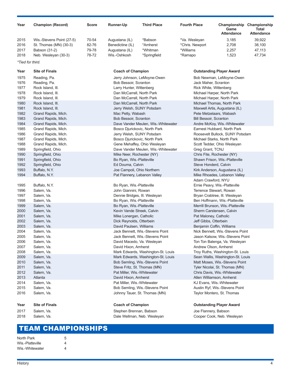| Year                                             | <b>Champion (Record)</b>                                                                                      | <b>Score</b>                     | Runner-Up                                                                                                                                  | <b>Third Place</b>                                                                                         | <b>Fourth Place</b>                                      | Championship Championship<br>Game<br><b>Attendance</b>                                                                                                             | Total<br><b>Attendance</b>           |
|--------------------------------------------------|---------------------------------------------------------------------------------------------------------------|----------------------------------|--------------------------------------------------------------------------------------------------------------------------------------------|------------------------------------------------------------------------------------------------------------|----------------------------------------------------------|--------------------------------------------------------------------------------------------------------------------------------------------------------------------|--------------------------------------|
| 2015<br>2016<br>2017<br>2018<br>*Tied for third. | Wis.-Stevens Point (27-5)<br>St. Thomas (MN) (30-3)<br>Babson (31-2)<br>Neb. Wesleyan (30-3)                  | 70-54<br>82-76<br>79-78<br>78-72 | Augustana (IL)<br>Benedictine (IL)<br>Augustana (IL)<br>Wis.-Oshkosh                                                                       | *Babson<br>*Amherst<br>*Whitman<br>*Springfield                                                            | *Va. Wesleyan<br>*Chris. Newport<br>*Williams<br>*Ramapo | 3,185<br>2,708<br>2,257<br>1,523                                                                                                                                   | 39,922<br>38,100<br>47,113<br>47,734 |
|                                                  |                                                                                                               |                                  |                                                                                                                                            |                                                                                                            |                                                          |                                                                                                                                                                    |                                      |
| Year                                             | <b>Site of Finals</b>                                                                                         |                                  | <b>Coach of Champion</b>                                                                                                                   |                                                                                                            |                                                          | <b>Outstanding Player Award</b>                                                                                                                                    |                                      |
| 1975<br>1976<br>1977<br>1978<br>1979             | Reading, Pa.<br>Reading, Pa.<br>Rock Island, III.<br>Rock Island, III.<br>Rock Island, III.                   |                                  | Jerry Johnson, LeMoyne-Owen<br>Bob Bessoir, Scranton<br>Larry Hunter, Wittenberg<br>Dan McCarrell, North Park<br>Dan McCarrell, North Park |                                                                                                            | Jack Maher, Scranton<br>Rick White, Wittenberg           | Bob Newman, LeMoyne-Owen<br>Michael Harper, North Park<br>Michael Harper, North Park                                                                               |                                      |
| 1980<br>1981<br>1982<br>1983<br>1984             | Rock Island, III.<br>Rock Island, III.<br>Grand Rapids, Mich.<br>Grand Rapids, Mich.<br>Grand Rapids, Mich.   |                                  | Dan McCarrell, North Park<br>Jerry Welsh, SUNY Potsdam<br>Mac Petty, Wabash<br>Bob Bessoir, Scranton                                       | Dave Vander Meulen, Wis.-Whitewater                                                                        | <b>Bill Bessoir, Scranton</b>                            | Michael Thomas, North Park<br>Maxwell Artis, Augustana (IL)<br>Pete Metzelaars, Wabash<br>Andre McKoy, Wis.-Whitewater                                             |                                      |
| 1985<br>1986<br>1987<br>1988<br>1989             | Grand Rapids, Mich.<br>Grand Rapids, Mich.<br>Grand Rapids, Mich.<br>Grand Rapids, Mich.<br>Springfield, Ohio |                                  | Bosco Djurickovic, North Park<br>Jerry Welsh, SUNY Potsdam<br>Bosco Djurickovic, North Park                                                | Gene Mehaffey, Ohio Wesleyan<br>Dave Vander Meulen, Wis.-Whitewater                                        | Greg Grant, TCNJ                                         | Earnest Hubbard, North Park<br>Roosevelt Bullock, SUNY Potsdam<br>Michael Starks, North Park<br>Scott Tedder, Ohio Wesleyan                                        |                                      |
| 1990<br>1991<br>1992<br>1993<br>1994             | Springfield, Ohio<br>Springfield, Ohio<br>Springfield, Ohio<br>Buffalo, N.Y.<br>Buffalo, N.Y.                 |                                  | Mike Neer, Rochester (NY)<br>Bo Ryan, Wis.-Platteville<br>Ed Douma, Calvin<br>Joe Campoli, Ohio Northern<br>Pat Flannery, Lebanon Valley   |                                                                                                            | Steve Honderd, Calvin                                    | Chris Fite, Rochester (NY)<br>Shawn Frison, Wis.-Platteville<br>Kirk Anderson, Augustana (IL)<br>Mike Rhoades, Lebanon Valley                                      |                                      |
| 1995<br>1996<br>1997<br>1998                     | Buffalo, N.Y.<br>Salem, Va.<br>Salem, Va.<br>Salem, Va.                                                       |                                  | Bo Ryan, Wis.-Platteville<br>John Giannini, Rowan<br>Dennie Bridges, III. Wesleyan<br>Bo Ryan, Wis.-Platteville                            |                                                                                                            | Adam Crawford, NYU                                       | Ernie Peavy, Wis.-Platteville<br>Terrence Stewart, Rowan<br>Bryan Crabtree, III. Wesleyan<br>Ben Hoffmann, Wis.-Platteville                                        |                                      |
| 1999<br>2000<br>2001<br>2002<br>2003             | Salem, Va.<br>Salem, Va.<br>Salem, Va.<br>Salem, Va.<br>Salem, Va.                                            |                                  | Bo Ryan, Wis.-Platteville<br>Kevin Vande Streek, Calvin<br>Mike Lonergan, Catholic<br>Dick Reynolds, Otterbein<br>David Paulsen, Williams  |                                                                                                            | Pat Maloney, Catholic<br>Jeff Gibbs, Otterbein           | Merrill Brunson, Wis.-Platteville<br>Sherm Carstensen, Calvin<br>Benjamin Coffin, Williams                                                                         |                                      |
| 2004<br>2005<br>2006<br>2007<br>2008             | Salem, Va.<br>Salem, Va.<br>Salem, Va.<br>Salem, Va.<br>Salem, Va.                                            |                                  | David Macedo, Va. Wesleyan<br>David Hixon, Amherst                                                                                         | Jack Bennett, Wis.-Stevens Point<br>Jack Bennett, Wis.-Stevens Point<br>Mark Edwards, Washington-St. Louis | Andrew Olson, Amherst                                    | Nick Bennett, Wis.-Stevens Point<br>Jason Kalsow, Wis.-Stevens Point<br>Ton Ton Balenga, Va. Wesleyan<br>Troy Ruths, Washington-St. Louis                          |                                      |
| 2009<br>2010<br>2011<br>2012<br>2013             | Salem, Va.<br>Salem, Va.<br>Salem, Va.<br>Salem, Va.<br>Atlanta                                               |                                  | Steve Fritz, St. Thomas (MN)<br>Pat Miller, Wis.-Whitewater<br>David Hixon, Amherst                                                        | Mark Edwards, Washington-St. Louis<br>Bob Semling, Wis.-Stevens Point                                      |                                                          | Sean Wallis, Washington-St. Louis<br>Matt Moses, Wis.-Stevens Point<br>Tyler Nicolai, St. Thomas (MN)<br>Chris Davis, Wis.-Whitewater<br>Allen Williamson, Amherst |                                      |
| 2014<br>2015<br>2016                             | Salem, Va.<br>Salem, Va.<br>Salem, Va.                                                                        |                                  | Pat Miller, Wis.-Whitewater                                                                                                                | Bob Semling, Wis.-Stevens Point<br>Johnny Tauer, St. Thomas (MN)                                           |                                                          | KJ Evans, Wis.-Whitewater<br>Austin Ryf, Wis.-Stevens Point<br>Taylor Montero, St. Thomas                                                                          |                                      |
| Year                                             | <b>Site of Finals</b>                                                                                         |                                  | <b>Coach of Champion</b>                                                                                                                   |                                                                                                            |                                                          | <b>Outstanding Player Award</b>                                                                                                                                    |                                      |
| 2017<br>2018                                     | Salem, Va.<br>Salem, Va.                                                                                      |                                  | Stephen Brennan, Babson<br>Dale Wellman, Neb. Wesleyan                                                                                     |                                                                                                            | Joe Flannery, Babson                                     | Cooper Cook, Neb. Wesleyan                                                                                                                                         |                                      |

## TEAM CHAMPIONSHIPS

| North Park       | 5 |
|------------------|---|
| Wis.-Platteville | 4 |
| Wis.-Whitewater  | 4 |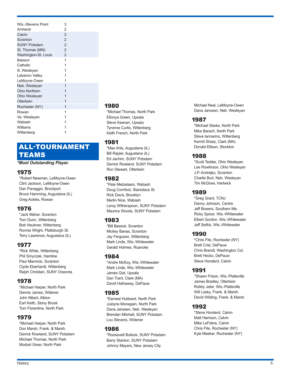| Wis-Stevens Point    | 3              |
|----------------------|----------------|
| Amherst              | $\overline{2}$ |
| Calvin               | $\overline{2}$ |
| Scranton             | $\overline{2}$ |
| <b>SUNY Potsdam</b>  | $\mathfrak{p}$ |
| St. Thomas (MN)      | $\overline{2}$ |
| Washington-St. Louis | $\overline{2}$ |
| Babson               | 1              |
| Catholic             | 1              |
| III. Wesleyan        | 1              |
| Lebanon Valley       | 1              |
| LeMoyne-Owen         | 1              |
| Neb. Wesleyan        | 1              |
| <b>Ohio Northern</b> | 1              |
| Ohio Wesleyan        | 1              |
| Otterbein            | 1              |
| Rochester (NY)       | 1              |
| Rowan                | 1              |
| Va. Wesleyan         | 1              |
| Wabash               | 1              |
| Williams             | 1              |
| Wittenberg           |                |
|                      |                |

## ALL -TOURNAMENT TEAMS

#### *\*Most Outstanding Player.*

## 1975

\*Robert Newman, LeMoyne-Owen Clint Jackson, LeMoyne-Owen Dan Panaggio, Brockport Bruce Hamming, Augustana (IL) Greg Ackles, Rowan

## 1976

\*Jack Maher, Scranton Tom Dunn, Wittenberg Bob Heubner, Wittenberg Ronnie Wright, Plattsburgh St. Terry Lawrence, Augustana (IL)

## 1977

\*Rick White, Wittenberg Phil Smyczek, Hamline Paul Miernicki, Scranton Clyde Eberhardt, Wittenberg Ralph Christian, SUNY Oneonta

## 1978

\*Michael Harper, North Park Dennis James, Widener John Nibert, Albion Earl Keith, Stony Brook Tom Florentine, North Park

## 1979

\*Michael Harper, North Park Don Marsh, Frank. & Marsh. Derrick Rowland, SUNY Potsdam Michael Thomas, North Park Modzel Greer, North Park

## 1980

\*Michael Thomas, North Park Ellonya Green, Upsala Steve Keenan, Upsala Tyronne Curtis, Wittenberg Keith French, North Park

## 1981

\*Max Artis, Augustana (IL) Bill Rapier, Augustana (IL) Ed Jachim, SUNY Potsdam Derrick Rowland, SUNY Potsdam Ron Stewart, Otterbein

## 1982

\*Pete Metzelaars, Wabash Doug Cornfoot, Stanislaus St. Rick Davis, Brooklyn Merlin Nice, Wabash Leroy Witherspoon, SUNY Potsdam Maurice Woods, SUNY Potsdam

## 1983

\*Bill Bessoir, Scranton Mickey Banas, Scranton Jay Ferguson, Wittenberg Mark Linde, Wis.-Whitewater Gerald Holmes, Roanoke

## 1984

\*Andre McKoy, Wis.-Whitewater Mark Linde, Wis.-Whitewater James Gist, Upsala Dan Trant, Clark (MA) David Hathaway, DePauw

## 1985

\*Earnest Hubbard, North Park Justyne Monegain, North Park Dana Janssen, Neb. Wesleyan Brendan Mitchell, SUNY Potsdam Lou Stevens, Widener

## 1986

\*Roosevelt Bullock, SUNY Potsdam Barry Stanton, SUNY Potsdam Johnny Mayers, New Jersey City

Michael Neal, LeMoyne-Owen Dana Janssen, Neb. Wesleyan

## 1987

\*Michael Starks, North Park Mike Barach, North Park Steve Iannarino, Wittenberg Kermit Sharp, Clark (MA) Donald Ellison, Stockton

## 1988

\*Scott Tedder, Ohio Wesleyan Lee Rowlinson, Ohio Wesleyan J.P. Andrejko, Scranton Charlie Burt, Neb. Wesleyan Tim McGraw, Hartwick

## 1989

\*Greg Grant, TCNJ Danny Johnson, Centre Jeff Bowers, Southern Me. Ricky Spicer, Wis.-Whitewater Elbert Gordon, Wis.-Whitewater Jeff Seifriz, Wis.-Whitewater

## 1990

\*Chris Fite, Rochester (NY) Brett Crist, DePauw Chris Brandt, Washington Col. Brett Hecko, DePauw Steve Honderd, Calvin

## 1991

\*Shawn Frison, Wis.-Platteville James Bradley, Otterbein Robby Jeter, Wis.-Platteville Will Lasky, Frank. & Marsh. David Wilding, Frank. & Marsh.

## 1992

\*Steve Honderd, Calvin Matt Harrison, Calvin Mike LeFebre, Calvin Chris Fite, Rochester (NY) Kyle Meeker, Rochester (NY)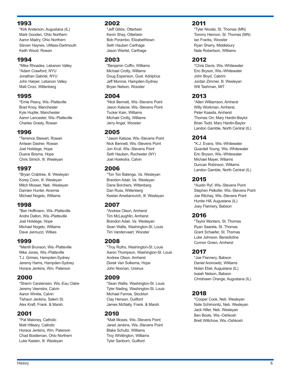## 1993

\*Kirk Anderson, Augustana (IL) Mark Gooden, Ohio Northern Aaron Madry, Ohio Northern Steven Haynes, UMass-Dartmouth Keith Wood, Rowan

## 1994

\*Mike Rhoades, Lebanon Valley \*Adam Crawford, NYU Jonathan Gabriel, NYU John Harper, Lebanon Valley Matt Croci, Wittenberg

## 1995

\*Ernie Peavy, Wis.-Platteville Brad Knoy, Manchester Kyle Hupfer, Manchester Aaron Lancaster, Wis.-Platteville Charles Grasty, Rowan

## 1996

\*Terrence Stewart, Rowan Antwan Dasher, Rowan Joel Holstege, Hope Duane Bosma, Hope Chris Simich, Ill. Wesleyan

## 1997

\*Bryan Crabtree, Ill. Wesleyan Korey Coon, Ill. Wesleyan Mitch Mosser, Neb. Wesleyan Damien Hunter, Alvernia Michael Nogelo, Williams

## 1998

\*Ben Hoffmann, Wis.-Platteville Andre Dalton, Wis.-Platteville Joel Holstege, Hope Michael Nogelo, Williams Dave Jannuzzi, Wilkes

## 1999

\*Merrill Brunson, Wis.-Platteville Mike Jones, Wis.-Platteville T.J. Grimes, Hampden-Sydney Jeremy Harris, Hampden-Sydney Horace Jenkins, Wm. Paterson

## 2000

\*Sherm Carstensen, Wis.-Eau Claire Jeremy Veenstra, Calvin Aaron Winkle, Calvin Tishaun Jenkins, Salem St. Alex Kraft, Frank. & Marsh.

## 2001

\*Pat Maloney, Catholic Matt Hilleary, Catholic Horace Jenkins, Wm. Paterson Chad Bostleman, Ohio Northern Luke Kasten, Ill. Wesleyan

## 2002

\*Jeff Gibbs, Otterbein Kevin Shay, Otterbein Bob Porambo, Elizabethtown Seth Hauben Carthage Jason Wiertel, Carthage

## 2003

\*Benjamin Coffin, Williams Michael Crotty, Williams Doug Espenson, Gust. Adolphus Jeff Monroe, Hampden-Sydney Bryan Nelson, Wooster

## 2004

\*Nick Bennett, Wis.-Stevens Point Jason Kalsow, Wis.-Stevens Point Tucker Kain, Williams Michael Crotty, Williams Jerry Angel, Wooster

## 2005

\*Jason Kalsow, Wis.-Stevens Point Nick Bennett, Wis.-Stevens Point Jon Krull, Wis.-Stevens Point Seth Hauben, Rochester (NY) Joel Hoekstra, Calvin

## 2006

\*Ton Ton Balenga, Va. Wesleyan Brandon Adair, Va. Wesleyan Dane Borchers, Wittenberg Dan Russ, Wittenberg Keelan Amelianovich, Ill. Wesleyan

## 2007

\*Andrew Olson, Amherst Tim McLaughlin, Amherst Brandon Adair, Va. Wesleyan Sean Wallis, Washington-St. Louis Tim Vandervaart, Wooster

## 2008

\*Troy Ruths, Washington-St. Louis Aaron Thompson, Washington-St. Louis Andrew Olson, Amherst Derek Van Solkema, Hope John Noonan, Ursinus

## 2009

\*Sean Wallis, Washington-St. Louis Tyler Nading, Washington-St. Louis Michael Farrow, Stockton Clay Henson, Guilford James McNally, Frank. & Marsh.

## 2010

\*Matt Moses, Wis.-Stevens Point Jared Jenkins, Wis.-Stevens Point Blake Schultz, Williams Troy Whittington, Williams Tyler Sanborn, Guilford

## 2011

\*Tyler Nicolai, St. Thomas (MN) Tommy Hannon, St. Thomas (MN) Ian Franks, Wooster Ryan Sharry, Middlebury Nate Robertson, Williams

## 2012

\*Chris Davis, Wis.-Whitewater Eric Bryson, Wis.-Whitewater John Boyd, Cabrini Jordan Zimmer, Ill. Wesleyan Will Tashman, MIT

## 2013

\*Allen Williamson, Amherst Willy Workman, Amherst, Peter Kaasila, Amherst Thomas Orr, Mary Hardin-Baylor Brian Todd, Mary Hardin-Baylor Landon Gamble, North Central (IL)

## 2014

\*K.J. Evans, Wis.-Whitewater Quardell Young, Wis.-Whitewater Eric Bryson, Wis.-Whitewater Michael Mayer, Wiliams Duncan Robinson, Williams Landon Gamble, North Central (IL)

## 2015

\*Austin Ryf, Wis.-Stevens Point Stephen Pelkofer, Wis.-Stevens Point Joe Ritchay, Wis.-Stevens Point Hunter Hill, Augustana (IL) Joey Flannery, Babson

## 2016

\*Taylor Montero, St. Thomas Ryan Saarela, St. Thomas Grant Schaefer, St. Thomas Luke Johnson, Benedictine Connor Green, Amherst

## 2017

\*Joe Flannery, Babson Daniel Aronowitz, Williams Nolan Ebel, Augustana (IL) Isaiah Nelson, Babson Chrishawn Orange, Augustana (IL)

## 2018

\*Cooper Cook, Neb. Wesleyan Nate Schimonitz, Neb. Wesleyan Jack Hiller, Neb. Wesleyan Ben Boots, Wis.-Oshkosh Brett Wittchow, Wis.-Oshkosh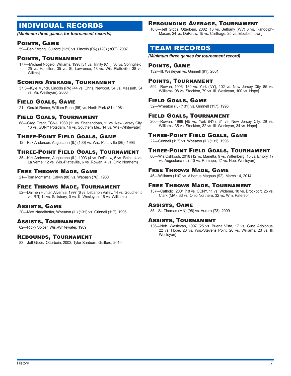## INDIVIDUAL RECORDS

*(Minimum three games for tournament records)*

## Points, Game

59—Ben Strong, Guilford (129) vs. Lincoln (PA) (128) (3OT), 2007

## Points, Tournament

177—Michael Nogelo, Williams, 1998 [31 vs. Trinity (CT), 30 vs. Springfield, 25 vs. Hamilton, 35 vs. St. Lawrence, 18 vs. Wis.-Platteville, 38 vs. Wilkes]

## Scoring Average, Tournament

37.3—Kyle Myrick, Lincoln (PA) (44 vs. Chris. Newport, 34 vs. Messiah, 34 vs. Va. Wesleyan), 2006

## Field Goals, Game

21—Gerald Reece, William Penn (85) vs. North Park (81), 1981

## Field Goals, Tournament

68—Greg Grant, TCNJ, 1989 (11 vs. Shenandoah, 11 vs. New Jersey City, 16 vs. SUNY Potsdam, 16 vs. Southern Me., 14 vs. Wis.-Whitewater)

## Three-Point Field Goals, Game

12—Kirk Anderson, Augustana (IL) (100) vs. Wis.-Platteville (86), 1993

## Three-Point Field Goals, Tournament

35—Kirk Anderson, Augustana (IL), 1993 (4 vs. DePauw, 5 vs. Beloit, 4 vs. La Verne, 12 vs. Wis.-Platteville, 6 vs. Rowan, 4 vs. Ohio Northern)

## Free Throws Made, Game

21—Tom Montsma, Calvin (88) vs. Wabash (76), 1980

## Free Throws Made, Tournament

52—Daimen Hunter, Alvernia, 1997 (6 vs. Lebanon Valley, 14 vs. Goucher, 5 vs. RIT, 11 vs. Salisbury, 0 vs. Ill. Wesleyan, 16 vs. Williams)

## Assists, Game

20—Matt Nadelhoffer, Wheaton (IL) (131) vs. Grinnell (117), 1996

## Assists, Tournament

62—Ricky Spicer, Wis.-Whitewater, 1989

## Rebounds, Tournament

83—Jeff Gibbs, Otterbein, 2002; Tyler Sanborn, Guilford, 2010

## Rebounding Average, Tournament

16.6—Jeff Gibbs, Otterbein, 2002 [13 vs. Bethany (WV) 6 vs. Randolph-Macon, 24 vs. DePauw, 15 vs. Carthage, 25 vs. Elizabethtown]

## TEAM RECORDS

*(Minimum three games for tournament record)*

## Points, Game

132—Ill. Wesleyan vs. Grinnell (91), 2001

## Points, Tournament

594—Rowan, 1996 [130 vs. York (NY), 102 vs. New Jersey City, 85 vs. Williams, 98 vs. Stockton, 79 vs. Ill. Wesleyan, 100 vs. Hope]

## Field Goals, Game

52—Wheaton (IL) (131) vs. Grinnell (117), 1996

## Field Goals, Tournament

206—Rowan, 1996 [45 vs. York (NY), 31 vs. New Jersey City, 29 vs. Williams, 35 vs. Stockton, 32 vs. Ill. Wesleyan, 34 vs. Hope]

## Three-Point Field Goals, Game

22—Grinnell (117) vs. Wheaton (IL) (131), 1996

## Three-Point Field Goals, Tournament

80—Wis.Oshkosh, 2018 (12 vs. Marietta, 9 vs. Wittenberg, 15 vs. Emory, 17 vs. Augustana (IL), 10 vs. Ramapo, 17 vs. Neb. Wesleyan)

## Free Throws Made, Game

46—Williams (110) vs. Albertus Magnus (92), March 14, 2014

## Free Throws Made, Tournament

137—Catholic, 2001 [18 vs. CCNY, 11 vs. Widener, 18 vs. Brockport, 25 vs. Clark (MA), 33 vs. Ohio Northern, 32 vs. Wm. Paterson]

## Assists, Game

35—St. Thomas (MN) (96) vs. Aurora (73), 2009

## Assists, Tournament

136—Neb. Wesleyan, 1997 (25 vs. Buena Vista, 17 vs. Gust. Adolphus, 22 vs. Hope, 23 vs. Wis.-Stevens Point, 26 vs. Williams, 23 vs. Ill. Wesleyan)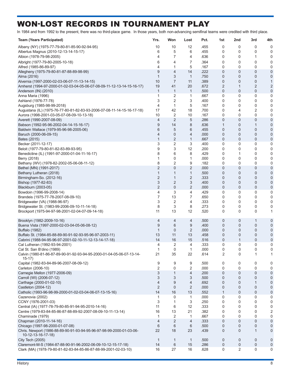## WON-LOST RECORDS IN TOURNAMENT PLAY

In 1984 and from 1992 to the present, there was no third-place game. In those years, both non-advancing semifinal teams were credited with third place.

| <b>Team (Years Participated)</b>                                                           | Yrs.           | Won            | Lost           | Pct.         | 1st          | 2nd            | 3rd            | 4th              |
|--------------------------------------------------------------------------------------------|----------------|----------------|----------------|--------------|--------------|----------------|----------------|------------------|
| Albany (NY) (1975-77-79-80-81-85-90-92-94-95)                                              | 10             | 10             | 12             | .455         | 0            | 0              | 0              | 0                |
| Albertus Magnus (2010-12-13-14-15-17)                                                      | 6              | 5              | 6              | .455         | 0            | 0              | 0              | 0                |
| Albion (1978-79-98-2005)                                                                   | 4              | 7              | 4              | .636         | 0            | 0              | 1              | 0                |
| Albright (1977-79-80-2005-10-18)                                                           | 6              | 4              | 7              | .364         | 0            | 0              | 0              | 0                |
| Alfred (1985-86-89-97)                                                                     | 4              | 1              | 5              | .167         | 0            | 0              | 0              | 0                |
| Allegheny (1975-79-80-81-87-88-89-98-99)                                                   | 9              | 4              | 14             | .222         | 0            | 0              | $\overline{0}$ | $\mathbf 0$      |
| Alma (2016)                                                                                | $\mathbf 1$    | 3              | $\mathbf{1}$   | .750         | 0            | 0              | $\mathbf 0$    | 0                |
| Alvernia (1997-2000-02-03-06-07-11-13-14-15)                                               | 10             | $\overline{7}$ | 11             | .389         | 0            | 0              | $\mathbf 0$    | $\mathbf{1}$     |
| Amherst (1994-97-2000-01-02-03-04-05-06-07-08-09-11-12-13-14-15-16-17)                     | 19             | 41             | 20             | .672         | 2            | 1              | 2              | 2                |
| Anderson (IN) (2010)                                                                       | $\mathbf 1$    | $\mathbf{1}$   | $\mathbf{1}$   | .500         | 0            | 0              | 0              | $\mathbf 0$      |
| Anna Maria (1996)                                                                          | 1              | 2              | 1              | .667         | 0            | 0              | 0              | 0                |
| Ashland (1976-77-78)                                                                       | 3              | 2              | 3              | .400         | 0            | 0              | 0              | 0                |
| Augsburg (1985-98-99-2018)                                                                 | 4              | 1              | 5              | .167         | 0            | 0              | 0              | 0                |
| Augustana (IL) (1975-76-77-80-81-82-83-93-2006-07-08-11-14-15-16-17-18)                    | 17<br>10       | 42<br>2        | 18<br>10       | .700<br>.167 | 0<br>0       | 4<br>0         | 2<br>0         | 0                |
| Aurora (1998-2001-03-05-07-08-09-10-13-18)<br>Averett (1990-2007-08-09)                    | 4              | 2              | 5              | .286         | 0            | 0              | $\mathbf 0$    | 0<br>$\mathbf 0$ |
| Babson (1992-95-96-2002-04-14-15-16-17)                                                    | 9              | 14             | 8              | .636         | 1            | 0              | 1              | $\mathbf 0$      |
| Baldwin Wallace (1979-95-96-98-2005-06)                                                    | 6              | 5              | 6              | .455         | 0            | 0              | $\mathbf 0$    | $\mathbf 0$      |
| Baruch (2000-06-09-15)                                                                     | $\overline{4}$ | $\mathbf{0}$   | 4              | .000         | 0            | 0              | $\overline{0}$ | $\mathbf 0$      |
| Bates (2015)                                                                               | $\mathbf{1}$   | $\overline{2}$ | 1              | .667         | 0            | 0              | $\mathbf 0$    | $\mathbf 0$      |
| Becker (2011-12-17)                                                                        | 3              | 2              | 3              | .400         | 0            | 0              | $\mathbf 0$    | 0                |
| Beloit (1977-79-80-81-82-83-89-93-95)                                                      | 9              | 3              | 12             | .200         | 0            | 0              | $\mathbf 0$    | 0                |
| Benedictine (IL) (1991-97-2000-01-04-11-16-17)                                             | 8              | 6              | 8              | .429         | 0            | 1              | 0              | 0                |
| Berry (2018)                                                                               | 1              | 0              | 1              | .000         | 0            | 0              | $\overline{0}$ | 0                |
| Bethany (WV) (1978-82-2002-05-06-08-11-12)                                                 | 8              | 2              | 9              | .182         | 0            | 0              | 0              | 0                |
| Bethel (MN) (1991-2017)                                                                    | $\overline{2}$ | $\mathbf 0$    | 2              | .000         | 0            | 0              | $\mathbf 0$    | $\mathbf 0$      |
| Bethany Lutheran (2018)                                                                    | $\mathbf{1}$   | 1              | $\mathbf{1}$   | .500         | 0            | 0              | 0              | $\mathbf 0$      |
| Birmingham-So. (2012-16)                                                                   | $\overline{2}$ | 1              | 2              | .333         | 0            | 0              | $\mathbf 0$    | $\boldsymbol{0}$ |
| Bishop (1977-82-83)                                                                        | 3              | $\overline{2}$ | 3              | .400         | 0            | 0              | $\mathbf 0$    | $\mathbf 0$      |
| Blackburn (2003-05)                                                                        | $\overline{2}$ | $\mathbf 0$    | 2              | .000         | 0            | 0              | $\mathbf 0$    | $\mathbf 0$      |
| Bowdoin (1996-99-2008-14)                                                                  | 4              | 3              | 4              | .429         | 0            | 0              | $\mathbf 0$    | 0                |
| Brandeis (1975-77-78-2007-08-09-10)                                                        | 7<br>3         | 13             | 7              | .650         | 0            | 0              | 0<br>0         | 0                |
| Bridgewater (VA) (1988-96-97)<br>Bridgewater St. (1983-99-2006-09-10-11-14-18)             | 8              | 2<br>3         | 4<br>8         | .333<br>.273 | 0<br>0       | 0<br>0         | 0              | 0<br>0           |
| Brockport (1975-94-97-98-2001-02-04-07-09-14-18)                                           | 11             | 13             | 12             | .520         | 0            | 0              | 0              | $\mathbf{1}$     |
|                                                                                            |                |                |                |              |              |                |                |                  |
| Brooklyn (1982-2009-10-16)                                                                 | 4              | 4              | 4              | .500         | 0            | 0              | 1              | $\mathbf 0$      |
| Buena Vista (1997-2000-02-03-04-05-06-08-12)                                               | 9              | 6              | 9              | .400         | 0            | 0              | 0              | $\mathbf 0$      |
| <b>Buffalo (1982)</b>                                                                      | $\mathbf{1}$   | $\mathbf{0}$   | $\overline{c}$ | .000         | 0            | 0              | 0              | 0                |
| Buffalo St. (1984-85-88-89-90-91-92-93-95-96-97-2003-11)                                   | 13             | 11             | 13             | .458         | 0            | 0              | 0              | $\mathbf 0$      |
| Cabrini (1988-94-95-96-97-2001-02-10-11-12-13-14-17-18)                                    | 14             | 16             | 15             | .516         | 0            | 1              | 0              | $\mathbf 0$      |
| Cal Lutheran (1992-93-94-2001)                                                             | 4              | 2              | 4              | .333         | 0            | 0              | 0              | 0                |
| Cal St. San B'dino (1989)                                                                  | $\mathbf{1}$   | 0              | 1              | .000         | $\Omega$     | 0              | C              | $\Omega$         |
| Calvin (1980-81-86-87-89-90-91-92-93-94-95-2000-01-04-05-06-07-13-14-                      | 21             | 35             | 22             | .614         | 2            | 0              | 1              | 1                |
| $15-17)$<br>Capital (1982-83-84-89-96-2007-08-09-12)                                       | 9              | 9              | 9              | .500         | 0            | 0              | 0              | 0                |
| Carleton (2006-10)                                                                         | 2              | 0              | $\overline{c}$ | .000         | 0            | 0              | $\mathbf 0$    | $\mathbf 0$      |
| Carnegie Mellon (1977-2006-09)                                                             | 3              | $\mathbf{1}$   | $\overline{4}$ | .200         | 0            | 0              | $\mathbf 0$    | $\mathbf 0$      |
| Carroll (WI) (2006-07-12)                                                                  | 3              | 3              | 3              | .500         | 0            | 0              | $\mathbf 0$    | $\mathbf 0$      |
| Carthage (2000-01-02-10)                                                                   | $\overline{4}$ | 9              | 4              | .692         | 0            | $\mathbf 0$    | $\mathbf{1}$   | 0                |
| Castleton (2004-12)                                                                        | $\overline{2}$ | $\mathbf{0}$   | $\overline{2}$ | .000         | 0            | 0              | $\mathbf 0$    | $\mathbf{0}$     |
| Catholic (1993-96-98-99-2000-01-02-03-04-06-07-13-15-16)                                   | 14             | 16             | 13             | .552         | $\mathbf{1}$ | 0              | $\mathbf 0$    | $\pmb{0}$        |
| Cazenovia (2002)                                                                           | 1              | $\mathbf 0$    | 1              | .000         | 0            | 0              | 0              | 0                |
| CCNY (1976-2001-03)                                                                        | 3              | 1              | 3              | .250         | 0            | 0              | 0              | 0                |
| Central (IA) (1977-78-79-80-85-91-94-95-2010-14-16)                                        | 11             | 6              | 12             | .333         | 0            | 0              | 0              | $\mathbf 0$      |
| Centre (1979-83-84-85-86-87-88-89-92-2007-08-09-10-11-13-14)                               | 16             | 13             | 21             | .382         | 0            | 0              | $\mathbf 0$    | $\overline{c}$   |
| Chaminade (1979)                                                                           | 1              | 2              | $\mathbf{1}$   | .667         | 0            | 0              | 0              | $\mathbf 0$      |
| Chapman (2010-11-14-16)                                                                    | $\overline{4}$ | $\overline{2}$ | $\overline{4}$ | .333         | 0            | 0              | $\mathbf 0$    | $\mathbf 0$      |
| Chicago (1997-98-2000-01-07-08)                                                            | 6              | 6              | 6              | .500         | 0            | 0              | 0              | $\pmb{0}$        |
| Chris. Newport (1986-88-89-90-91-93-94-95-96-97-98-99-2000-01-03-06-<br>10-12-13-16-17-18) | 22             | 18             | 23             | .439         | 0            | 0              | $\mathbf{1}$   | $\mathbf 0$      |
| City Tech (2005)                                                                           | 1              | 1              | $\mathbf{1}$   | .500         | 0            | 0              | $\mathbf 0$    | 0                |
| Claremont-M-S (1984-87-88-90-91-96-2002-06-09-10-12-15-17-18)                              | 14             | $6\,$          | 15             | .286         | 0            | 0              | 0              | $\mathbf 0$      |
| Clark (MA) (1978-79-80-81-82-83-84-85-86-87-88-99-2001-02-03-10)                           | 16             | 27             | 16             | .628         | 0            | $\overline{2}$ | 0              | 0                |
|                                                                                            |                |                |                |              |              |                |                |                  |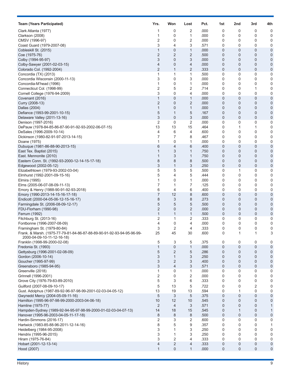| <b>Team (Years Participated)</b>                                       | Yrs.                | Won            | Lost           | Pct.         | 1st          | 2nd              | 3rd                 | 4th                         |
|------------------------------------------------------------------------|---------------------|----------------|----------------|--------------|--------------|------------------|---------------------|-----------------------------|
| Clark Atlanta (1977)                                                   | 1                   | 0              | 2              | .000         | 0            | 0                | 0                   | 0                           |
| Clarkson (2008)                                                        | 1                   | 0              | 1              | .000         | 0            | 0                | 0                   | 0                           |
| CMSV (1996-97)                                                         | 2                   | 0              | 2              | .000         | 0            | 0                | 0                   | 0                           |
| Coast Guard (1979-2007-08)                                             | 3                   | 4              | 3              | .571         | 0            | 0                | 0                   | 0                           |
| Cobleskill St. (2015)                                                  | $\mathbf{1}$        | 0              | $\mathbf{1}$   | .000         | 0            | 0                | 0                   | $\mathbf 0$                 |
| Coe (1975-76)                                                          | 2                   | 2              | 2              | .500         | 0            | $\mathbf 0$      | $\overline{0}$      | 0                           |
| Colby (1994-95-97)                                                     | 3<br>$\overline{4}$ | 0<br>0         | 3<br>4         | .000<br>.000 | 0<br>0       | 0<br>0           | $\overline{0}$<br>0 | $\mathbf 0$<br>$\mathbf{0}$ |
| Colby-Sawyer (2001-02-03-15)<br>Colorado Col. (1992-2004)              | $\overline{2}$      | $\mathbf{1}$   | 2              | .333         | 0            | 0                | 0                   | $\mathbf 0$                 |
| Concordia (TX) (2013)                                                  | 1                   | 1              | 1              | .500         | 0            | 0                | 0                   | 0                           |
| Concordia Wisconsin (2000-11-13)                                       | 3                   | 0              | 3              | .000         | 0            | 0                | 0                   | 0                           |
| Concordia-M'head (1996)                                                | 1                   | 0              | 1              | .000         | 0            | 0                | 0                   | 0                           |
| Connecticut Col. (1998-99)                                             | 2                   | 5              | 2              | .714         | 0            | 0                | 1                   | 0                           |
| Cornell College (1976-94-2009)                                         | 3                   | 0              | 4              | .000         | 0            | 0                | 0                   | 0                           |
| Covenant (2016)                                                        | $\mathbf{1}$        | 0              | $\mathbf{1}$   | .000         | $\mathbf{0}$ | 0                | $\overline{0}$      | $\mathbf 0$                 |
| Curry (2008-13)                                                        | $\overline{2}$      | 0              | $\overline{2}$ | .000         | 0            | 0                | $\overline{0}$      | $\mathbf 0$                 |
| Dallas (2004)                                                          | $\mathbf{1}$        | 0              | $\mathbf{1}$   | .000         | 0            | 0                | 0                   | $\overline{0}$              |
| Defiance (1993-99-2001-10-15)                                          | 5                   | 1              | 5              | .167         | 0            | 0                | 0                   | $\mathbf 0$                 |
| Delaware Valley (2011-13-16)                                           | 3                   | 0              | 3              | .000         | 0            | 0                | 0                   | $\mathbf 0$                 |
| Denison (1997-2016)                                                    | 2                   | 0              | 2              | .000         | 0            | 0                | 0                   | 0                           |
| DePauw (1978-84-85-86-87-90-91-92-93-2002-06-07-15)                    | 13                  | 13             | 15             | .464         | 0            | 1                | 1                   | $\mathbf 0$                 |
| DeSales (1996-2009-10-14)                                              | 4                   | 6              | 4              | .600         | 0            | 0                | 0                   | 0                           |
| Dickinson (1980-82-91-97-2013-14-15)                                   | 7                   | 7              | 8              | .467         | 0            | 0                | 0                   | 0                           |
| Doane (1975)                                                           | 1<br>6              | 0<br>4         | 1<br>6         | .000         | 0<br>0       | 0                | 0                   | 0                           |
| Dubuque (1981-86-88-90-2013-15)<br>East Tex. Baptist (2015)            | 1                   | 3              | $\mathbf{1}$   | .400<br>.750 | 0            | $\mathbf 0$<br>0 | 0<br>$\overline{0}$ | $\mathbf 0$<br>$\mathbf 0$  |
| East. Mennonite (2010)                                                 | 1                   | 3              | $\mathbf{1}$   | .750         | 0            | 0                | 0                   | $\overline{0}$              |
| Eastern Conn. St. (1992-93-2000-12-14-15-17-18)                        | 8                   | 8              | 8              | .500         | 0            | 0                | 0                   | $\mathbf 0$                 |
| Edgewood (2002-05-12)                                                  | 3                   | 1              | 3              | .250         | 0            | 0                | $\overline{0}$      | $\boldsymbol{0}$            |
| Elizabethtown (1979-93-2002-03-04)                                     | 5                   | 5              | 5              | .500         | 0            | 1                | 0                   | 0                           |
| Elmhurst (1992-2001-09-15-16)                                          | 5                   | 4              | 5              | .444         | 0            | 0                | 0                   | 0                           |
| Elmira (1995)                                                          | 1                   | 0              | 1              | .000         | 0            | 0                | 0                   | 0                           |
| Elms (2005-06-07-08-09-11-13)                                          | 7                   | 1              | 7              | .125         | 0            | 0                | 0                   | $\mathbf 0$                 |
| Emory & Henry (1988-90-91-92-93-2018)                                  | 6                   | 4              | 6              | .400         | 0            | 0                | 0                   | 0                           |
| Emory (1990-2013-14-15-16-17-18)                                       | 7                   | 12             | 8              | .600         | 0            | 0                | $\overline{0}$      | 0                           |
| Endicott (2000-04-05-06-12-15-16-17)                                   | 8                   | 3              | 8              | .273         | 0            | 0                | 0                   | $\mathbf 0$                 |
| Farmingdale St. (2006-08-09-12-17)                                     | 5                   | 5              | 5              | .500         | 0            | 0                | 0                   | $\overline{0}$              |
| FDU-Florham (1990-98)                                                  | $\overline{2}$      | 0              | $\overline{c}$ | .000         | 0            | 0                | 0                   | $\mathbf 0$                 |
| Ferrum (1992)                                                          | $\mathbf{1}$        | 1              | $\mathbf{1}$   | .500         | 0            | 0                | 0                   | 0                           |
| Fitchburg St. (2013-16)<br>Fontbonne (1996-2007-08-09)                 | 2<br>4              | 1<br>0         | 2<br>4         | .333<br>.000 | 0<br>0       | 0<br>0           | 0<br>0              | 0<br>0                      |
| Framingham St. (1979-80-84)                                            | 3                   | 2              | 4              | .333         | 0            | 0                | 0                   | 0                           |
| Frank. & Marsh. (1975-77-79-81-84-86-87-88-89-90-91-92-93-94-95-96-99- | 25                  | 45             | 30             | .600         | 0            |                  |                     | 3                           |
| 2000-04-09-10-11-12-16-18)                                             |                     |                |                |              |              |                  |                     |                             |
| Franklin (1998-99-2000-02-08)                                          | 5                   | 3              | 5              | .375         | 0            | 0                | 0                   | 0                           |
| Fredonia St. (1993)                                                    | $\mathbf{1}$        | 0              | $\mathbf{1}$   | .000         | 0            | $\boldsymbol{0}$ | $\pmb{0}$           | $\mathbf 0$                 |
| Gettysburg (1996-2001-02-08-09)                                        | 5                   | 2              | 5              | .286         | 0            | $\mathbf 0$      | 0                   | $\mathbf 0$                 |
| Gordon (2006-10-14)                                                    | 3                   | $\mathbf{1}$   | 3              | .250         | 0            | $\mathbf{0}$     | $\overline{0}$      | $\mathbf 0$                 |
| Goucher (1995-97-99)                                                   | 3                   | 2              | 3              | .400         | 0            | 0                | 0                   | $\mathbf{0}$                |
| Greensboro (1985-94-95)                                                | 3                   | $\overline{4}$ | 3              | .571         | $\mathsf 0$  | $\boldsymbol{0}$ | 0                   | $\pmb{0}$                   |
| Greenville (2018)                                                      | 1<br>2              | 0<br>0         | 1<br>2         | .000<br>.000 | 0<br>0       | 0<br>0           | 0<br>0              | 0<br>0                      |
| Grinnell (1996-2001)<br>Grove City (1976-79-83-89-2010)                | 5                   | 3              | 6              | .333         | 0            | 0                | 0                   | $\mathbf 0$                 |
| Guilford (2007-08-09-10-17)                                            | 5                   | 13             | 5              | .722         | 0            | 0                | 2                   | 0                           |
| Gust. Adolphus (1987-89-92-96-97-98-99-2001-02-03-04-05-12)            | 13                  | 19             | 13             | .594         | 0            | 1                | 0                   | 0                           |
| Gwynedd Mercy (2004-05-09-11-16)                                       | 5                   | 3              | 5              | .375         | 0            | 0                | $\mathbf 0$         | $\mathbf 0$                 |
| Hamilton (1995-96-97-98-99-2000-2003-04-06-18)                         | 10                  | 12             | 10             | .545         | $\mathbf{0}$ | 0                | $\mathbf 0$         | $\mathbf 0$                 |
| Hamline (1975-77)                                                      | 2                   | $\overline{4}$ | 3              | .571         | 0            | 0                | 0                   | 1                           |
| Hampden-Sydney (1989-92-94-95-97-98-99-2000-01-02-03-04-07-13)         | 14                  | 18             | 15             | .545         | 0            | 1                | 0                   | 1                           |
| Hanover (1995-96-2003-04-05-11-17-18)                                  | $\,8\,$             | 8              | 8              | .500         | 0            | 0                | 0                   | $\boldsymbol{0}$            |
| Hardin-Simmons (2016-17)                                               | 2                   | 3              | 2              | .600         | 0            | 0                | 0                   | 0                           |
| Hartwick (1983-85-88-96-2011-12-14-16)                                 | 8                   | 5              | 9              | .357         | 0            | 0                | 0                   | 1                           |
| Heidelberg (1984-95-2008)                                              | 3                   | 1              | 3              | .250         | 0            | 0                | 0                   | $\mathbf 0$                 |
| Hendrix (1995-96-2015)                                                 | 3                   | $\mathbf{1}$   | 3              | .250         | 0            | 0                | 0                   | 0                           |
| Hiram (1975-76-84)                                                     | 3                   | 2              | 4              | .333         | 0            | 0                | 0                   | 0                           |
| Hobart (2001-12-13-14)                                                 | 4                   | $\overline{2}$ | $\overline{4}$ | .333         | 0            | 0                | 0                   | $\mathbf 0$                 |
| Hood (2007)                                                            | $\mathbf{1}$        | 0              | $\mathbf{1}$   | .000         | 0            | $\mathbf{0}$     | 0                   | $\pmb{0}$                   |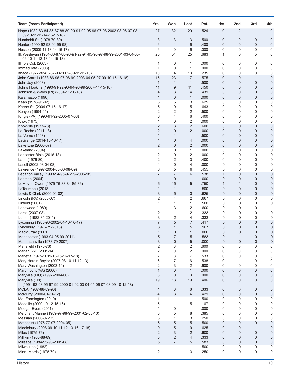| <b>Team (Years Participated)</b>                                                                                                   | Yrs.           | Won                 | Lost              | Pct.         | 1st              | 2nd                           | 3rd                        | 4th            |
|------------------------------------------------------------------------------------------------------------------------------------|----------------|---------------------|-------------------|--------------|------------------|-------------------------------|----------------------------|----------------|
| Hope (1982-83-84-85-87-88-89-90-91-92-95-96-97-98-2002-03-06-07-08-<br>09-10-11-12-14-16-17-18)                                    | 27             | 32                  | 29                | .524         | 0                | 2                             | $\mathbf 1$                | 0              |
| Humboldt St. (1978-79-80)                                                                                                          | 3              | 3                   | 3                 | .500         | 0                | $\mathbf 0$                   | 0                          | 0              |
| Hunter (1990-92-93-94-95-98)                                                                                                       | 6              | 4                   | 6                 | .400         | 0                | $\mathbf 0$                   | $\mathbf 0$                | 0              |
| Husson (2009-11-13-14-16-17)<br>III. Wesleyan (1984-86-87-88-90-91-92-94-95-96-97-98-99-2001-03-04-05-<br>06-10-11-12-13-14-15-18) | 6<br>25        | 0<br>54             | 6<br>25           | .000<br>.683 | 0<br>1           | $\mathbf 0$<br>0              | 0<br>5                     | 0<br>0         |
| Illinois Col. (2003)<br>Immaculata (2008)                                                                                          | 1<br>1         | 0<br>0              | 1<br>1            | .000<br>.000 | 0<br>0           | 0<br>$\mathbf 0$              | 0<br>0                     | 0<br>0         |
| Ithaca (1977-82-83-87-93-2002-09-11-12-13)                                                                                         | 10             | 4                   | 13                | .235         | 0                | 0                             | 0                          | 0              |
| John Carroll (1983-86-96-97-98-99-2003-04-05-07-09-10-15-16-18)                                                                    | 15             | 23                  | 17                | .575         | 0                | 0                             | $\mathbf{1}$               | 0              |
| John Jay (2008)                                                                                                                    | 1              | 1                   | $\mathbf{1}$      | .500         | 0                | $\overline{0}$                | $\mathbf{0}$               | 0              |
| Johns Hopkins (1990-91-92-93-94-98-99-2007-14-15-18)<br>Johnson & Wales (RI) (2004-11-16-18)                                       | 11<br>4        | 9<br>3              | 11<br>4           | .450<br>.439 | 0<br>0           | $\mathbf 0$<br>$\mathbf 0$    | 0<br>0                     | 0<br>0         |
| Kalamazoo (1996)                                                                                                                   | 1              | 0                   | 1                 | .000         | 0                | $\mathbf 0$                   | 0                          | 0              |
| Kean (1978-91-92)                                                                                                                  | 3              | 5                   | 3                 | .625         | 0                | 0                             | 0                          | 0              |
| Keene St. (2004-07-15-16-17)                                                                                                       | 5              | 9                   | 5                 | .643         | 0                | 0                             | 0                          | 0              |
| Kenyon (1994-95)<br>King's (PA) (1990-91-92-2005-07-08)                                                                            | 2<br>6         | 2<br>4              | 2<br>6            | .500<br>.400 | 0<br>0           | 0<br>0                        | 0<br>0                     | 0<br>0         |
| Knox (1975)                                                                                                                        | 1              | 0                   | 2                 | .000         | 0                | 0                             | 0                          | 0              |
| Knoxville (1977-78)                                                                                                                | 2              | 3                   | $\overline{2}$    | .600         | 0                | $\mathbf 0$                   | $\mathbf 0$                | 0              |
| La Roche (2011-18)                                                                                                                 | 2              | 0                   | 2                 | .000         | 0                | $\mathbf 0$                   | 0                          | 0              |
| La Verne (1993)                                                                                                                    | $\mathbf{1}$   | 1                   | $\mathbf{1}$      | .500         | 0                | 0                             | 0                          | 0              |
| LaGrange (2014-15-16-17)<br>Lake Erie (2006-07)                                                                                    | 4<br>2         | 0<br>0              | 4<br>2            | .000<br>.000 | 0<br>0           | $\mathbf 0$<br>0              | $\mathbf 0$<br>0           | 0<br>0         |
| Lakeland (2004)                                                                                                                    | 1              | 0                   | 1                 | .000         | 0                | 0                             | 0                          | 0              |
| Lancaster Bible (2016-18)                                                                                                          | 2              | 0                   | 2                 | .000         | 0                | 0                             | 0                          | 0              |
| Lane (1979-80)                                                                                                                     | 2              | 2                   | 3                 | .400         | 0                | 0                             | 0                          | 0              |
| Lasell (2002-03-04-08)<br>Lawrence (1997-2004-05-06-08-09)                                                                         | 4<br>6         | 0<br>5              | 4<br>6            | .000<br>.455 | 0<br>$\mathbf 0$ | 0<br>0                        | 0<br>0                     | 0<br>0         |
| Lebanon Valley (1993-94-95-97-99-2005-18)                                                                                          | 7              | 7                   | 6                 | .538         | 1                | 0                             | $\mathbf{0}$               | 0              |
| Lehman (2004)                                                                                                                      | 1              | 0                   | 1                 | .000         | 0                | 0                             | 0                          | 0              |
| LeMoyne-Owen (1975-76-83-84-85-86)                                                                                                 | 6              | 15                  | 5                 | .750         | 1                | 1                             | 0                          | 0              |
| LeTourneau (2018)<br>Lewis & Clark (2000-01-02)                                                                                    | 1<br>3         | 1<br>5              | $\mathbf{1}$<br>3 | .500<br>.625 | 0<br>0           | 0<br>0                        | 0<br>0                     | 0<br>0         |
| Lincoln (PA) (2006-07)                                                                                                             | 2              | 4                   | 2                 | .667         | 0                | 0                             | 0                          | 0              |
| Linfield (2001)                                                                                                                    | 1              | 1                   | 1                 | .500         | 0                | 0                             | 0                          | 0              |
| Longwood (1980)                                                                                                                    | 1              | 3                   | 2                 | .600         | 0                | 0                             | 0                          | 1              |
| Loras (2007-08)<br>Luther (1982-84-2011)                                                                                           | 2<br>3         | 1<br>2              | 2<br>4            | .333<br>.333 | 0<br>0           | 0<br>0                        | 0<br>0                     | 0<br>0         |
| Lycoming (1985-96-2002-04-10-16-17)                                                                                                | 7              | 5                   | 7                 | .417         | 0                | 0                             | 0                          | 0              |
| Lynchburg (1976-79-2016)                                                                                                           | 3              | $\mathbf{1}$        | 5                 | .167         | 0                | 0                             | 0                          | 0              |
| MacMurray (2001)                                                                                                                   | $\mathbf{1}$   | 0                   | $\mathbf{1}$      | .000         | $\mathbf 0$      | 0                             | 0                          | $\Omega$       |
| Manchester (1993-94-95-99-2011)<br>Manhattanville (1978-79-2007)                                                                   | 5<br>3         | 7<br>0              | 5<br>5            | .583<br>.000 | 0<br>$\mathbf 0$ | 1<br>$\mathbf 0$              | $\mathbf 0$<br>$\mathbf 0$ | 0<br>0         |
| Mansfield (1975-76)                                                                                                                | 2              | 3                   | 2                 | .600         | 0                | 0                             | 0                          | 0              |
| Marian (WI) (2001-14)                                                                                                              | 2              | $\mathbf 0$         | 2                 | .000         | 0                | 0                             | $\mathbf 0$                | 0              |
| Marietta (1975-2011-13-15-16-17-18)                                                                                                | 7              | 8                   | 7                 | .533         | 0                | 0                             | $\mathbf 0$                | 0              |
| Mary Hardin-Baylor (2007-08-10-11-12-13)<br>Mary Washington (2003-14)                                                              | 6<br>2         | 7<br>3              | 6<br>2            | .538<br>.600 | 0<br>0           | 1<br>$\mathbf 0$              | 0<br>$\mathbf 0$           | 0<br>0         |
| Marymount (VA) (2000)                                                                                                              | 1              | $\overline{0}$      | $\mathbf{1}$      | .000         | 0                | $\overline{0}$                | $\mathbf{0}$               | 0              |
| Maryville (MO) (1997-2004-06)                                                                                                      | 3              | $\mathbf 0$         | 3                 | .000         | 0                | $\overline{0}$                | 0                          | 0              |
| Maryville (TN)<br>(1991-92-93-95-97-99-2000-01-02-03-04-05-06-07-08-09-10-12-18)                                                   | 19             | 13                  | 19                | .406         | $\mathbf 0$      | $\mathbf{0}$                  | $\overline{0}$             | 0              |
| MCLA (1987-88-89-90)<br>McMurry (2000-01-11-12)                                                                                    | 4<br>4         | 3<br>3              | 6<br>4            | .333<br>.429 | 0<br>$\pmb{0}$   | $\overline{0}$<br>$\mathbf 0$ | $\mathbf 0$<br>$\pmb{0}$   | 0<br>0         |
| Me.-Farmington (2010)                                                                                                              | 1              | 1                   | 1                 | .500         | 0                | 0                             | $\mathbf 0$                | 0              |
| Medaille (2009-10-12-15-16)                                                                                                        | 5              | 1                   | 5                 | .167         | 0                | 0                             | 0                          | 0              |
| Medgar Evers (2011)                                                                                                                | 1              | 0                   | $\mathbf{1}$      | .000         | 0                | 0                             | 0                          | 0              |
| Merchant Marine (1989-97-98-99-2001-02-03-10)<br>Messiah (2006-07-12)                                                              | 8<br>3         | 5<br>1              | 8<br>3            | .385<br>.250 | 0<br>0           | 0<br>0                        | 0<br>0                     | 0<br>0         |
| Methodist (1975-77-97-2004-05)                                                                                                     | 5              | 5                   | $\,$ 5 $\,$       | .500         | 0                | $\overline{0}$                | $\mathbf 0$                | $\mathbf 0$    |
| Middlebury (2008-09-10-11-12-13-16-17-18)                                                                                          | $9\,$          | 15                  | 9                 | .625         | $\mathbf 0$      | 0                             | 1                          | 0              |
| Miles (1975-76)                                                                                                                    | $\overline{2}$ | 3                   | 2                 | .600         | $\mathbf 0$      | $\mathbf 0$                   | 0                          | 0              |
| Millikin (1983-88-89)                                                                                                              | 3<br>5         | 2<br>$\overline{7}$ | 4<br>5            | .333<br>.583 | 0<br>$\mathbf 0$ | $\mathbf 0$<br>$\mathbf 0$    | 0<br>$\mathbf 0$           | $\overline{0}$ |
| Millsaps (1984-95-96-2001-08)<br>Milwaukee (1982)                                                                                  | 1              | 1                   | 1                 | .500         | 0                | 0                             | 0                          | 0<br>0         |
| Minn.-Morris (1978-79)                                                                                                             | 2              | 1                   | 3                 | .250         | 0                | 0                             | 0                          | 0              |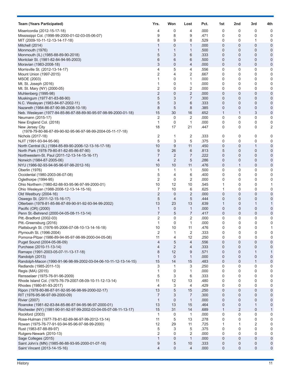| <b>Team (Years Participated)</b>                                  | Yrs.           | Won               | Lost              | Pct.         | 1st              | 2nd            | 3rd            | 4th                        |
|-------------------------------------------------------------------|----------------|-------------------|-------------------|--------------|------------------|----------------|----------------|----------------------------|
| Misericordia (2012-15-17-18)                                      | 4              | 0                 | 4                 | .000         | 0                | 0              | 0              | 0                          |
| Mississippi Col. (1998-99-2000-01-02-03-05-06-07)                 | 9              | 8                 | 9                 | .471         | 0                | 0              | 0              | $\mathbf 0$                |
| MIT (2009-10-11-12-13-14-17-18)                                   | 8              | 9                 | 8                 | .529         | 0                | 0              | 1              | 0                          |
| Mitchell (2014)                                                   | 1              | 0                 | 1                 | .000         | 0                | 0              | $\mathbf{0}$   | 0                          |
| Monmouth (1976)                                                   | $\mathbf{1}$   | 1                 | 1                 | .500         | 0                | 0              | 0              | $\mathbf 0$                |
| Monmouth (IL) (1985-88-89-90-2018)                                | 5              | 3                 | 6                 | .333         | 0                | 0              | 0              | $\mathbf 0$                |
| Montclair St. (1981-82-84-94-95-2003)                             | 6              | 6                 | 6                 | .500         | 0                | 0              | $\overline{0}$ | $\mathbf 0$                |
| Moravian (1983-2008-18)                                           | 3              | 0                 | 4                 | .000         | 0                | 0              | 0              | $\mathbf 0$                |
| Morrisville St. (2012-13-14-17)                                   | 4              | 5                 | 4                 | .556         | 0                | 0              | 0              | 0                          |
| Mount Union (1997-2015)                                           | 2<br>1         | 4<br>0            | 2<br>1            | .667<br>.000 | 0                | 0              | 0<br>0         | 0<br>0                     |
| MSOE (2003)<br>Mt. St. Joseph (2016)                              | 1              | 0                 | $\mathbf{1}$      | .000         | 0<br>0           | 0<br>0         | 0              | 0                          |
| Mt. St. Mary (NY) (2000-05)                                       | 2              | 0                 | 2                 | .000         | 0                | 0              | 0              | 0                          |
| Muhlenberg (1995-98)                                              | $\overline{2}$ | 0                 | 2                 | .000         | 0                | 0              | 0              | $\mathbf 0$                |
| Muskingum (1977-81-83-88-90)                                      | 5              | 3                 | 7                 | .300         | 0                | 0              | $\overline{0}$ | $\mathbf 0$                |
| N.C. Wesleyan (1983-84-87-2002-11)                                | 5              | 3                 | 6                 | .333         | 0                | 0              | 0              | $\mathbf 0$                |
| Nazareth (1984-86-87-90-98-2008-10-18)                            | 8              | 5                 | 8                 | .385         | 0                | 0              | 0              | $\mathbf 0$                |
| Neb. Wesleyan (1977-84-85-86-87-88-89-90-95-97-98-99-2000-01-18)  | 15             | 30                | 16                | .652         | $\mathbf{1}$     | $\mathbf{1}$   | 3              | $\mathbf 0$                |
| Neumann (2015-17)                                                 | 2              | 0                 | 2                 | .000         | 0                | 0              | 0              | 0                          |
| New England Col. (2018)                                           | 1              | 0                 | 1                 | .000         | 0                | 0              | 0              | 0                          |
| New Jersey City                                                   | 18             | 17                | 21                | .447         | 0                | 0              | 0              | $\overline{2}$             |
| (1978-79-80-86-87-89-90-92-95-96-97-98-99-2004-05-11-17-18)       |                |                   |                   |              |                  |                |                |                            |
| Nichols (2017-18)                                                 | 2              | 1                 | 2                 | .333         | 0                | 0              | 0              | 0                          |
| NJIT (1991-93-94-95-96)                                           | 5              | 3                 | 5                 | .375         | 0                | 0              | 0              | $\mathbf 0$                |
| North Central (IL) (1984-85-89-90-2006-12-13-16-17-18)            | 10             | 9                 | 11                | .450         | $\mathbf 0$      | 0              | $\mathbf{1}$   | $\mathbf 0$                |
| North Park (1978-79-80-81-82-85-86-87-90)                         | 9              | 26                | 6                 | .813         | 5                | 0              | $\mathbf 0$    | $\mathbf 0$                |
| Northwestern-St. Paul (2011-12-13-14-15-16-17)                    | $\overline{7}$ | 2                 | 7                 | .222         | 0                | 0              | 0              | $\mathbf 0$                |
| Norwich (1984-87-2005-06)                                         | 4              | 2                 | 5                 | .286         | 0                | 0              | 0              | $\mathbf 0$                |
| NYU (1986-92-93-94-95-96-97-98-2012-16)                           | 10             | 10                | 11                | .476         | 0                | 1              | $\mathbf 0$    | $\boldsymbol{0}$           |
| Oberlin (1976)<br>Occidental (1980-2003-06-07-08)                 | 1<br>5         | 1<br>4            | 1<br>6            | .500<br>.400 | 0<br>0           | 0<br>0         | 0<br>0         | 0<br>$\pmb{0}$             |
| Oglethorpe (1994-95)                                              | 2              | 0                 | 2                 | .000         | 0                | 0              | 0              | 0                          |
| Ohio Northern (1980-82-88-93-95-96-97-99-2000-01)                 | 10             | 12                | 10                | .545         | 1                | 0              | 0              | 1                          |
| Ohio Wesleyan (1988-2008-12-13-14-15-16)                          | 7              | 10                | 6                 | .625         | 1                | 0              | 0              | 0                          |
| Old Westbury (2004-16)                                            | $\overline{2}$ | $\mathbf 0$       | 2                 | .000         | 0                | 0              | 0              | 0                          |
| Oswego St. (2011-12-15-16-17)                                     | 5              | 4                 | 5                 | .444         | 0                | 0              | 0              | 0                          |
| Otterbein (1978-81-85-86-87-89-90-91-92-93-94-99-2002)            | 13             | 23                | 13                | .639         | 1                | 0              | 1              | $\mathbf{1}$               |
| Pacific (OR) (2000)                                               | 1              | 0                 | $\mathbf{1}$      | .000         | 0                | 0              | 0              | $\mathbf 0$                |
| Penn St.-Behrend (2000-04-05-08-11-13-14)                         | $\overline{7}$ | 5                 | 7                 | .417         | $\mathbf 0$      | 0              | $\overline{0}$ | $\mathbf 0$                |
| Pitt.-Bradford (2002-03)                                          | 2              | 0                 | 2                 | .000         | 0                | 0              | 0              | 0                          |
| Pitt.-Greensburg (2016)                                           | $\mathbf{1}$   | 0                 | 1                 | .000         | 0                | 0              | 0              | 0                          |
| Plattsburgh St. (1976-95-2006-07-08-10-13-14-16-18)               | 10             | 10                | 11                | .476         | 0                | 0              | 0              | 1                          |
| Plymouth St. (1996-2004)                                          | 2              | 1                 | 2                 | .333         | 0                | 0              | 0              |                            |
| Pomona-Pitzer (1986-89-94-95-97-98-99-2000-04-05-08)              | 11             | 4                 | 12                | .250         | 0                | 0              | 0              | 0                          |
| Puget Sound (2004-05-06-09)                                       | 4              | 5                 | 4                 | .556         | 0                | $\mathbf 0$    | 0              | 0                          |
| Purchase (2010-11-13-14)                                          | 4              | $\overline{2}$    | 4                 | .333         | 0                | $\mathbf 0$    | 0              | $\mathbf{0}$               |
| Ramapo (1991-2003-05-07-11-13-17-18)<br>Randolph (2013)           | 8<br>1         | 12<br>$\mathbf 0$ | 9<br>$\mathbf{1}$ | .571<br>.000 | 0<br>0           | 0<br>0         | 1<br>0         | $\mathbf{1}$               |
| Randolph-Macon (1990-91-96-98-99-2002-03-04-06-10-11-12-13-14-15) | 15             | 14                | 15                | .483         | $\boldsymbol{0}$ | 0              | $\mathbf{1}$   | $\mathbf 0$<br>$\mathbf 0$ |
| Redlands (1985-2011-13)                                           | 3              | 1                 | 3                 | .250         | 0                | 0              | 0              | 0                          |
| Regis (MA) (2015)                                                 | 1              | 0                 | 1                 | .000         | 0                | 0              | 0              | 0                          |
| Rensselaer (1975-76-91-96-2009)                                   | 5              | 3                 | 6                 | .333         | 0                | 0              | 0              | $\mathbf 0$                |
| Rhode Island Col. (1975-76-79-2007-08-09-10-11-12-13-14)          | 11             | 12                | 13                | .480         | 0                | 0              | 0              | $\mathbf 0$                |
| Rhodes (1980-81-93-2017)                                          | 4              | 3                 | 4                 | .429         | 0                | 0              | 0              | 0                          |
| Ripon (1978-80-86-87-91-92-95-96-98-99-2000-02-17)                | 13             | 5                 | 15                | .250         | 0                | $\mathbf{0}$   | $\overline{0}$ | $\mathbf 0$                |
| RIT (1976-95-96-97-99-2000-09)                                    | 7              | 3                 | 7                 | .300         | 0                | 0              | 0              | $\mathbf{0}$               |
| <b>Rivier (2007)</b>                                              | $\mathbf{1}$   | $\mathbf{0}$      | $\mathbf{1}$      | .000         | 0                | 0              | $\mathbf 0$    | $\mathbf 0$                |
| Roanoke (1981-82-83-84-85-86-87-94-95-96-97-2000-01)              | 13             | 13                | 15                | .464         | 0                | 0              | 1              | $\mathbf 0$                |
| Rochester (NY) (1981-90-91-92-97-99-2002-03-04-05-07-08-11-13-17) | 15             | 31                | 14                | .689         | $\mathbf{1}$     | $\overline{2}$ | 0              | $\mathbf{1}$               |
| Rockford (2003)                                                   | 1              | 0                 | $\mathbf{1}$      | .000         | 0                | 0              | 0              | 0                          |
| Rose-Hulman (1977-78-81-82-89-96-97-99-2012-13-14)                | 11             | 5                 | 13                | .278         | 0                | 0              | 0              | 0                          |
| Rowan (1975-76-77-91-93-94-95-96-97-98-99-2000)                   | 12             | 29                | 11                | .725         | $\mathbf{1}$     | 1              | 2              | $\mathbf 0$                |
| Rust (1983-87-88-89-97)                                           | 5              | 3                 | 5                 | .375         | 0                | 0              | 0              | $\mathbf 0$                |
| Rutgers-Newark (2010-13)                                          | 2              | 0                 | 2                 | .000         | 0                | 0              | 0              | 0                          |
| Sage Colleges (2015)                                              | $\mathbf{1}$   | 0                 | $\mathbf{1}$      | .000         | 0                | 0              | 0              | $\mathbf 0$                |
| Saint John's (MN) (1985-86-88-93-95-2000-01-07-18)                | 9              | 5                 | 10                | .333         | 0                | 0              | 0              | $\mathbf 0$                |
| Saint Vincent (2013-14-15-16)                                     | $\overline{4}$ | 0                 | 4                 | .000         | 0                | 0              | 0              | $\boldsymbol{0}$           |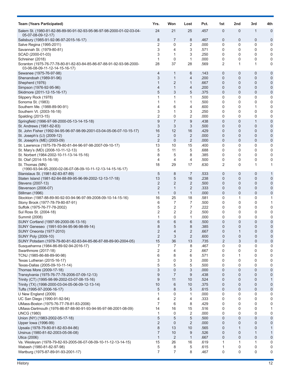| <b>Team (Years Participated)</b>                                                                 | Yrs.           | Won            | Lost                | Pct.         | 1st            | 2nd              | 3rd               | 4th              |
|--------------------------------------------------------------------------------------------------|----------------|----------------|---------------------|--------------|----------------|------------------|-------------------|------------------|
| Salem St. (1980-81-82-86-89-90-91-92-93-95-96-97-98-2000-01-02-03-04-<br>05-07-08-09-12-17)      | 24             | 21             | 25                  | .457         | 0              | 0                | 1                 | 0                |
| Salisbury (1985-91-92-96-97-2015-16-17)                                                          | 8              | 7              | 8                   | .467         | 0              | 0                | 0                 | 0                |
| Salve Regina (1995-2011)                                                                         | 2              | 0              | 2                   | .000         | 0              | 0                | 0                 | 0                |
| Savannah St. (1979-80-81)                                                                        | 3              | 4              | 3                   | .571         | 0              | 0                | 0                 | 0                |
| SCAD (2000-01-03)                                                                                | 3<br>1         | 1              | 3<br>$\mathbf{1}$   | .250         | 0              | 0                | 0<br>0            | 0<br>$\mathbf 0$ |
| Schreiner (2018)<br>Scranton (1975-76-77-78-80-81-82-83-84-85-86-87-88-91-92-93-98-2000-         | 28             | 0<br>37        | 28                  | .000<br>.569 | 0<br>2         | 0<br>1           | 1                 | 0                |
| 03-06-08-09-11-12-14-15-16-17)<br>Sewanee (1975-76-97-98)                                        | 4              | 1              | 6                   | .143         | 0              | $\boldsymbol{0}$ | $\mathbf 0$       | 0                |
| Shenandoah (1989-91-96)                                                                          | 3              | 1              | 4                   | .200         | 0              | 0                | 0                 | 0                |
| Shepherd (1976)                                                                                  | $\mathbf{1}$   | 2              | 1                   | .667         | 0              | $\mathbf 0$      | $\overline{0}$    | 0                |
| Simpson (1976-92-95-96)                                                                          | 4              | $\mathbf{1}$   | 4                   | .200         | 0              | 0                | 0                 | 0                |
| Skidmore (2011-12-15-16-17)                                                                      | 5              | 3              | 5                   | .375         | 0              | $\mathbf 0$      | $\mathbf 0$       | $\mathbf 0$      |
| Slippery Rock (1978)                                                                             | 1              | 1              | 1                   | .500         | 0              | 0                | 0                 | 0                |
| Sonoma St. (1983)                                                                                | 1              | 1              | 1                   | .500         | 0              | 0                | 0                 | 0                |
| Southern Me. (1988-89-90-91)                                                                     | 4              | 6              | 4                   | .600         | 0              | 0                | 1                 | 0                |
| Southern Vt. (2003-16-18)                                                                        | 3              | 1              | 3                   | .250         | 0              | 0                | 0                 | 0                |
| Spalding (2013-15)<br>Springfield (1996-97-98-2000-05-13-14-15-18)                               | 2<br>9         | 0<br>7         | 2<br>9              | .000<br>.438 | 0<br>0         | 0<br>0           | 0<br>$\mathbf{1}$ | 0<br>$\mathbf 0$ |
| St. Andrews (1981-82-83)                                                                         | 3              | 3              | 3                   | .500         | 0              | $\mathbf 0$      | 0                 | 0                |
| St. John Fisher (1992-94-95-96-97-98-99-2001-03-04-05-06-07-10-15-17)                            | 16             | 12             | 16                  | .429         | 0              | 0                | 0                 | $\mathbf 0$      |
| St. Joseph's (LI) (2009-12)                                                                      | 2              | $\mathbf{0}$   | $\overline{2}$      | .000         | 0              | 0                | $\mathbf 0$       | $\mathbf{0}$     |
| St. Joseph's (ME) (2003-09)                                                                      | 2              | $\mathbf 0$    | $\overline{2}$      | .000         | 0              | 0                | 0                 | 0                |
| St. Lawrence (1975-78-79-80-81-84-96-97-98-2007-09-10-17)                                        | 13             | 10             | 15                  | .400         | 0              | 0                | $\mathbf 0$       | 0                |
| St. Mary's (MD) (2008-10-11-12-13)                                                               | 5              | 11             | 5                   | .688         | 0              | 0                | 0                 | 0                |
| St. Norbert (1984-2002-10-11-13-14-15-16)                                                        | 8              | 5              | 8                   | .385         | 0              | 0                | 0                 | 0                |
| St. Olaf (2014-15-16-18)                                                                         | 4              | 4              | 4                   | .500         | 0              | 0                | 0                 | 0                |
| St. Thomas (MN)                                                                                  | 18             | 29             | 17                  | .630         | 2              | 0                | 1                 | 1                |
| (1990-93-94-95-2000-02-06-07-08-09-10-11-12-13-14-15-16-17)<br>Stanislaus St. (1981-82-83-87-89) | 5              | 8              | 7                   | .533         | 0              | 0                | 0                 | 1                |
| Staten Island (1981-82-84-88-89-95-96-99-2002-12-13-17-18)                                       | 13             | 5              | 16                  | .238         | 0              | 0                | 0                 | $\mathbf{0}$     |
| Stevens (2007-13)                                                                                | 2              | 2              | 2                   | .500         | 0              | 0                | 0                 | 0                |
| Stevenson (2006-07)                                                                              | 2              | 1              | 2                   | .333         | 0              | 0                | $\overline{0}$    | 0                |
| Stillman (1996)                                                                                  | $\mathbf{1}$   | 0              | $\mathbf{1}$        | .000         | 0              | 0                | 0                 | $\mathbf 0$      |
| Stockton (1987-88-89-90-92-93-94-96-97-99-2008-09-10-14-15-16)                                   | 16             | 25             | 18                  | .581         | 0              | 1                | 0                 | 1                |
| Stony Brook (1977-78-79-80-87-91)                                                                | 6              | 7              | 7                   | .500         | 0              | 0                | 0                 | 1                |
| Suffolk (1975-76-77-78-2002)                                                                     | 5              | 2              | 7                   | .222         | 0              | 0                | 0                 | 0                |
| Sul Ross St. (2004-18)                                                                           | 2              | 2              | 2                   | .500         | 0              | 0                | 0                 | 0                |
| Summit (2008)<br>SUNY Cortland (1997-99-2000-06-13-16)                                           | 1<br>6         | 0<br>6         | 1<br>6              | .000<br>.500 | 0<br>0         | 0<br>0           | 0<br>0            | 0<br>$\mathbf 0$ |
| SUNY Geneseo (1991-93-94-95-96-98-99-14)                                                         | 8              | 5              | 8                   | .385         | 0              | 0                | $\overline{0}$    | $\mathbf 0$      |
| SUNY Oneonta (1977-2010)                                                                         | $\overline{2}$ | 4              | $\overline{2}$      | 667          | $\Omega$       | 1                | $\Omega$          | $\Omega$         |
| SUNY Poly (2009-10)                                                                              | 2              | 3              | 2                   | .600         | 0              | 0                | $\mathbf 0$       | 0                |
| SUNY Potsdam (1978-79-80-81-82-83-84-85-86-87-88-89-90-2004-05)                                  | 15             | 36             | 13                  | .735         | $\overline{c}$ | 3                | $\mathbf 0$       | 0                |
| Susquehanna (1984-86-89-92-94-2016-17)                                                           | 7              | 7              | 8                   | .467         | 0              | 0                | 0                 | 0                |
| Swarthmore (2017-18)                                                                             | 2              | 4              | 2                   | .667         | 0              | 0                | 0                 | 0                |
| TCNJ (1985-86-88-89-90-98)                                                                       | 6              | 8              | 6                   | .571         | 0              | 1                | 0                 | 0                |
| Texas Lutheran (2015-16-17)                                                                      | 3<br>5         | 0<br>5         | 3                   | .000         | 0<br>0         | 0<br>$\mathbf 0$ | 0<br>$\mathbf 0$  | 0                |
| Texas-Dallas (2005-09-10-11-14)<br>Thomas More (2009-17-18)                                      | 3              | 0              | 5<br>3              | .500<br>.000 | 0              | $\mathbf 0$      | 0                 | 0<br>0           |
| Transylvania (1975-76-77-78-2006-07-09-12-13)                                                    | 9              | $\overline{7}$ | 9                   | .438         | 0              | 0                | 0                 | 0                |
| Trinity (CT) (1995-98-99-2002-03-07-08-15-16)                                                    | 9              | 11             | 10                  | .524         | 0              | $\mathbf 0$      | $\overline{0}$    | 1                |
| Trinity (TX) (1998-2000-03-04-05-06-09-12-13-14)                                                 | 10             | 6              | 10                  | .375         | 0              | $\mathbf 0$      | 0                 | 0                |
| Tufts (1995-97-2006-16-17)                                                                       | 5              | 8              | 5                   | .615         | 0              | $\pmb{0}$        | $\pmb{0}$         | $\mathbf 0$      |
| U New England (2009)                                                                             | 1              | 0              | $\mathbf{1}$        | .000         | 0              | 0                | 0                 | 0                |
| UC San Diego (1990-91-92-94)                                                                     | 4              | 2              | 4                   | .333         | 0              | 0                | 0                 | 0                |
| UMass-Boston (1975-76-77-78-81-83-2006)                                                          | 7              | 6              | 8                   | .429         | 0              | 0                | 0                 | 0                |
| UMass-Dartmouth (1976-86-87-88-90-91-93-94-95-97-98-2001-08-09)                                  | 14             | 16             | 15                  | .516         | 0              | 0                | 0                 | 1                |
| <b>UNCG (1980)</b>                                                                               | 1              | 0              | 2                   | .000         | 0              | 0                | $\mathbf 0$       | 0                |
| Union (NY) (1983-2002-05-17-18)                                                                  | 5<br>2         | 5              | 5<br>$\overline{2}$ | .500<br>.000 | 0<br>0         | $\mathbf 0$      | 0<br>0            | $\mathbf 0$      |
| Upper Iowa (1996-99)<br>Upsala (1978-79-80-81-82-83-84-86)                                       | 8              | 0<br>13        | 10                  | .565         | 0              | 0                | $\overline{0}$    | 0                |
| Ursinus (1980-81-82-2003-05-06-08)                                                               | 7              | 10             | 9                   | .526         | 0              | 0                | $\mathbf{1}$      |                  |
| Utica (2006)                                                                                     | $\mathbf{1}$   | $\overline{2}$ | $\mathbf{1}$        | .667         | 0              | $\mathbf 0$      | $\mathbf 0$       | $\pmb{0}$        |
| Va. Wesleyan (1978-79-82-93-2005-06-07-08-09-10-11-12-13-14-15)                                  | 15             | 26             | 16                  | .619         | 1              | 1                | 1                 | 0                |
| Wabash (1980-81-82-97-98)                                                                        | 5              | 8              | 5                   | .615         | 1              | 0                | 0                 | 0                |
| Wartburg (1975-87-89-91-93-2001-17)                                                              | 7              | 7              | 8                   | .467         | 0              | 0                | 0                 | 0                |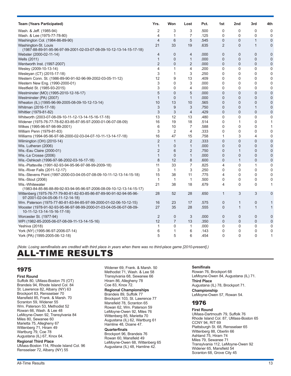<span id="page-12-0"></span>

| <b>Team (Years Participated)</b>                                                                         | Yrs.           | Won            | Lost           | Pct. | 1st            | 2nd              | 3rd            | 4th            |
|----------------------------------------------------------------------------------------------------------|----------------|----------------|----------------|------|----------------|------------------|----------------|----------------|
| Wash. & Jeff. (1985-94)                                                                                  | 2              | 3              | 3              | .500 | 0              | 0                | 0              | $\mathbf 0$    |
| Wash. & Lee (1975-77-78-80)                                                                              | 4              | $\mathbf{1}$   | $\overline{7}$ | .125 | 0              | 0                | $\mathbf 0$    | $\mathbf 0$    |
| Washington Col. (1984-86-89-90)                                                                          | $\overline{4}$ | 6              | 5              | .545 | 0              | 0                | 1              | $\mathbf 0$    |
| Washington-St. Louis                                                                                     | 21             | 33             | 19             | .635 | 2              | $\Omega$         | $\mathbf{1}$   | $\mathbf 0$    |
| (1987-88-89-91-95-96-97-99-2001-02-03-07-08-09-10-12-13-14-15-17-18)                                     |                |                |                |      |                |                  |                |                |
| Webster (2000-02-11-14)                                                                                  | 4              | $\mathbf{0}$   | 4              | .000 | 0              | $\mathbf{0}$     | $\overline{0}$ | $\mathbf{0}$   |
| Wells (2011)                                                                                             | $\mathbf{1}$   | $\mathbf{0}$   | $\mathbf{1}$   | .000 | $\overline{0}$ | $\boldsymbol{0}$ | $\overline{0}$ | $\overline{0}$ |
| Wentworth Inst. (1997-2007)                                                                              | $\overline{2}$ | $\mathbf{0}$   | $\overline{2}$ | .000 | $\overline{0}$ | $\mathbf{0}$     | $\overline{0}$ | $\mathbf 0$    |
| Wesley (2009-10-13-14)                                                                                   | $\overline{4}$ | $\mathbf{1}$   | 4              | .200 | 0              | 0                | 0              | $\mathbf 0$    |
| Wesleyan (CT) (2015-17-18)                                                                               | 3              | $\mathbf{1}$   | 3              | .250 | $\Omega$       | $\Omega$         | $\Omega$       | 0              |
| Western Conn. St. (1986-89-90-91-92-96-99-2002-03-05-11-12)                                              | 12             | 9              | 13             | .409 | 0              | $\Omega$         | $\Omega$       | $\mathbf 0$    |
| Western New Eng. (1990-2000-01)                                                                          | 3              | $\Omega$       | 3              | .000 | 0              | 0                | $\Omega$       | $\Omega$       |
| Westfield St. (1985-93-2015)                                                                             | 3              | 0              | 4              | .000 | 0              | 0                | 0              | $\mathbf 0$    |
| Westminster (MO) (1995-2010-12-16-17)                                                                    | 5              | $\overline{0}$ | 5              | .000 | $\overline{0}$ | $\overline{0}$   | $\overline{0}$ | $\overline{0}$ |
| Westminster (PA) (2007)                                                                                  | $\mathbf{1}$   | $\mathbf{0}$   | $\mathbf{1}$   | .000 | $\overline{0}$ | $\overline{0}$   | $\overline{0}$ | $\mathbf 0$    |
| Wheaton (IL) (1995-96-99-2005-08-09-10-12-13-14)                                                         | 10             | 13             | 10             | .565 | 0              | $\mathbf{0}$     | $\overline{0}$ | $\mathbf 0$    |
| Whitman (2016-17-18)                                                                                     | 3              | 9              | 3              | .750 | $\overline{0}$ | $\Omega$         | $\mathbf{1}$   | $\overline{0}$ |
| Whittier (1979-81-82)                                                                                    | 3              | 3              | $\overline{4}$ | .429 | $\mathbf{0}$   | $\mathbf{0}$     | $\overline{0}$ | $\mathbf 0$    |
| Whitworth (2003-07-08-09-10-11-12-13-14-15-16-17-18)                                                     | 13             | 12             | 13             | .480 | 0              | 0                | $\Omega$       | $\mathbf 0$    |
| Widener (1975-76-77-78-82-83-85-87-95-97-2000-01-06-07-08-09)                                            | 16             | 19             | 18             | .514 | 0              | 1                | 0              | $\mathbf{1}$   |
| Wilkes (1995-96-97-98-99-2001)                                                                           | 6              | 10             | $\overline{7}$ | .588 | 0              | 0                | $\overline{0}$ | $\mathbf{1}$   |
| William Penn (1979-81-83)                                                                                | 3              | $\overline{2}$ | 4              | .333 | 0              | 0                | $\Omega$       | $\mathbf 0$    |
| Williams (1994-95-96-97-98-2000-02-03-04-07-10-11-13-14-17-18)                                           | 16             | 47             | 15             | .758 | 1              | 3                | $\overline{4}$ | $\mathbf 0$    |
| Wilmington (OH) (2010-14)                                                                                | 2              | $\mathbf{1}$   | $\overline{2}$ | .333 | $\overline{0}$ | $\Omega$         | $\Omega$       | $\mathbf 0$    |
| Wis. Lutheran (2006)                                                                                     | $\mathbf{1}$   | $\mathbf{0}$   | $\mathbf{1}$   | .000 | $\overline{0}$ | 0                | $\overline{0}$ | $\overline{0}$ |
| Wis.-Eau Claire (2000-01)                                                                                | $\overline{2}$ | 6              | $\overline{2}$ | .750 | $\Omega$       | $\mathbf{1}$     | $\overline{0}$ | $\overline{0}$ |
| Wis.-La Crosse (2006)                                                                                    | $\mathbf{1}$   | $\mathbf{0}$   | $\mathbf{1}$   | .000 | $\overline{0}$ | $\overline{0}$   | $\overline{0}$ | $\mathbf 0$    |
| Wis.-Oshkosh (1996-97-98-2002-03-16-17-18)                                                               | 8              | 12             | 8              | .600 | $\overline{0}$ | $\mathbf{1}$     | $\overline{0}$ | $\mathbf 0$    |
| Wis.-Platteville (1991-92-93-94-95-96-97-98-99-2009-18)                                                  | 11             | 33             | 7              | .825 | 4              | 0                | 1              | $\mathbf 0$    |
| Wis.-River Falls (2011-12-17)                                                                            | 3              | $\mathbf{1}$   | 3              | .250 | 0              | 0                | $\Omega$       | $\mathbf 0$    |
| Wis.-Stevens Point (1997-2000-03-04-05-07-08-09-10-11-12-13-14-15-18)                                    | 15             | 38             | 11             | .775 | 4              | 0                | 0              | $\mathbf 0$    |
| Wis.-Stout (2006)                                                                                        | $\mathbf 1$    | $\mathbf{1}$   | $\mathbf{1}$   | .500 | 0              | 0                | 0              | $\mathbf 0$    |
| Wis.-Whitewater                                                                                          | 21             | 38             | 18             | .679 | 4              | 0                | $\mathbf{0}$   | $\mathbf{1}$   |
| (1983-84-85-86-88-89-92-93-94-95-96-97-2006-08-09-10-12-13-14-15-17)                                     |                |                |                |      |                |                  |                |                |
| Wittenberg (1975-76-77-79-80-81-82-83-85-86-87-89-90-91-92-94-95-96-<br>97-2001-02-04-05-06-11-12-14-18) | 28             | 52             | 28             | .650 | $\mathbf{1}$   | 3                | 3              | $\mathbf 0$    |
| Wm. Paterson (1975-77-80-81-83-84-85-97-99-2000-01-02-06-10-12-15)                                       | 16             | 23             | 17             | .575 | $\overline{0}$ | 1                | 0              | $\mathbf{1}$   |
| Wooster (1978-91-92-93-95-96-97-98-99-2000-01-03-04-05-06-07-08-09-<br>10-11-12-13-14-15-16-17-18)       | 27             | 35             | 28             | .555 | $\overline{0}$ | $\mathbf{1}$     | $\mathbf{1}$   | $\mathbf{1}$   |
| Worcester St. (1977-94)                                                                                  | $\overline{2}$ | $\mathbf 0$    | 3              | .000 | 0              | 0                | $\mathbf 0$    | $\mathbf 0$    |
| WPI (1982-85-2005-06-07-08-09-11-13-14-15-16)                                                            | 12             | $\overline{7}$ | 13             | .350 | 0              | 0                | $\mathbf 0$    | $\mathbf 0$    |
| Yeshiva (2018)                                                                                           | 1              | $\Omega$       | $\mathbf{1}$   | .000 | 0              | 0                | $\Omega$       | 0              |
| York (NY) (1995-96-97-2006-07-14)                                                                        | 6              | 1              | 6              | .143 | 0              | 0                | 0              | $\mathbf 0$    |
| York (PA) (1995-2005-06-12-18)                                                                           | 5              | 5              | 6              | .454 | $\Omega$       | $\Omega$         | 0              | $\mathbf{1}$   |
|                                                                                                          |                |                |                |      |                |                  |                |                |

ALL-TIME RESULTS *(Note: Losing semifinalists are credited with third place in years when there was no third-place game [2010-present].)*

## 1975

**First Round**

Suffolk 80, UMass-Boston 75 (OT) Brandeis 94, Rhode Island Col. 84 St. Lawrence 82, Albany (NY) 63 Brockport 83, Rensselaer 70 Mansfield 85, Frank. & Marsh. 70 Scranton 59, Widener 55 Wm. Paterson 53, Methodist 52 Rowan 66, Wash. & Lee 48 LeMoyne-Owen 92, Transylvania 84 Miles 80, Sewanee 60 Marietta 75, Allegheny 67 Wittenberg 71, Hiram 49 Wartburg 79, Coe 78 Augustana (IL) 67, Knox 64.

#### **Regional Third Place**

UMass-Boston 114, Rhode Island Col. 96 Rensselaer 72, Albany (NY) 55

Widener 69, Frank. & Marsh. 50 Methodist 71, Wash. & Lee 58 Transylvania 68, Sewanee 66 Hiram 86, Allegheny 78 Coe 83, Knox 72.

#### **Regional Championships**

Brandeis 89, Suffolk 77 Brockport 103, St. Lawrence 77 Mansfield 78, Scranton 65 Rowan 62, Wm. Paterson 59 LeMoyne-Owen 92, Miles 76 Wittenberg 85, Marietta 70 Augustana (IL) 62, Wartburg 61 Hamline 48, Doane 47.

### **Quarterfinals**

Brockport 96, Brandeis 76 Rowan 60, Mansfield 49 LeMoyne-Owen 68, Wittenberg 65 Augustana (IL) 48, Hamline 42.

#### **Semifinals**

Rowan 76, Brockport 68 LeMoyne-Owen 84, Augustana (IL) 71. **Third Place** Augustana (IL) 78, Brockport 71. **Championship** LeMoyne-Owen 57, Rowan 54.

## 1976

**First Round** UMass-Dartmouth 79, Suffolk 76 Rhode Island Col. 87, UMass-Boston 65 CCNY 94, RIT 69 Plattsburgh St. 68, Rensselaer 65 Wittenberg 88, Oberlin 66 Ashland 75, Hiram 74 Miles 79, Sewanee 71 Transylvania 112, LeMoyne-Owen 92 Widener 65, Mansfield 54 Scranton 68, Grove City 45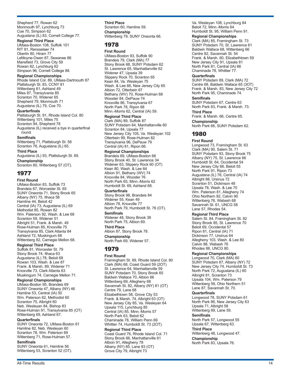Shepherd 77, Rowan 62 Monmouth 97, Lynchburg 73 Coe 70, Simpson 62 Augustana (IL) 83, Cornell College 77.

**Regional Third Place** UMass-Boston 108, Suffolk 101 RIT 81, Rensselaer 74 Oberlin 80, Hiram 77 LeMoyne-Owen 87, Sewanee 86 Mansfield 73, Grove City 59 Rowan 82, Lynchburg 62 Simpson 96, Cornell College 88.

#### **Regional Championships**

Rhode Island Col. 89, UMass-Dartmouth 87 Plattsburgh St. 83, CCNY 81 Wittenberg 61, Ashland 49 Miles 87, Transylvania 85 Scranton 70, Widener 65 Shepherd 79, Monmouth 71 Augustana (IL) 79, Coe 70.

#### **Quarterfinals**

Plattsburgh St. 91, Rhode Island Col. 80 Wittenberg 101, Miles 75 Scranton 94, Shepherd 78 Augustana (IL) received a bye in quarterfinal round.

#### **Semifinals**

Wittenberg 71, Plattsburgh St. 58 Scranton 76, Augustana (IL) 65.

**Third Place** Augustana (IL) 93, Plattsburgh St. 69.

**Championship** Scranton 60, Wittenberg 57 (OT).

## 1977

**First Round** UMass-Boston 83, Suffolk 73 Brandeis 67, Worcester St. 65 SUNY Oneonta 71, Stony Brook 65 Albany (NY) 75, Ithaca 58 Hamline 44, Beloit 42 Central (IA) 73, Augustana (IL) 69 Methodist 85, Rowan 82 Wm. Paterson 92, Wash. & Lee 68 Scranton 59, Widener 51 Albright 51, Frank. & Marsh. 49 Rose-Hulman 85, Knoxville 75 Transylvania 85, Clark Atlanta 84 Ashland 72, Muskingum 68 Wittenberg 82, Carnegie Mellon 68.

**Regional Third Place** Suffolk 81, Worcester St. 79 Stony Brook 74, Ithaca 63 Augustana (IL) 78, Beloit 68 Rowan 103, Wash. & Lee 87 Frank. & Marsh. 89, Widener 71

Knoxville 73, Clark Atlanta 63 Muskingum 74, Carnegie Mellon 71.

**Regional Championships** UMass-Boston 95, Brandeis 69 SUNY Oneonta 47, Albany (NY) 46 Hamline 53, Central (IA) 50 Wm. Paterson 62, Methodist 60 Scranton 75, Albright 60 Neb. Wesleyan 84, Bishop 83 Rose-Hulman 91, Transylvania 85 (OT) Wittenberg 69, Ashland 67.

#### **Quarterfinals**

SUNY Oneonta 72, UMass-Boston 61 Hamline 82, Neb. Wesleyan 60 Scranton 78, Wm. Paterson 69 Wittenberg 71, Rose-Hulman 57.

#### **Semifinals**

SUNY Oneonta 61, Hamline 56 Wittenberg 53, Scranton 52 (OT).

**Third Place** Scranton 60, Hamline 59. **Championship** Wittenberg 79, SUNY Oneonta 66.

#### 1978

**First Round**

UMass-Boston 93, Suffolk 90 Brandeis 79, Clark (MA) 77 Stony Brook 68, SUNY Potsdam 62 St. Lawrence 65, Manhattanville 62 Widener 47, Upsala 39 Slippery Rock 70, Scranton 65 Kean 84, Va. Wesleyan 75 Wash. & Lee 66, New Jersey City 65 Albion 72, Otterbein 67 Bethany (WV) 70, Rose-Hulman 68 Wooster 84, DePauw 74 Knoxville 86, Transylvania 67 North Park 78, Ripon 68 Minn.-Morris 62, Central (IA) 59.

**Regional Third Place**

Clark (MA) 89, Suffolk 87 SUNY Potsdam 64, Manhattanville 60 Scranton 84, Upsala 77 New Jersey City 105, Va. Wesleyan 102 Otterbein 99, Rose-Hulman 82 Transylvania 96, DePauw 79 Central (IA) 81, Ripon 66.

#### **Regional Championships**

Brandeis 69, UMass-Boston 68 Stony Brook 40, St. Lawrence 34 Widener 63, Slippery Rock 60 (OT) Kean 80, Wash. & Lee 64 Albion 91, Bethany (WV) 74 Knoxville 84, Wooster 76 North Park 65, Minn.-Morris 62 Humboldt St. 69, Ashland 68.

#### **Quarterfinals**

Stony Brook 98, Brandeis 84 Widener 55, Kean 49 Albion 78, Knoxville 77 North Park 79, Humboldt St. 76 (OT). **Semifinals** Widener 48, Stony Brook 38

North Park 75, Albion 69. **Third Place**

Albion 87, Stony Brook 78. **Championship**

North Park 69, Widener 57.

## 1979

## **First Round**

Framingham St. 89, Rhode Island Col. 80 Clark (MA) 68, Coast Guard 59 (2OT) St. Lawrence 64, Manhattanville 59 SUNY Potsdam 70, Stony Brook 65 Baldwin Wallace 70, Albion 66 Wittenberg 69, Allegheny 68 Savannah St. 82, Albany (NY) 81 (OT) Centre 79, Lane 68 Elizabethtown 58, Grove City 53 Frank. & Marsh. 74, Albright 63 (OT) New Jersey City 85, Va. Wesleyan 64 Upsala 115, Lynchburg 85 Central (IA) 85, Minn.-Morris 57 North Park 63, Beloit 62 Chaminade 78, William Penn 69 Whittier 74, Humboldt St. 73 (2OT). **Regional Third Place**

#### Coast Guard 76, Rhode Island Col. 71 Stony Brook 66, Manhattanville 61 Albion 91, Allegheny 78 Albany (NY) 85, Lane 83 (OT) Grove City 79, Albright 73

Va. Wesleyan 108, Lynchburg 84 Beloit 72, Minn.-Morris 64 Humboldt St. 95, William Penn 91.

#### **Regional Championships**

Clark (MA) 85, Framingham St. 73 SUNY Potsdam 70, St. Lawrence 61 Baldwin Wallace 68, Wittenberg 66 Centre 82, Savannah St. 54 Frank. & Marsh. 60, Elizabethtown 59 New Jersey City 91, Upsala 81 North Park 81, Central (IA) 66 Chaminade 78, Whittier 77.

#### **Quarterfinals**

SUNY Potsdam 89, Clark (MA) 72 Centre 68, Baldwin Wallace 65 (3OT) Frank. & Marsh. 83, New Jersey City 72 North Park 95, Chaminade 74.

#### **Semifinals**

SUNY Potsdam 67, Centre 63 North Park 83, Frank. & Marsh. 73. **Third Place**

Frank. & Marsh. 66, Centre 65.

**Championship** North Park 66, SUNY Potsdam 62.

## 1980

**First Round** Longwood 73, Framingham St. 63 Clark (MA) 90, Salem St. 71 SUNY Potsdam 93, Stony Brook 75 Albany (NY) 75, St. Lawrence 66 Humboldt St. 64, Occidental 54 New Jersey City 66, Beloit 55 North Park 91, Ripon 73 Augustana (IL) 76, Central (IA) 74 Albright 88, Ursinus 72 Scranton 51, Dickinson 48 Upsala 78, Wash. & Lee 70 Wm. Paterson 81, Allegheny 74 Ohio Northern 92, Calvin 90 Wittenberg 76, Wabash 68 Savannah St. 61, UNCG 58 Lane 57, Rhodes 54.

#### **Regional Third Place**

Salem St. 84, Framingham St. 82 Stony Brook 85, St. Lawrence 70 Beloit 69, Occidental 57 Ripon 81, Central (IA) 71 Dickinson 77, Ursinus 64 Allegheny 103, Wash. & Lee 80 Calvin 88, Wabash 76 Rhodes 88, UNCG 80.

#### **Regional Championships**

Longwood 70, Clark (MA) 60 SUNY Potsdam 87, Albany (NY) 72 New Jersey City 74, Humboldt St. 73 North Park 72, Augustana (IL) 60 Albright 81, Scranton 73 Upsala 104, Wm. Paterson 79 Wittenberg 59, Ohio Northern 51 Lane 87, Savannah St. 70.

#### **Quarterfinals**

Longwood 78, SUNY Potsdam 61 North Park 86, New Jersey City 63 Upsala 71, Albright 58 Wittenberg 69, Lane 59.

#### **Semifinals**

North Park 57, Longwood 55 Upsala 67, Wittenberg 63.

#### **Third Place**

Wittenberg 48, Longwood 47. **Championship** North Park 83, Upsala 76.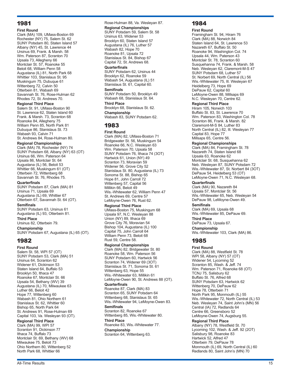## 1981

#### **First Round**

Clark (MA) 109, UMass-Boston 69 Rochester (NY) 75, Salem St. 62 SUNY Potsdam 80, Staten Island 57 Albany (NY) 45, St. Lawrence 44 Ursinus 69, Frank. & Marsh. 58 Wm. Paterson 87, Scranton 70 Upsala 73, Allegheny 66 Montclair St. 57, Roanoke 55 Beloit 68, William Penn 58 Augustana (IL) 81, North Park 68 Whittier 103, Stanislaus St. 95 Muskingum 75, Dubuque 61 Wittenberg 72, Calvin 50 Otterbein 81, Wabash 69 Savannah St. 76, Rose-Hulman 62 Rhodes 72, St. Andrews 70.

#### **Regional Third Place**

Salem St. 91, UMass-Boston 90 St. Lawrence 62, Staten Island 60 Frank. & Marsh. 73, Scranton 68 Roanoke 84, Allegheny 75 William Penn 85, North Park 81 Dubuque 86, Stanislaus St. 73 Wabash 93, Calvin 71 St. Andrews 84, Rose-Hulman 80.

#### **Regional Championships**

Clark (MA) 78, Rochester (NY) 74 SUNY Potsdam 68, Albany (NY) 63 (OT) Ursinus 66, Wm. Paterson 64 Upsala 86, Montclair St. 64 Augustana (IL) 56, Beloit 53 Whittier 66, Muskingum 61 (OT) Otterbein 72, Wittenberg 68 Savannah St. 76, Rhodes 75.

#### **Quarterfinals**

SUNY Potsdam 87, Clark (MA) 81 Ursinus 71, Upsala 69 Augustana (IL) 69, Whittier 67 Otterbein 67, Savannah St. 64 (OT).

#### **Semifinals**

SUNY Potsdam 63, Ursinus 61 Augustana (IL) 93, Otterbein 81.

**Third Place** Ursinus 82, Otterbein 79.

**Championship**

SUNY Potsdam 67, Augustana (IL) 65 (OT).

## 1982

**First Round** Salem St. 58, WPI 57 (OT) SUNY Potsdam 53, Clark (MA) 51 Ursinus 64, Scranton 62 Widener 61, Dickinson 53 Staten Island 64, Buffalo 53 Brooklyn 50, Ithaca 47 Roanoke 67, Montclair St. 66 Upsala 54, Bethany (WV) 39 Augustana (IL) 70, Milwaukee 63 Luther 66, Beloit 42 Hope 77, Wittenberg 60 Wabash 81, Ohio Northern 61 Stanislaus St. 62, Whittier 60 Bishop 65, North Park 64 St. Andrews 91, Rose-Hulman 69 Capital 103, Va. Wesleyan 93 (OT).

**Regional Third Place**

Clark (MA) 99, WPI 57 Scranton 91, Dickinson 77 Ithaca 74, Buffalo 73 Montclair St. 69, Bethany (WV) 68 Milwaukee 75, Beloit 73 Ohio Northern 80, Wittenberg 52 North Park 68, Whittier 66

Rose-Hulman 88, Va. Wesleyan 87. **Regional Championships** SUNY Potsdam 59, Salem St. 58 Ursinus 63, Widener 53 Brooklyn 60, Staten Island 57 Augustana (IL) 76, Luther 57 Wabash 82, Hope 70 Roanoke 81, Upsala 72 Stanislaus St. 84, Bishop 67 Capital 72, St. Andrews 68.

#### **Quarterfinals**

SUNY Potsdam 62, Ursinus 44 Brooklyn 62, Roanoke 59 Wabash 54, Augustana (IL) 51 Stanislaus St. 61, Capital 60.

#### **Semifinals**

SUNY Potsdam 50, Brooklyn 49 Wabash 68, Stanislaus St. 64. **Third Place**

## Brooklyn 68, Stanislaus St. 62.

**Championship** Wabash 83, SUNY Potsdam 62.

## 1983

**First Round** Clark (MA) 82, UMass-Boston 71 Bridgewater St. 56, Muskingum 54 Roanoke 66, N.C. Wesleyan 63 Wm. Paterson 70, Upsala 58 SUNY Potsdam 76, Ithaca 74 (3OT) Hartwick 61, Union (NY) 49 Scranton 73, Moravian 59 Widener 56, Grove City 52 Stanislaus St. 80, Augustana (IL) 73 Sonoma St. 88, Bishop 65 Hope 81, John Carroll 72 Wittenberg 57, Capital 56 Millikin 66, Beloit 49 Wis.-Whitewater 62, William Penn 47 St. Andrews 69, Centre 57 LeMoyne-Owen 76, Rust 62.

#### **Regional Third Place**

UMass-Boston 75, Muskingum 68 Upsala 97, N.C. Wesleyan 88 Union (NY) 89, Ithaca 69 Grove City 76, Moravian 54 Bishop 104, Augustana (IL) 100 Capital 75, John Carroll 64 William Penn 73, Beloit 68 Rust 59, Centre 58.

#### **Regional Championships**

Clark (MA) 82, Bridgewater St. 80 Roanoke 58, Wm. Paterson 56 SUNY Potsdam 60, Hartwick 56 Scranton 74, Widener 69 (3OT) Stanislaus St. 71, Sonoma St. 61 Wittenberg 63, Hope 55 Wis.-Whitewater 63, Millikin 61 LeMoyne-Owen 90, St. Andrews 88 (OT). **Quarterfinals** Roanoke 87, Clark (MA) 83

Scranton 65, SUNY Potsdam 64 Wittenberg 68, Stanislaus St. 65 Wis.-Whitewater 94, LeMoyne-Owen 83.

#### **Semifinals** Scranton 82, Roanoke 67

Wittenberg 85, Wis.-Whitewater 80. **Third Place**

Roanoke 83, Wis.-Whitewater 77.

**Championship** Scranton 64, Wittenberg 63.

## 1984

**First Round** Framingham St. 94, Hiram 76 Clark (MA) 88, Norwich 84 Staten Island 64, St. Lawrence 53 Nazareth 67, Buffalo St. 50 Roanoke 94, Washington Col. 74 Upsala 44, Wm. Paterson 43 Montclair St. 78, Scranton 60 Susquehanna 74, Frank. & Marsh. 58 Neb. Wesleyan 62, Claremont-M-S 47 SUNY Potsdam 68, Luther 57 St. Norbert 69, North Central (IL) 56 Wis.-Whitewater 75, Ill. Wesleyan 67 Heidelberg 73, Hope 69 DePauw 62, Capital 60 LeMoyne-Owen 88, Millsaps 69 N.C. Wesleyan 70, Centre 62.

#### **Regional Third Place**

Hiram 105, Norwich 103 Buffalo St. 83, St. Lawrence 70 Wm. Paterson 83, Washington Col. 78 Scranton 86, Frank. & Marsh. 82 Claremont-M-S 84, Luther 83 North Central (IL) 82, Ill. Wesleyan 77 Capital 83, Hope 77 Millsaps 65, Centre 56.

#### **Regional Championships**

Clark (MA) 84, Framingham St. 78 Nazareth 74, Staten Island 68 Upsala 63, Roanoke 62 Montclair St. 68, Susquehanna 62 Neb. Wesleyan 87, SUNY Potsdam 72 Wis.-Whitewater 87, St. Norbert 84 (3OT) DePauw 54, Heidelberg 53 (OT) LeMoyne-Owen 71, N.C. Wesleyan 68.

#### **Quarterfinals**

Clark (MA) 90, Nazareth 84 Upsala 57, Montclair St. 56 Wis.-Whitewater 65, Neb. Wesleyan 54 DePauw 98, LeMoyne-Owen 49.

#### **Semifinals**

Clark (MA) 69, Upsala 68 Wis.-Whitewater 85, DePauw 69. **Third Place**

DePauw 73, Upsala 67.

**Championship**

Wis.-Whitewater 103, Clark (MA) 86.

## 1985

**First Round** Clark (MA) 88, Westfield St. 78 WPI 58, Albany (NY) 57 (OT) Widener 54, Lycoming 52 Scranton 85, Wash. & Jeff. 74 Wm. Paterson 71, Roanoke 68 (OT) TCNJ 75, Salisbury 62 Buffalo St. 76, Alfred 68 SUNY Potsdam 63, Hartwick 62 Wittenberg 70, DePauw 62 Hope 78, Otterbein 71 North Park 95, Monmouth (IL) 55 Wis.-Whitewater 72, North Central (IL) 53 Neb. Wesleyan 74, Saint John's (MN) 56 Central (IA) 72, Redlands 64 Centre 66, Greensboro 52 LeMoyne-Owen 74, Augsburg 55.

## **Regional Third Place**

Albany (NY) 78, Westfield St. 70 Lycoming 102, Wash. & Jeff. 92 (2OT) Salisbury 98, Roanoke 83 Hartwick 52, Alfred 47 Otterbein 79, DePauw 78 Monmouth (IL) 69, North Central (IL) 60 Redlands 80, Saint John's (MN) 70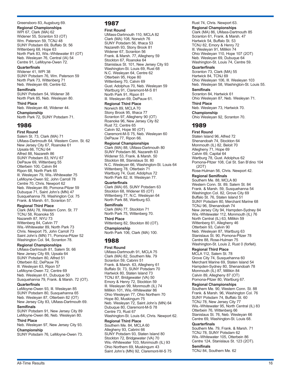#### Greensboro 83, Augsburg 69. **Regional Championships** WPI 67, Clark (MA) 62 Widener 55, Scranton 53 (OT) Wm. Paterson 59, TCNJ 48 SUNY Potsdam 69, Buffalo St. 56 Wittenberg 68, Hope 63 North Park 83, Wis.-Whitewater 81 (OT) Neb. Wesleyan 76, Central (IA) 54 Centre 91, LeMoyne-Owen 72.

#### **Quarterfinals**

Widener 41, WPI 38 SUNY Potsdam 76, Wm. Paterson 59 North Park 73, Wittenberg 71 Neb. Wesleyan 69, Centre 62.

#### **Semifinals**

SUNY Potsdam 54, Widener 38 North Park 85, Neb. Wesleyan 80. **Third Place**

Neb. Wesleyan 48, Widener 44. **Championship**

North Park 72, SUNY Potsdam 71.

## 1986

**First Round** Salem St. 73, Clark (MA) 71 UMass-Dartmouth 64, Western Conn. St. 62 New Jersey City 67, Roanoke 61 Upsala 66, TCNJ 64 Alfred 88, Nazareth 86 SUNY Potsdam 83, NYU 67 DePauw 69, Wittenberg 55 Otterbein 100, Calvin 84 Ripon 68, North Park 65 Ill. Wesleyan 79, Wis.-Whitewater 75 LeMoyne-Owen 92, John Carroll 78 Centre 70, Chris. Newport 62 Neb. Wesleyan 89, Pomona-Pitzer 59 Dubuque 71, Saint John's (MN) 47 Susquehanna 79, Washington Col. 75 Frank. & Marsh. 61, Scranton 57.

#### **Regional Third Place**

Clark (MA) 78, Western Conn. St. 77 TCNJ 58, Roanoke 55 Nazareth 87, NYU 73 Wittenberg 84, Calvin 77 Wis.-Whitewater 89, North Park 73 Chris. Newport 75, John Carroll 73 Saint John's (MN) 71, Pomona-Pitzer 52 Washington Col. 94, Scranton 78.

#### **Regional Championships**

UMass-Dartmouth 81, Salem St. 66 New Jersey City 69, Upsala 64 SUNY Potsdam 80, Alfred 51 Otterbein 82, DePauw 76 Ill. Wesleyan 63, Ripon 57 LeMoyne-Owen 72, Centre 69 Neb. Wesleyan 61, Dubuque 50 Susquehanna 79, Frank. & Marsh. 72 (OT).

#### **Quarterfinals**

LeMoyne-Owen 93, Ill. Wesleyan 85 SUNY Potsdam 80, Susquehanna 65 Neb. Wesleyan 87, Otterbein 82 (OT) New Jersey City 83, UMass-Dartmouth 69.

#### **Semifinals**

SUNY Potsdam 91, New Jersey City 89 LeMoyne-Owen 86, Neb. Wesleyan 80.

#### **Third Place**

Neb. Wesleyan 97, New Jersey City 93. **Championship**

SUNY Potsdam 76, LeMoyne-Owen 73.

## 1987

#### **First Round**

UMass-Dartmouth 110, MCLA 82 Clark (MA) 108, Norwich 76 SUNY Potsdam 56, Ithaca 53 Nazareth 93, Stony Brook 81 Widener 67, Scranton 56 Frank. & Marsh. 77, Allegheny 59 Stockton 67, Roanoke 64 Stanislaus St. 101, New Jersey City 93 Washington-St. Louis 69, Rust 68 N.C. Wesleyan 64, Centre 62 Otterbein 95, Hope 80 Wittenberg 70, Calvin 69 Gust. Adolphus 70, Neb. Wesleyan 59 Wartburg 91, Claremont-M-S 81 North Park 91, Ripon 81 Ill. Wesleyan 69, DePauw 61.

#### **Regional Third Place**

Norwich 89, MCLA 70 Stony Brook 95, Ithaca 77 Scranton 97, Allegheny 90 (OT) Roanoke 96, New Jersey City 82 Rust 72, Centre 65 Calvin 92, Hope 90 (OT) Claremont-M-S 75, Neb. Wesleyan 60 DePauw 77, Ripon 66.

## **Regional Championships**

Clark (MA) 88, UMass-Dartmouth 80 SUNY Potsdam 86, Nazareth 63 Widener 53, Frank. & Marsh. 50 Stockton 88, Stanislaus St. 80 N.C. Wesleyan 66, Washington-St. Louis 64 Wittenberg 78, Otterbein 71 Wartburg 74, Gust. Adolphus 72 North Park 82, Ill. Wesleyan 77.

#### **Quarterfinals**

Clark (MA) 65, SUNY Potsdam 63 Stockton 68, Widener 65 (OT) Wittenberg 77, N.C. Wesleyan 64 North Park 88, Wartburg 63.

#### **Semifinals**

Clark (MA) 77, Stockton 71 North Park 75, Wittenberg 70. **Third Place**

Wittenberg 82, Stockton 80 (OT). **Championship**

North Park 106, Clark (MA) 100.

## 1988

**First Round** UMass-Dartmouth 91, MCLA 75 Clark (MA) 82, Southern Me. 79 Scranton 59, Cabrini 51 Frank. & Marsh. 63, Allegheny 61 Buffalo St. 73, SUNY Potsdam 70 Hartwick 80, Staten Island 73 TCNJ 87, Bridgewater (VA) 50 Emory & Henry 72, Stockton 59 Ill. Wesleyan 99, Monmouth (IL) 74 Millikin 101, Wis.-Whitewater 86 Ohio Wesleyan 77, Ohio Northern 70 Hope 80, Muskingum 75 Neb. Wesleyan 72, Saint John's (MN) 64 Dubuque 80, Claremont-M-S 78 Centre 73, Rust 67 Washington-St. Louis 64, Chris. Newport 62.

#### **Regional Third Place** Southern Me. 84, MCLA 60 Allegheny 93, Cabrini 66 SUNY Potsdam 93, Staten Island 80 Stockton 72, Bridgewater (VA) 70 Wis.-Whitewater 103, Monmouth (IL) 93 Ohio Northern 69, Muskingum 43 Saint John's (MN) 92, Claremont-M-S 75

## Rust 74, Chris. Newport 63.

**Regional Championships** Clark (MA) 86, UMass-Dartmouth 85 Scranton 61, Frank. & Marsh. 47 Hartwick 54, Buffalo St. 53 TCNJ 82, Emory & Henry 72 Ill. Wesleyan 91, Millikin 74 Ohio Wesleyan 110, Hope 107 (2OT) Neb. Wesleyan 69, Dubuque 64 Washington-St. Louis 74, Centre 59.

#### **Quarterfinals**

Scranton 73, Clark (MA) 55 Hartwick 84, TCNJ 69 Ohio Wesleyan 106, Ill. Wesleyan 103 Neb. Wesleyan 58, Washington-St. Louis 55.

#### **Semifinals**

Scranton 84, Hartwick 61 Ohio Wesleyan 87, Neb. Wesleyan 71. **Third Place**

Neb. Wesleyan 73, Hartwick 70. **Championship**

Ohio Wesleyan 92, Scranton 70.

## 1989

**First Round** Staten Island 96, Alfred 72 Shenandoah 74, Stockton 64 Monmouth (IL) 82, Beloit 70 Allegheny 71, Hope 69 Calvin 69, Capital 64 Wartburg 78, Gust. Adolphus 62 Pomona-Pitzer 108, Cal St. San B'dino 104 (2OT) Rose-Hulman 56, Chris. Newport 42. **Regional Semifinals** Southern Me. 88, MCLA 80 Western Conn. St. 89, Salem St. 84 Frank. & Marsh. 59, Susquehanna 54 Washington Col. 82, Grove City 69 Buffalo St. 76, Staten Island 51 SUNY Potsdam 80, Merchant Marine 68 TCNJ 96, Shenandoah 74 New Jersey City 94, Hampden-Sydney 84 Wis.-Whitewater 112, Monmouth (IL) 76 North Central (IL) 63, Millikin 59 Wittenberg 61, Allegheny 46 Otterbein 93, Calvin 90 Neb. Wesleyan 87, Wartburg 63 Stanislaus St. 90, Pomona-Pitzer 78 Centre 88, Rose-Hulman 75 Washington-St. Louis 2, Rust 0 (forfeit).

#### **Regional Third Place**

MCLA 112, Salem St. 78 Grove City 74, Susquehanna 60 Merchant Marine 69, Staten Island 54 Hampden-Sydney 80, Shenandoah 78 Monmouth (IL) 87, Millikin 84 Calvin 89, Allegheny 87 (OT) Pomona-Pitzer 80, Wartburg 67.

#### **Regional Championships**

Southern Me. 90, Western Conn. St. 88 Frank. & Marsh. 96, Washington Col. 76 SUNY Potsdam 74, Buffalo St. 60 TCNJ 78, New Jersey City 77 Wis.-Whitewater 95, North Central (IL) 83 Otterbein 76, Wittenberg 66 Stanislaus St. 76, Neb. Wesleyan 66 Centre 69, Washington-St. Louis 68.

#### **Quarterfinals**

Southern Me. 79, Frank. & Marsh. 71 TCNJ 78, SUNY Potsdam 62 Wis.-Whitewater 105, Otterbein 86 Centre 124, Stanislaus St. 123 (2OT). **Semifinals**

TCNJ 84, Southern Me. 62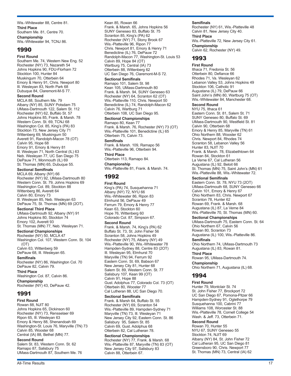Wis.-Whitewater 88, Centre 81. **Third Place** Southern Me. 81, Centre 70. **Championship** Wis.-Whitewater 94, TCNJ 86.

## 1990

**First Round** Southern Me. 74, Western New Eng. 52 Rochester (NY) 73, Nazareth 54 Johns Hopkins 90, FDU-Florham 72 Stockton 100, Hunter 84 Muskingum 70, Otterbein 64 Emory & Henry 91, Chris. Newport 80 Ill. Wesleyan 83, North Park 68 Dubuque 84, Claremont-M-S 77.

#### **Second Round**

MCLA 88, Southern Me. 79 Albany (NY) 85, SUNY Potsdam 75 UMass-Dartmouth 122, Salem St. 112 Rochester (NY) 62, Buffalo St. 57 Johns Hopkins 85, Frank. & Marsh. 78 Western Conn. St. 69, TCNJ 68 Washington Col. 85, King's (PA) 83 Stockton 73, New Jersey City 71 Wittenberg 69, Muskingum 50 Averett 91, Randolph-Macon 78 (OT) Calvin 95, Hope 68 Emory 91, Emory & Henry 81 Ill. Wesleyan 71, North Central (IL) 63 Neb. Wesleyan 77, UC San Diego 75 DePauw 71, Monmouth (IL) 69 St. Thomas (MN) 65, Dubuque 55.

#### **Sectional Semifinals**

MCLA 69, Albany (NY) 66 Rochester (NY) 92, UMass-Dartmouth 80 Western Conn. St. 79, Johns Hopkins 69 Washington Col. 89, Stockton 88 Wittenberg 86, Averett 64 Calvin 80, Emory 73 Ill. Wesleyan 85, Neb. Wesleyan 63 DePauw 75, St. Thomas (MN) 69 (2OT).

#### **Sectional Third Place**

UMass-Dartmouth 92, Albany (NY) 91 Johns Hopkins 80, Stockton 74 Emory 102, Averett 93 St. Thomas (MN) 77, Neb. Wesleyan 71.

#### **Sectional Championships**

Rochester (NY) 50, MCLA 47 Washington Col. 107, Western Conn. St. 104 (OT)

Calvin 63, Wittenberg 59 DePauw 68, Ill. Wesleyan 65.

**Semifinals**

Rochester (NY) 86, Washington Col. 70 DePauw 82, Calvin 79. **Third Place**

Washington Col. 87, Calvin 86. **Championship**

Rochester (NY) 43, DePauw 42.

## 1991

#### **First Round**

Rowan 88, NJIT 80 Johns Hopkins 65, Dickinson 60 Rochester (NY) 73, Rensselaer 69 Ripon 65, Ill. Wesleyan 63 Emory & Henry 88, Shenandoah 69 Washington-St. Louis 76, Maryville (TN) 73 Calvin 85, Wooster 68 Central (IA) 88, Bethel (MN) 77.

#### **Second Round**

Salem St. 83, Western Conn. St. 62 Ramapo 87, Salisbury 75 UMass-Dartmouth 87, Southern Me. 76

Kean 85, Rowan 66 Frank. & Marsh. 65, Johns Hopkins 56 SUNY Geneseo 83, Buffalo St. 75 Scranton 85, King's (PA) 62 Rochester (NY) 71, Stony Brook 67 Wis.-Platteville 96, Ripon 77 Chris. Newport 81, Emory & Henry 71 Benedictine (IL) 76, DePauw 72 Randolph-Macon 77, Washington-St. Louis 53 Calvin 89, Hope 84 (OT) Wartburg 75, Central (IA) 73 Otterbein 88, Wittenberg 62 UC San Diego 76, Claremont-M-S 72.

#### **Sectional Semifinals**

Ramapo 101, Salem St. 98 Kean 105, UMass-Dartmouth 80 Frank. & Marsh. 94, SUNY Geneseo 63 Rochester (NY) 64, Scranton 62 (OT) Wis.-Platteville 110, Chris. Newport 50 Benedictine (IL) 74, Randolph-Macon 62 Calvin 76, Wartburg 71 Otterbein 108, UC San Diego 95.

#### **Sectional Championships**

Ramapo 80, Kean 77 Frank. & Marsh. 76, Rochester (NY) 73 (OT) Wis.-Platteville 101, Benedictine (IL) 65 Otterbein 75, Calvin 73.

## **Semifinals**

Frank. & Marsh. 109, Ramapo 56 Wis.-Platteville 96, Otterbein 94.

**Third Place** Otterbein 113, Ramapo 84.

**Championship** Wis.-Platteville 81, Frank. & Marsh. 74.

## 1992

**First Round** King's (PA) 74, Susquehanna 71 Albany (NY) 72, NYU 66 Wis.-Whitewater 86, Ripon 83 Elmhurst 56, DePauw 49 Ferrum 79, Emory & Henry 77 Kean 63, Stockton 60 Hope 76, Wittenberg 60 Colorado Col. 87, Simpson 67.

#### **Second Round**

Frank. & Marsh. 74, King's (PA) 62 Buffalo St. 73, St. John Fisher 56 Scranton 58, Johns Hopkins 49 Rochester (NY) 75, Albany (NY) 49 Wis.-Platteville 90, Wis.-Whitewater 78 Hampden-Sydney 88, Centre 83 (2OT) Ill. Wesleyan 95, Elmhurst 70 Maryville (TN) 94, Ferrum 92 Eastern Conn. St. 69, Babson 67 New Jersey City 81, Hunter 68 Salem St. 89, Western Conn. St. 77 Salisbury 107, Kean 99 (OT) Calvin 91, Hope 88 Gust. Adolphus 77, Colorado Col. 73 (OT) Otterbein 80, Wooster 77 Cal Lutheran 88, UC San Diego 70.

#### **Sectional Semifinals**

Frank. & Marsh 64, Buffalo St. 55 Rochester (NY) 69, Scranton 54 Wis.-Platteville 89, Hampden-Sydney 71 Maryville (TN) 73, Ill. Wesleyan 71 New Jersey City 92, Eastern Conn. St. 86 Salisbury 95, Salem St. 85 Calvin 69, Gust. Adolphus 68 Otterbein 82, Cal Lutheran 78.

#### **Sectional Championships**

Rochester (NY) 77, Frank. & Marsh. 68 Wis.-Platteville 87, Maryville (TN) 83 (OT) New Jersey City 97, Salisbury 83 Calvin 88, Otterbein 67.

#### **Semifinals**

Rochester (NY) 61, Wis.-Platteville 48 Calvin 81, New Jersey City 40. **Third Place** Wis.-Platteville 72, New Jersey City 61. **Championship** Calvin 62, Rochester (NY) 49.

## 1993

#### **First Round**

Ithaca 71, Fredonia St. 56 Otterbein 80, Defiance 66 Rhodes 71, Va. Wesleyan 62 Lebanon Valley 53, Johns Hopkins 49 Stockton 106, Catholic 91 Augustana (IL) 79, DePauw 66 Saint John's (MN) 80, Wartburg 75 (OT) Wis.-Whitewater 84, Manchester 68.

#### **Second Round**

NYU 75, Ithaca 61 Eastern Conn. St. 81, Salem St. 71 SUNY Geneseo 80, Buffalo St. 69 UMass-Dartmouth 90, Westfield St. 81 Calvin 90, Otterbein 68 Emory & Henry 85, Maryville (TN) 61 Ohio Northern 88, Wooster 62 Chris. Newport 84, Rhodes 74 Scranton 58, Lebanon Valley 56 Hunter 83, NJIT 70 Frank. & Marsh. 78, Elizabethtown 64 Rowan 84, Stockton 61 La Verne 67, Cal Lutheran 56 Augustana (IL) 92, Beloit 66 St. Thomas (MN) 75, Saint John's (MN) 61 Wis.-Platteville 88, Wis.-Whitewater 72.

#### **Sectional Semifinals**

Eastern Conn. St. 78, NYU 73 (2OT) UMass-Dartmouth 68, SUNY Geneseo 66 Calvin 101, Emory & Henry 67 Ohio Northern 83, Chris. Newport 67 Scranton 78, Hunter 62 Rowan 69, Frank. & Marsh. 68 Augustana (IL) 87, La Verne 84 Wis.-Platteville 70, St. Thomas (MN) 60.

#### **Sectional Championships**

UMass-Dartmouth 75, Eastern Conn. St. 64 Ohio Northern 67, Calvin 56 Rowan 80, Scranton 73 Augustana (IL) 100, Wis.-Platteville 86.

## **Semifinals**

Ohio Northern 74, UMass-Dartmouth 73 Augustana (IL) 83, Rowan 81. **Third Place**

## Rowan 95, UMass-Dartmouth 74.

**Championship** Ohio Northern 71, Augustana (IL) 68.

## 1994

#### **First Round**

Hunter 79, Montclair St. 74 St. John Fisher 77, Brockport 72 UC San Diego 67, Pomona-Pitzer 66 Hampden-Sydney 91, Oglethorpe 79 Susquehanna 100, Cabrini 77 Williams 108, Worcester St. 88 Wis.-Platteville 78, Cornell College 54 Wash. & Jeff. 73, Otterbein 71.

#### **Second Round**

Rowan 70, Hunter 55 NYU 67, SUNY Geneseo 55 Stockton 74, NJIT 69 Albany (NY) 84, St. John Fisher 72 Cal Lutheran 95, UC San Diego 81 Greensboro 90, Chris. Newport 77 St. Thomas (MN) 73, Central (IA) 62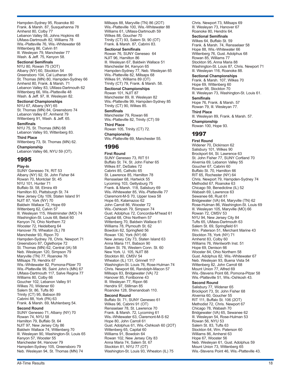Hampden-Sydney 95, Roanoke 80 Frank. & Marsh. 87, Susquehanna 78 Amherst 80, Colby 77 Lebanon Valley 58, Johns Hopkins 48 UMass-Dartmouth 82, Williams 78 Wis.-Platteville 76, Wis.-Whitewater 68 Wittenberg 86, Calvin 81 Ill. Wesleyan 79, Manchester 77 Wash. & Jeff. 75, Kenyon 58.

#### **Sectional Semifinals**

NYU 80, Rowan 75 (3OT) Albany (NY) 60, Stockton 54 Greensboro 104, Cal Lutheran 99 St. Thomas (MN) 80, Hampden-Sydney 66 Amherst 80, Frank. & Marsh. 71 Lebanon Valley 83, UMass-Dartmouth 62 Wittenberg 66, Wis.-Platteville 48 Wash. & Jeff. 97, Ill. Wesleyan 82.

## **Sectional Championships**

NYU 67, Albany (NY) 65 St. Thomas (MN) 84, Greensboro 74 Lebanon Valley 87, Amherst 79 Wittenberg 91, Wash. & Jeff. 65.

**Semifinals** NYU 75, St. Thomas (MN) 68 Lebanon Valley 93, Wittenberg 83.

**Third Place** Wittenberg 73, St. Thomas (MN) 62.

**Championship** Lebanon Valley 66, NYU 59 (OT).

## 1995

**Play-In**

SUNY Geneseo 74, RIT 53 Albany (NY) 92, St. John Fisher 84 Rowan 70, Montclair St. 45 NYU 101, Hunter 71 Buffalo St. 58, Elmira 49 Hamilton 83, Plattsburgh St. 74 New Jersey City 109, Staten Island 91 NJIT 87, York (NY) 70 Baldwin Wallace 72, Hope 69 Wittenberg 62, Calvin 57 Ill. Wesleyan 115, Westminster (MO) 74 Washington-St. Louis 68, Beloit 60 Kenyon 74, Ohio Northern 72 Wooster 72, Heidelberg 64 Hanover 79, Wheaton (IL) 78 Manchester 93, Ripon 70 Hampden-Sydney 78, Chris. Newport 71 Greensboro 87, Oglethorpe 72 St. Thomas (MN) 62, Central (IA) 58 Neb. Wesleyan 120, Simpson 79 Maryville (TN) 77, Roanoke 76 Millsaps 79, Hendrix 67 Wis.-Whitewater 82, Pomona-Pitzer 70 Wis.-Platteville 99, Saint John's (MN) 67 UMass-Dartmouth 117, Salve Regina 77 Williams 80, Colby 66 Goucher 102, Lebanon Valley 91 Wilkes 70, Widener 60 Salem St. 86, Tufts 80 Trinity (CT) 95, Babson 89 Cabrini 88, York (PA) 63 Frank. & Marsh. 69, Muhlenberg 54. **Second Round** SUNY Geneseo 71, Albany (NY) 70

Rowan 74, NYU 58 Hamilton 79, Buffalo St. 64 NJIT 97, New Jersey City 86 Baldwin Wallace 74, Wittenberg 70 Ill. Wesleyan 90, Washington-St. Louis 65 Kenyon 57, Wooster 55 Manchester 84, Hanover 79 Hampden-Sydney 105, Greensboro 79 Neb. Wesleyan 94, St. Thomas (MN) 74

Millsaps 88, Maryville (TN) 86 (2OT) Wis.-Platteville 100, Wis.-Whitewater 88 Williams 61, UMass-Dartmouth 59 Wilkes 88, Goucher 70 Trinity (CT) 93, Salem St. 90 (OT) Frank. & Marsh. 87, Cabrini 83. **Sectional Semifinals**

Rowan 76, SUNY Geneseo 64 NJIT 96, Hamilton 86 Ill. Wesleyan 67, Baldwin Wallace 51 Manchester 84, Kenyon 65 Hampden-Sydney 77, Neb. Wesleyan 65 Wis.-Platteville 82, Millsaps 68 Wilkes 91, Williams 89 (OT) Trinity (CT) 79, Frank. & Marsh. 58.

#### **Sectional Championships**

Rowan 101, NJIT 87 Manchester 89, Ill. Wesleyan 82 Wis.-Platteville 99, Hampden-Sydney 85 Trinity (CT) 90, Wilkes 85.

#### **Semifinals**

Manchester 79, Rowan 66 Wis.-Platteville 82, Trinity (CT) 59 **Third Place** Rowan 105, Trinity (CT) 72. **Championship** Wis.-Platteville 69, Manchester 55.

## 1996

**First Round** SUNY Geneseo 73, RIT 51 Buffalo St. 74, St. John Fisher 65 Wilkes 87, DeSales 72 Cabrini 85, Catholic 65 St. Lawrence 85, Hamilton 78 Rensselaer 68, Hartwick 55 Lycoming 103, Gettysburg 75 Frank. & Marsh. 118, Salisbury 69 Wis.-Whitewater 85, Wis.-Platteville 77 Claremont-M-S 70, Upper Iowa 58 Hope 65, Kalamazoo 62 John Carroll 86, Wooster 72 Wis.-Oshkosh 79, Simpson 74 Gust. Adolphus 72, Concordia-M'head 61 Capital 68, Ohio Northern 57 Wittenberg 70, Baldwin Wallace 61 Williams 78, Plymouth St. 62 Bowdoin 62, Springfield 56 Rowan 130, York (NY) 66 New Jersey City 73, Staten Island 63 Anna Maria 111, Babson 90 Salem St. 76, Western Conn. St. 60 New York. U. 105, NJIT 88 Stockton 80, CMSV 54 Wheaton (IL) 131, Grinnell 117 Washington-St. Louis 76, Rose-Hulman 74 Chris. Newport 66, Randolph-Macon 57 Millsaps 83, Bridgewater (VA) 72 Hanover 85, Fontbonne 43 Ill. Wesleyan 77, Ripon 66 Hendrix 97, Stillman 85 Roanoke 128, Shenandoah 110. **Second Round** Buffalo St. 71, SUNY Geneseo 61 Wilkes 96, Cabrini 91 (OT) Rensselaer 78, St. Lawrence 70 Frank. & Marsh. 72, Lycoming 61 Wis.-Whitewater 63, Claremont-M-S 62 Hope 80, John Carroll 61 Gust. Adolphus 61, Wis.-Oshkosh 60 (2OT) Wittenberg 65, Capital 60 Williams 91, Bowdoin 64 Rowan 102, New Jersey City 83 Anna Maria 74, Salem St. 67 Stockton 81, NYU 77 (OT) Washington-St. Louis 93, Wheaton (IL) 75

Chris. Newport 73, Millsaps 69 Ill. Wesleyan 73, Hanover 67 Roanoke 80, Hendrix 64.

**Sectional Semifinals** Wilkes 64, Buffalo St. 59 Frank. & Marsh. 74, Rensselaer 58 Hope 88, Wis.-Whitewater 66 Wittenberg 76, Gust. Adolphus 68 Rowan 85, Williams 77 Stockton 95, Anna Maria 88 Washington-St. Louis 87, Chris. Newport 71 Ill. Wesleyan 116, Roanoke 88.

#### **Sectional Championships**

Frank. & Marsh. 107, Wilkes 70 Hope 69, Wittenberg 60 Rowan 98, Stockton 70 Ill. Wesleyan 73, Washington-St. Louis 61.

#### **Semifinals**

Hope 76, Frank. & Marsh. 57 Rowan 79, Ill. Wesleyan 77.

**Third Place** Ill. Wesleyan 89, Frank. & Marsh. 57. **Championship** Rowan 100, Hope 93.

## 1997

**First Round** Widener 70, Dickinson 62 Salisbury 101, Wilkes 90 Brockport 64, St. Lawrence 63 St. John Fisher 77, SUNY Cortland 70 Alvernia 69, Lebanon Valley 55 Goucher 67, Cabrini 60 Buffalo St. 70, Hamilton 66 RIT 65, Rochester (NY) 64 Chris. Newport 79, Hampden-Sydney 74 Methodist 67, Roanoke 63 Chicago 59, Benedictine (IL) 52 Wabash 69, Lawrence 63 Sewanee 68, Rust 61 Bridgewater (VA) 64, Maryville (TN) 62 Rose-Hulman 86, Washington-St. Louis 69 Ill. Wesleyan 105, Maryville (MO) 66 Rowan 72, CMSV 53 NYU 94, New Jersey City 84 Tufts 65, UMass-Dartmouth 63 Salem St. 69, Springfield 61 Wm. Paterson 51, Merchant Marine 43 Stockton 78, York (NY) 71 Amherst 83, Colby 60 Williams 76, Wentworth Inst. 51 Hope 69, Denison 66 Wooster 84, Ohio Northern 58 Gust. Adolphus 82, Wis.-Whitewater 67 Neb. Wesleyan 93, Buena Vista 54 Wittenberg 82, John Carroll 68 Mount Union 77, Alfred 69 Wis.-Stevens Point 68, Pomona-Pitzer 58 Wis.-Platteville 51, Wis.-Oshkosh 43. **Second Round** Salisbury 77, Widener 65 Brockport 73, St. John Fisher 68 Alvernia 60, Goucher 55 RIT 111, Buffalo St. 106 (2OT) Methodist 72, Chris. Newport 67 Chicago 78, Wabash 70 Bridgewater (VA) 65, Sewanee 62 Ill. Wesleyan 54, Rose-Hulman 53 Rowan 56, NYU 53 Salem St. 83, Tufts 63 Stockton 64, Wm. Paterson 60 Williams 86, Amherst 63 Hope 67, Wooster 56 Neb. Wesleyan 61, Gust. Adolphus 59 Mount Union 73, Wittenberg 65 Wis.-Stevens Point 46, Wis.-Platteville 43.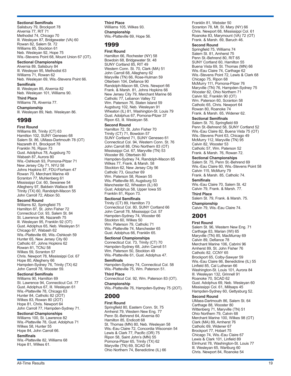#### **Sectional Semifinals**

Salisbury 79, Brockport 78 Alvernia 77, RIT 71 Methodist 74, Chicago 70 Ill. Wesleyan 87, Bridgewater (VA) 60 Rowan 82, Salem St. 72 Williams 85, Stockton 61 Neb. Wesleyan 92, Hope 75 Wis.-Stevens Point 68, Mount Union 67 (OT). **Sectional Championships** Alvernia 89, Salisbury 84 Ill. Wesleyan 95, Methodist 63 Williams 71, Rowan 62 Neb. Wesleyan 69, Wis.-Stevens Point 66. **Semifinals** Ill. Wesleyan 85, Alvernia 82 Neb. Wesleyan 101, Williams 90. **Third Place** Williams 78, Alvernia 77. **Championship** Ill. Wesleyan 89, Neb. Wesleyan 86.

## 1998

**First Round** Williams 89, Trinity (CT) 63 Hamilton 102, SUNY Geneseo 68 Salem St. 86, UMass-Dartmouth 78 (OT) Nazareth 81, Brockport 78 Franklin 76, Ripon 73 Gust. Adolphus 78, Augsburg 70 Wabash 87, Aurora 80 Wis.-Oshkosh 93, Pomona-Pitzer 71 New Jersey City 71, NYU 58 Johns Hopkins 87, FDU-Florham 47 Rowan 70, Merchant Marine 49 Scranton 77, Muhlenberg 61 Mississippi Col. 60, Sewanee 54 Allegheny 97, Baldwin Wallace 88 Trinity (TX) 60, Randolph-Macon 55 John Carroll 72, Albion 50.

#### **Second Round**

Williams 82, Springfield 75 Hamilton 87, St. John Fisher 72 Connecticut Col. 93, Salem St. 84 St. Lawrence 96, Nazareth 75 Ill. Wesleyan 95, Franklin 92 (OT) Gust. Adolphus 65, Neb. Wesleyan 51 Chicago 67, Wabash 62 Wis.-Platteville 69, Wis.-Oshkosh 59 Hunter 65, New Jersey City 60 Catholic 67, Johns Hopkins 62 Rowan 81, TCNJ 58 Wilkes 59, Scranton 57 Chris. Newport 78, Mississippi Col. 67 Hope 80, Allegheny 66 Hampden-Sydney 76, Trinity (TX) 62 John Carroll 78, Wooster 59.

#### **Sectional Semifinals**

Williams 90, Hamilton 69 St. Lawrence 94, Connecticut Col. 77 Gust. Adolphus 67, Ill. Wesleyan 61 Wis.-Platteville 78, Chicago 63 Hunter 84, Catholic 82 (2OT) Wilkes 83, Rowan 80 (2OT) Hope 81, Chris. Newport 64 John Carroll 77, Hampden-Sydney 71.

#### **Sectional Championships**

Williams 100, St. Lawrence 82 Wis.-Platteville 78, Gust. Adolphus 71 Wilkes 58, Hunter 55 Hope 84, John Carroll 66.

#### **Semifinals**

Wis.-Platteville 82, Williams 68 Hope 81, Wilkes 61.

**Third Place** Williams 105, Wilkes 93. **Championship** Wis.-Platteville 69, Hope 56.

#### 1999

**First Round**

Hamilton 66, Rochester (NY) 58 Bowdoin 68, Bridgewater St. 48 SUNY Cortland 85, RIT 49 Western Conn. St. 70, Clark (MA) 51 John Carroll 68, Allegheny 62 Maryville (TN) 66, Rose-Hulman 59 Otterbein 104, Defiance 90 Randolph-Macon 68, Chris. Newport 66 Frank. & Marsh. 81, Johns Hopkins 66 New Jersey City 79, Merchant Marine 66 Catholic 77, Lebanon Valley 72 Wm. Paterson 76, Staten Island 59 Augsburg 102, Neb. Wesleyan 91 Wheaton (IL) 81, Washington-St. Louis 79 Gust. Adolphus 67, Pomona-Pitzer 37 Ripon 63, Ill. Wesleyan 58.

#### **Second Round**

Hamilton 72, St. John Fisher 70 Trinity (CT) 71, Bowdoin 57 SUNY Cortland 71, SUNY Geneseo 61 Connecticut Col. 94, Western Conn. St. 76 John Carroll 88, Ohio Northern 83 (OT) Mississippi Col. 67, Maryville (TN) 53 Wooster 89, Otterbein 80 Hampden-Sydney 74, Randolph-Macon 65 Wilkes 77, Frank. & Marsh. 58 Stockton 62, New Jersey City 56 Catholic 73, Goucher 69 Wm. Paterson 58, Rowan 55 Wis.-Platteville 85, Augsburg 53 Manchester 62, Wheaton (IL) 60 Gust. Adolphus 58, Upper Iowa 55 Franklin 81, Ripon 73.

#### **Sectional Semifinals**

Trinity (CT) 89, Hamilton 73 Connecticut Col. 80, SUNY Cortland 66 John Carroll 78, Mississippi Col. 57 Hampden-Sydney 74, Wooster 66 Stockton 60, Wilkes 50 Wm. Paterson 79, Catholic 71 Wis.-Platteville 74, Manchester 65 Gust. Adolphus 66, Franklin 65.

#### **Sectional Championships**

Connecticut Col. 73, Trinity (CT) 70 Hampden-Sydney 68, John Carroll 51 Wm. Paterson 50, Stockton 49 Wis.-Platteville 61, Gust. Adolphus 47.

#### **Semifinals**

Hampden-Sydney 74, Connecticut Col. 58 Wis.-Platteville 75, Wm. Paterson 51.

#### **Third Place**

Connecticut Col. 92, Wm. Paterson 83 (OT). **Championship**

Wis.-Platteville 76, Hampden-Sydney 75 (2OT).

## 2000

#### **First Round**

Springfield 80, Eastern Conn. St. 75 Amherst 79, Western New Eng. 77 Penn St.-Behrend 64, Alvernia 60 Hamilton 85, Endicott 68 St. Thomas (MN) 80, Neb. Wesleyan 58 Wis.-Eau Claire 72, Concordia Wisconsin 54 Lewis & Clark 77, Pacific (OR) 75 Ripon 58, Saint John's (MN) 55 Pomona-Pitzer 65, Trinity (TX) 62 Maryville (TN) 69, SCAD 54 Ohio Northern 74, Benedictine (IL) 66

Franklin 81, Webster 50 Scranton 78, Mt. St. Mary (NY) 66 Chris. Newport 68, Mississippi Col. 61 Roanoke 83, Marymount (VA) 72 (OT) Frank. & Marsh. 69, Baruch 46.

#### **Second Round**

Springfield 75, Williams 74 Salem St. 81, Amherst 75 Penn St.-Behrend 80, RIT 65 SUNY Cortland 60, Hamilton 55 Buena Vista 69, St. Thomas (MN) 66 Wis.-Eau Claire 74, Carthage 62 Wis.-Stevens Point 72, Lewis & Clark 68 Chicago 75, Ripon 68 McMurry 111, Pomona-Pitzer 76 Maryville (TN) 76, Hampden-Sydney 75 Wooster 82, Ohio Northern 71 Calvin 92, Franklin 90 (OT) Wm. Paterson 60, Scranton 58 Catholic 65, Chris. Newport 64 Rowan 80, Roanoke 74 Frank. & Marsh. 65, Widener 62.

#### **Sectional Semifinals**

Salem St. 70, Springfield 69 Penn St.-Behrend 58, SUNY Cortland 52 Wis.-Eau Claire 82, Buena Vista 75 (OT) Wis.-Stevens Point 63, Chicago 49 McMurry 112, Maryville (TN) 95 Calvin 82, Wooster 53 Catholic 57, Wm. Paterson 52 Frank. & Marsh. 76, Rowan 72.

#### **Sectional Championships**

Salem St. 75, Penn St.-Behrend 69 Wis.-Eau Claire 60, Wis.-Stevens Point 58 Calvin 115, McMurry 79 Frank. & Marsh. 85, Catholic 74. **Semifinals**

Wis.-Eau Claire 70, Salem St. 42 Calvin 79, Frank. & Marsh. 77.

**Third Place** Salem St. 79, Frank. & Marsh. 75.

**Championship** Calvin 79, Wis.-Eau Claire 74.

## 2001

#### **First Round**

Salem St. 96, Western New Eng. 71 Carthage 83, Marian (WI) 65 Maryville (TN) 85, MacMurray 69 Calvin 89, Defiance 78 Merchant Marine 106, Cabrini 96 Amherst 89, St. John Fisher 76 Catholic 82, CCNY 65 Brockport 65, Colby-Sawyer 59 Wis.-Eau Claire 66, Benedictine (IL) 55 Linfield 85, Cal Lutheran 66 Washington-St. Louis 101, Aurora 84 Ill. Wesleyan 132, Grinnell 91 Roanoke 70, SCAD 62 Gust. Adolphus 69, Neb. Wesleyan 60 Mississippi Col. 61, Millsaps 45 Hampden-Sydney 60, Gettysburg 52. **Second Round** UMass-Dartmouth 86, Salem St. 64

Carthage 88, Wooster 80 Wittenberg 71, Maryville (TN) 51 Ohio Northern 79, Calvin 68 Merchant Marine 100, Wilkes 98 (OT) Clark (MA) 89, Amherst 76 Catholic 69, Widener 67 Brockport 77, Hobart 75 Chicago 74, Wis.-Eau Claire 67 Lewis & Clark 101, Linfield 89 Elmhurst 78, Washington-St. Louis 77 Ill. Wesleyan 65, Wartburg 60 Chris. Newport 84, Roanoke 54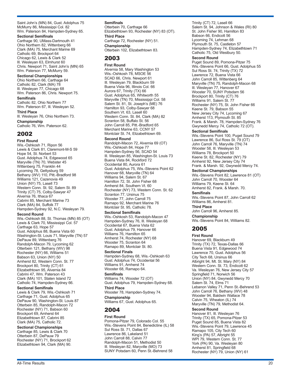Saint John's (MN) 84, Gust. Adolphus 75 McMurry 86, Mississippi Col. 82 Wm. Paterson 84, Hampden-Sydney 65.

**Sectional Semifinals**

Carthage 90, UMass-Dartmouth 41 Ohio Northern 82, Wittenberg 66 Clark (MA) 75, Merchant Marine 69 Catholic 69, Brockport 64 Chicago 62, Lewis & Clark 52 Ill. Wesleyan 63, Elmhurst 60 Chris. Newport 71, Saint John's (MN) 65 Wm. Paterson 77, McMurry 59.

**Sectional Championships**

Ohio Northern 66, Carthage 64 Catholic 82, Clark (MA) 78 Ill. Wesleyan 77, Chicago 68 Wm. Paterson 86, Chris. Newport 75.

**Semifinals** Catholic 82, Ohio Northern 77 Wm. Paterson 67, Ill. Wesleyan 52. **Third Place** Ill. Wesleyan 76, Ohio Northern 73.

**Championship** Catholic 76, Wm. Paterson 62.

## 2002

**First Round** Wis.-Oshkosh 71, Ripon 56 Lewis & Clark 81, Claremont-M-S 59 Hope 54, St. Norbert 53 Gust. Adolphus 74, Edgewood 65 Maryville (TN) 70, Webster 45 Wittenberg 75, Franklin 44 Lycoming 78, Gettysburg 59 Bethany (WV) 110, Pitt.-Bradford 98 Williams 121, Cazenovia 49 Union (NY) 75, Lasell 73 Western Conn. St. 92, Salem St. 89 Trinity (CT) 75, Colby-Sawyer 47 Alvernia 76, Ithaca 67 Cabrini 85, Merchant Marine 73 Clark (MA) 84, Suffolk 77 Hampden-Sydney 92, N.C. Wesleyan 79.

#### **Second Round**

Wis.-Oshkosh 88, St. Thomas (MN) 85 (OT) Lewis & Clark 70, Mississippi Col. 57 Carthage 63, Hope 57 Gust. Adolphus 88, Buena Vista 60 Washington-St. Louis 71, Maryville (TN) 57 DePauw 89, Wittenberg 76 Randolph-Macon 79, Lycoming 62 Otterbein 121, Bethany (WV) 98 Rochester (NY) 66, Williams 51 Babson 63, Union (NY) 50 Amherst 82, Western Conn. St. 77 Brockport 80, Trinity (CT) 61 Elizabethtown 95, Alvernia 84 Cabrini 47, Wm. Paterson 43 Clark (MA) 101, Staten Island 72 Catholic 74, Hampden-Sydney 66.

#### **Sectional Semifinals**

Lewis & Clark 79, Wis.-Oshkosh 71 Carthage 71, Gust. Adolphus 65 DePauw 90, Washington-St. Louis 87 Otterbein 85, Randolph-Macon 72 Rochester (NY) 71, Babson 60 Brockport 69, Amherst 64 Elizabethtown 87, Cabrini 85 Clark (MA) 75, Catholic 72.

**Sectional Championships** Carthage 85, Lewis & Clark 70 Otterbein 87, DePauw 79 Rochester (NY) 71, Brockport 62 Elizabethtown 94, Clark (MA) 90.

#### **Semifinals**

Otterbein 70, Carthage 66 Elizabethtown 93, Rochester (NY) 83 (OT). **Third Place** Carthage 72, Rochester (NY) 51. **Championship** Otterbein 102, Elizabethtown 83.

## 2003

**First Round**

Alvernia 58, Mary Washington 53 Wis.-Oshkosh 78, MSOE 56 SCAD 66, Chris. Newport 61 Ill. Wesleyan 79, Blackburn 59 Buena Vista 96, Illinois Col. 66 Aurora 67, Trinity (TX) 66 Gust. Adolphus 65, Whitworth 55 Maryville (TN) 70, Mississippi Col. 58 Salem St. 81, St. Joseph's (ME) 76 Hamilton 93, Colby-Sawyer 68 Southern Vt. 63, Lasell 60 Western Conn. St. 84, Clark (MA) 82 Scranton 58, Buffalo St. 56 John Carroll 85, Pitt.-Bradford 65 Merchant Marine 63, CCNY 57 Montclair St. 74, Elizabethtown 69.

#### **Second Round**

Randolph-Macon 72, Alvernia 69 (OT) Wis.-Oshkosh 84, Hope 77 Hampden-Sydney 56, SCAD 54 Ill. Wesleyan 85, Washington-St. Louis 73 Buena Vista 84, Rockford 72 Occidental 80, Aurora 61 Gust. Adolphus 75, Wis.-Stevens Point 62 Hanover 68, Maryville (TN) 64 Williams 94, Salem St. 67 Hamilton 72, St. John Fisher 68 Amherst 84, Southern Vt. 60 Rochester (NY) 73, Western Conn. St. 62 Scranton 77, Ursinus 75 Wooster 77, John Carroll 75 Ramapo 92, Merchant Marine 76 Montclair St. 95, Catholic 78.

#### **Sectional Semifinals**

Wis.-Oshkosh 53, Randolph-Macon 47 Hampden-Sydney 76, Ill. Wesleyan 68 Occidental 67, Buena Vista 62 Gust. Adolphus 79, Hanover 66 Williams 76, Hamilton 65 Amherst 74, Rochester (NY) 68 Wooster 75, Scranton 64 Ramapo 89, Montclair St. 80. **Sectional Finals**

Hampden-Sydney 68, Wis.-Oshkosh 63 Gust. Adolphus 74, Occidental 56 Williams 91, Amherst 74 Wooster 68, Ramapo 64.

#### **Semifinals**

Williams 74, Wooster 72 (OT) Gust. Adolphus 79, Hampden-Sydney 68. **Third Place**

Wooster 78, Hampden-Sydney 74. **Championship** Williams 67, Gust. Adolphus 65.

## 2004

#### **First Round**

Pomona-Pitzer 79, Colorado Col. 55 Wis.-Stevens Point 84, Benedictine (IL) 58 Sul Ross St. 71, Dallas 67 Lawrence 86, Lakeland 51 John Carroll 88, Calvin 77 Randolph-Macon 51, Methodist 50 Ill. Wesleyan 82, Maryville (MO) 73 SUNY Potsdam 60, Penn St.-Behrend 58

Trinity (CT) 72, Lasell 66 Salem St. 94, Johnson & Wales (RI) 80 St. John Fisher 90, Hamilton 83 Babson 66, Endicott 56 Lycoming 74, Lehman 68 Plymouth St. 75, Castleton 57 Hampden-Sydney 74, Elizabethtown 71 Catholic 75, Old Westbury 50.

#### **Second Round**

Puget Sound 89, Pomona-Pitzer 75 Wis.-Stevens Point 66, Gust. Adolphus 55 Sul Ross St. 74, Trinity (TX) 72 Lawrence 72, Buena Vista 66 John Carroll 85, Wittenberg 64 Maryville (TN) 75, Randolph-Macon 68 Ill. Wesleyan 77, Hanover 67 Wooster 70, SUNY Potsdam 56 Brockport 80, Trinity (CT) 76 Williams 91, Salem St. 77 Rochester (NY) 75, St. John Fisher 66 Keene St. 79, Babson 55 New Jersey City 74, Lycoming 67 Amherst 113, Plymouth St. 85 Frank. & Marsh. 78, Hampden-Sydney 76 Gwynedd Mercy 74, Catholic 72 (OT).

#### **Sectional Semifinals**

Wis.-Stevens Point 100, Puget Sound 79 Lawrence 86, Sul Ross St. 79 (OT) John Carroll 76, Maryville (TN) 74 Wooster 58, Ill. Wesleyan 53 Williams 78, Brockport 50 Keene St. 82, Rochester (NY) 79 Amherst 92, New Jersey City 74 Frank. & Marsh. 92, Gwynedd Mercy 74.

#### **Sectional Championships**

Wis.-Stevens Point 82, Lawrence 81 (OT) John Carroll 70, Wooster 64 Williams 79, Keene St. 64 Amherst 82, Frank. & Marsh. 70. **Semifinals**

Wis.-Stevens Point 87, John Carroll 62 Williams 86, Amherst 81.

**Third Place** John Carroll 96, Amherst 85.

**Championship** Wis.-Stevens Point 84, Williams 82.

## 2005

#### **First Round**

Hanover 69, Blackburn 49 Trinity (TX) 72, Texas-Dallas 66 Buena Vista 91, Edgewood 74 Lawrence 70, Gust. Adolphus 56 City Tech 68, Ursinus 66 Albright 94, Mt. St. Mary (NY) 84 Western Conn. St. 73, Endicott 62 Va. Wesleyan 76, New Jersey City 57 Springfield 71, Norwich 56 Union (NY) 84, Gwynedd Mercy 70 Salem St. 74, Elms 71 Lebanon Valley 71, Penn St.-Behrend 53 John Carroll 76, Bethany (WV) 48 Wooster 94, Baldwin Wallace 78 Calvin 75, Wheaton (IL) 74 Maryville (TN) 79, Methodist 64.

#### **Second Round**

Hanover 81, Ill. Wesleyan 76 Trinity (TX) 65, Pomona-Pitzer 53 Puget Sound 85, Buena Vista 82 Wis.-Stevens Point 79, Lawrence 45 Ramapo 105, City Tech 60 King's (PA) 57, Albright 55 WPI 79, Western Conn. St. 77 York (PA) 90, Va. Wesleyan 80 Amherst 81, Springfield 68 Rochester (NY) 79, Union (NY) 61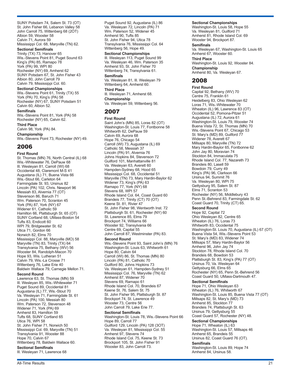SUNY Potsdam 74, Salem St. 73 (OT) St. John Fisher 66, Lebanon Valley 58 John Carroll 75, Wittenberg 68 (2OT) Albion 59, Wooster 58 Calvin 71, Aurora 59 Mississippi Col. 68, Maryville (TN) 62. **Sectional Semifinals**

Trinity (TX) 73, Hanover 65 Wis.-Stevens Point 81, Puget Sound 63 King's (PA) 85, Ramapo 78 York (PA) 99, WPI 80 Rochester (NY) 69, Amherst 62 SUNY Potsdam 67, St. John Fisher 43 Albion 80, John Carroll 79 Calvin 79, Mississippi Col. 60.

**Sectional Championships** Wis.-Stevens Point 61, Trinity (TX) 55 York (PA) 70, King's (PA) 58 Rochester (NY) 67, SUNY Potsdam 51 Calvin 60, Albion 52.

#### **Semifinals**

Wis.-Stevens Point 81, York (PA) 58 Rochester (NY) 65, Calvin 62. **Third Place** Calvin 98, York (PA) 84. **Championship** Wis.-Stevens Point 73, Rochester (NY) 49.

## 2006

**First Round** St. Thomas (MN) 76, North Central (IL) 68 Wis.-Whitewater 76, DePauw 68 Ill. Wesleyan 81, Carroll (WI) 68 Occidental 48, Claremont M-S 41 Augustana (IL) 71, Buena Vista 66 Wis.-Stout 66, Carleton 64 Farmingdale St. 93, Ursinus 82 Lincoln (PA) 102, Chris. Newport 96 Messiah 83, Alvernia 77 (OT) Stevenson 86, Baruch 71 Wm. Paterson 70, Scranton 45 York (PA) 87, York (NY) 67 Widener 61, Catholic 59 Hamilton 66, Plattsburgh St. 65 (OT) SUNY Cortland 68, UMass-Boston 54 Tufts 83, Endicott 60 WPI 79, Bridgewater St. 62 Utica 71, Gordon 66 Norwich 82, Elms 70 Mississippi Col. 88, Maryville (MO) 58 Maryville (TN) 83, Trinity (TX) 64 Transylvania 75, Bethany (WV) 56 Wooster 84, Randolph-Macon 70 Hope 93, Wis. Lutheran 51 Calvin 79, Wis.-La Crosse 71 Wittenberg 76, Lake Erie 40 Baldwin Wallace 79, Carnegie Mellon 71.

## **Second Round**

Lawrence 63, St. Thomas (MN) 59 Ill. Wesleyan 85, Wis.-Whitewater 71 Puget Sound 89, Occidental 81 Augustana (IL) 77, Wis.-Stout 70 Va. Wesleyan 71, Farmingdale St. 61 Lincoln (PA) 100, Messiah 80 Wm. Paterson 72, Stevenson 48 Widener 71, York (PA) 69 Amherst 83, Hamilton 59 Tufts 68, SUNY Cortland 65 Utica 76, WPI 58 St. John Fisher 71, Norwich 50 Mississippi Col. 69, Maryville (TN) 51 Transylvania 91, Wooster 88 Hope 70, Calvin 67 Wittenberg 78, Baldwin Wallace 60. **Sectional Semifinals**

Ill. Wesleyan 71, Lawrence 68

Puget Sound 92, Augustana (IL) 86 Va. Wesleyan 72, Lincoln (PA) 71 Wm. Paterson 52, Widener 45 Amherst 90, Tufts 85 St. John Fisher 94, Utica 78 Transylvania 76, Mississippi Col. 64 Wittenberg 56, Hope 49.

#### **Sectional Championships**

Ill. Wesleyan 113, Puget Sound 99 Va. Wesleyan 46, Wm. Paterson 35 Amherst 93, St. John Fisher 70 Wittenberg 74, Transylvania 61.

**Semifinals**

Va. Wesleyan 81, Ill. Wesleyan 79 Wittenberg 64, Amherst 60. **Third Place**

Ill. Wesleyan 71, Amherst 68. **Championship**

Va. Wesleyan 59, Wittenberg 56.

## 2007

**First Round** Saint John's (MN) 85, Loras 82 (OT) Washington-St. Louis 77, Fontbonne 58 Whitworth 62, DePauw 59 Calvin 69, Aurora 68 Hope 76, Chicago 54 Carroll (WI) 73, Augustana (IL) 69 Catholic 58, Messiah 37 Lincoln (PA) 91, Alvernia 76 Johns Hopkins 84, Stevenson 72 Guilford 101, Manhattanville 81 Va. Wesleyan 63, Averett 60 Hampden-Sydney 68, Hood 65 Mississippi Col. 68, Occidental 51 Maryville (TN) 73, Mary Hardin-Baylor 62 Widener 73, King's (PA) 63 Ramapo 77, York (NY) 68 Stevens 68, WPI 57 Rhode Island Col. 64, Coast Guard 60 Brandeis 77, Trinity (CT) 70 (OT) Keene St. 81, Rivier 47 St. John Fisher 98, Wentworth Inst. 72 Plattsburgh St. 61, Rochester (NY) 60 St. Lawrence 85, Elms 79 Brockport 74, Williams 66 Wooster 92, Transylvania 66 Centre 69, Capital 55 John Carroll 87, Westminster (PA) 83. **Second Round** Wis.-Stevens Point 93, Saint John's (MN) 76 Washington-St. Louis 63, Whitworth 61 Hope 80, Calvin 64 Carroll (WI) 86, St. Thomas (MN) 80 Lincoln (PA) 81, Catholic 70 Guilford 80, Johns Hopkins 73 Va. Wesleyan 61, Hampden-Sydney 51 Mississippi Col. 76, Maryville (TN) 62 Amherst 87, Widener 70 Stevens 69, Ramapo 61 Rhode Island Col. 70, Brandeis 67 Keene St. 76, Salem St. 75 St. John Fisher 95, Plattsburgh St. 87 Brockport 74, St. Lawrence 49 Wooster 73, Centre 56 John Carroll 79, Lake Erie 77. **Sectional Semifinals**

Washington-St. Louis 78, Wis.-Stevens Point 66 Hope 89, Carroll 77 Guilford 129, Lincoln (PA) 128 (3OT) Va. Wesleyan 81, Mississippi Col. 55 Amherst 97, Stevens 74 Rhode Island Col. 75, Keene St. 73 Brockport 105, St. John Fisher 91 Wooster 83, John Carroll 73.

#### **Sectional Championships**

Washington-St. Louis 58, Hope 55 Va. Wesleyan 81, Guilford 71 Amherst 81, Rhode Island Col. 69 Wooster 94, Brockport 87. **Semifinals**

Va. Wesleyan 67, Washington-St. Louis 65 Amherst 67, Wooster 60.

**Third Place** Washington-St. Louis 92, Wooster 84. **Championship** Amherst 80, Va. Wesleyan 67.

## 2008

**First Round** Capital 92, Bethany (WV) 70 Centre 75, Franklin 61 Heidelberg 83, Ohio Wesleyan 62 Loras 71, Wis.-Whitewater 70 Wheaton (IL) 96, Lawrence 83 (OT) Occidental 52, Pomona-Pitzer 51 Augustana (IL) 72, Aurora 61 Washington-St. Louis 79, Wooster 74 Buena Vista 72, St. Thomas (MN) 70 Wis.-Stevens Point 67, Chicago 53 St. Mary's (MD) 89, Guilford 77 Widener 78, Averett 67 Millsaps 80, Maryville (TN) 72 Mary Hardin-Baylor 65, Fontbonne 62 John Jay 80, Moravian 74 Stockton 84, Immaculata 75 Rhode Island Col. 77, Nazareth 73 Brandeis 80, Lasell 59 Bowdoin 79, Curry 49 King's (PA) 96, Clarkson 66 Ursinus 94, Summit 76 Va. Wesleyan 80, WPI 75 Gettysburg 95, Salem St. 87 Elms 71, Scranton 53 Rochester (NY) 56, Middlebury 43 Penn St.-Behrend 83, Farmingdale St. 62 Coast Guard 70, Trinity (CT) 65. **Second Round** Hope 92, Capital 72 Ohio Wesleyan 82, Centre 65 Wheaton (IL) 76, Loras 73 Whitworth 83, Occidental 75 Washington-St. Louis 70, Augustana (IL) 67 (OT) Buena Vista 54, Wis.-Stevens Point 53 St. Mary's (MD) 83, Widener 74 Millsaps 57, Mary Hardin-Baylor 56 Amherst 96, John Jay 74 Stockton 78, Rhode Island Col. 70 Brandeis 68, Bowdoin 53 Plattsburgh St. 83, King's (PA) 77 (OT) Ursinus 70, Va. Wesleyan 64 Gettysburg 66, Elms 65 Rochester (NY) 65, Penn St.-Behrend 56 Coast Guard 50, UMass-Dartmouth 47. **Sectional Semifinals** Hope 71, Ohio Wesleyan 63 Wheaton (IL) 76, Whitworth 67 Washington-St. Louis 85, Buena Vista 77 (OT) Millsaps 82, St. Mary's (MD) 73 Amherst 85, Stockton 77 Brandeis 74, Plattsburgh St. 63 Ursinus 79, Gettysburg 55 Coast Guard 57, Rochester (NY) 48. **Sectional Championships**

Hope 71, Wheaton (IL) 63 Washington-St. Louis 57, Millsaps 46 Amherst 65, Brandeis 55 Ursinus 82, Coast Guard 76 (OT).

**Semifinals** Washington-St. Louis 89, Hope 74 Amherst 84, Ursinus 58.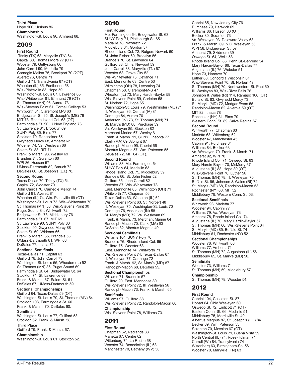**Third Place** Hope 100, Ursinus 86. **Championship** Washington-St. Louis 90, Amherst 68.

## 2009

**First Round** Trinity (TX) 68, Maryville (TN) 64 Capital 80, Thomas More 77 (OT) Wooster 79, Gettysburg 66 John Carroll 90, Medaille 79 Carnegie Mellon 75, Brockport 70 (2OT) Averett 76, Centre 71 Guilford 71, Transylvania 67 (OT) Wheaton (IL) 85, Fontbonne 58 Wis.-Platteville 83, Hope 59 Washington-St. Louis 67, Lawrence 65 Wis.-Whitewater 81, Elmhurst 79 (OT) St. Thomas (MN) 96, Aurora 73 Wis.-Stevens Point 61, Cornell College 53 Whitworth 81, Claremont M-S 63 Bridgewater St. 95, St. Joseph's (ME) 79 MIT 73, Rhode Island Col. 68 (OT) Farmingdale St. 90, U New England 73 St. Lawrence 81, Brooklyn 69 SUNY Poly 85, Elms 77 Stockton 79, Rensselaer 65 Gwynedd Mercy 68, Amherst 62 Widener 74, Va. Wesleyan 66 Salem St. 83, RIT 71 Frank. & Marsh. 93, Wesley 69 Brandeis 74, Scranton 60 WPI 86, Husson 57 UMass-Dartmouth 82, Baruch 72 DeSales 86, St. Joseph's (L.I.) 78. **Second Round** Texas-Dallas 70, Trinity (TX) 54 Capital 72, Wooster 70 John Carroll 76, Carnegie Mellon 74 Guilford 91, Averett 81 Wheaton (IL) 74, Wis.-Platteville 69 (OT) Washington-St. Louis 73, Wis.-Whitewater 70 St. Thomas (MN) 53, Wis.-Stevens Point 30 Puget Sound 84, Whitworth 72 Bridgewater St. 78, Middlebury 76 Farmingdale St. 67, MIT 61 St. Lawrence 90, SUNY Poly 80 Stockton 95, Gwynedd Mercy 88 Salem St. 69, Widener 66 Frank. & Marsh. 65, Brandeis 53 UMass-Dartmouth 81, WPI 68 DeSales 77, Ithaca 71.

#### **Sectional Semifinals**

Texas-Dallas 71, Capital 63 Guilford 78, John Carroll 73 Washington-St. Louis 55, Wheaton (IL) 52 St. Thomas (MN) 86, Puget Sound 69 Farmingdale St. 84, Bridgewater St. 64 Stockton 71, St. Lawrence 68 Frank. & Marsh. 67, Salem St. 61 DeSales 67, UMass-Dartmouth 59.

#### **Sectional Championships**

Guilford 64, Texas-Dallas 59 (OT) Washington-St. Louis 79, St. Thomas (MN) 64 Stockton 103, Farmingdale St. 60 Frank. & Marsh. 70, DeSales 60.

#### **Semifinals**

Washington-St. Louis 77, Guilford 58 Stockton 62, Frank. & Marsh. 58.

## **Third Place**

Guilford 79, Frank. & Marsh. 67. **Championship**

Washington-St. Louis 61, Stockton 52.

## 2010

#### **First Round**

Me.-Farmington 64, Bridgewater St. 63 SUNY Poly 71, Plattsburgh St. 65 Medaille 78, Nazareth 72 Middlebury 64, Gordon 57 Rhode Island Col. 72, Rutgers-Newark 60 St. John Fisher 60, Brooklyn 56 Brandeis 76, St. Lawrence 64 Guilford 83, Chris. Newport 59 John Carroll 88, Maryville (TN) 67 Wooster 63, Grove City 52 Wis.-Whitewater 75, Defiance 71 East. Mennonite 63, Centre 53 Wilmington (OH) 78, Lycoming 74 Chapman 58, Claremont-M-S 47 Wheaton (IL) 73, Mary Hardin-Baylor 58 Wis.-Stevens Point 59, Carleton 58 St. Norbert 72, Hope 65 Washington-St. Louis 79, Westminster (MO) 71 Ill. Wesleyan 86, Central (IA) 81 Carthage 84, Aurora 70 Anderson (IN) 73, St. Thomas (MN) 71 St. Mary's (MD) 88, Purchase 59 Va. Wesleyan 85, Stockton 82 Merchant Marine 67, Wesley 61 Frank. & Marsh. 91, SUNY Oneonta 77 Clark (MA) 69, Albright 67 Randolph-Macon 95, Cabrini 66 Albertus Magnus 57, Wm. Paterson 55 DeSales 72, MIT 64 (OT). **Second Round** Williams 83, Me.-Farmington 64 SUNY Poly 64, Medaille 63 Rhode Island Col. 75, Middlebury 59 Brandeis 66, St. John Fisher 52 Guilford 85, John Carroll 82 Wooster 87, Wis.-Whitewater 78 East. Mennonite 85, Wilmington (OH) 71 Whitworth 77, Chapman 56 Texas-Dallas 63, Wheaton (IL) 62 Wis.-Stevens Point 63, St. Norbert 48 Ill. Wesleyan 75, Washington-St. Louis 70 Carthage 76, Anderson (IN) 58 St. Mary's (MD) 72, Va. Wesleyan 69 Frank. & Marsh. 73, Merchant Marine 64 Randolph-Macon 70, Clark (MA) 60 DeSales 82, Albertus Magnus 49.

#### **Sectional Semifinals**

Williams 104, SUNY Poly 70 Brandeis 76, Rhode Island Col. 65 Guilford 75, Wooster 68 East. Mennonite 74, Whitworth 71 Wis.-Stevens Point 74, Texas-Dallas 67 Ill. Wesleyan 77, Carthage 72 Frank. & Marsh. 92, St. Mary's (MD) 87 Randolph-Macon 68, DeSales 55.

#### **Sectional Championships**

Williams 71, Brandeis 57 Guilford 90, East. Mennonite 80 Wis.-Stevens Point 72, Ill. Wesleyan 56 Randolph-Macon 73, Frank. & Marsh. 65.

## **Semifinals**

Williams 97, Guilford 88 Wis.-Stevens Point 72, Randolph-Macon 60. **Championship** Wis.-Stevens Point 78, Williams 73.

## 2011

#### **First Round**

Chapman 62, Redlands 38 Marietta 67, Centre 62 Wittenberg 74, La Roche 68 Wooster 74, Benedictine (IL) 68 Manchester 70, Bethany (WV) 58 Cabrini 85, New Jersey City 76 Purchase 79, Hartwick 69 Williams 86, Husson 83 (OT) Becker 80, Scranton 73 Va. Wesleyan 93, Delaware Valley 63 Frank. & Marsh. 69, N.C. Wesleyan 56 WPI 58, Bridgewater St. 57 Amherst 79, Skidmore 39 Oswego St. 64, Wells 58 Rhode Island Col. 83, Penn St.-Behrend 54 Mary Hardin-Baylor 86, Texas-Dallas 77 Augustana (IL) 76, Webster 51 Hope 73, Hanover 70 Luther 68, Concordia Wisconsin 61 Wis.-Stevens Point 70, St. Norbert 49 St. Thomas (MN) 70, Northwestern-St. Paul 60 Ill. Wesleyan 83, Wis.-River Falls 76 Johnson & Wales (RI) 114, Ramapo 106 (OT) Buffalo St. 83, Gwynedd Mercy 73 St. Mary's (MD) 72, Medgar Evers 55 Randolph-Macon 62, Alvernia 59 (OT) MIT 82, Ithaca 78 Rochester (NY) 81, Elms 70 Western Conn. St. 89, Salve Regina 67. **Second Round** Whitworth 77, Chapman 63 Marietta 63, Wittenberg 62 Wooster 47, Manchester 45 Cabrini 91, Purchase 84 Williams 84, Becker 63 Va. Wesleyan 79, Frank. & Marsh. 71 Amherst 92, WPI 70 Rhode Island Col. 71, Oswego St. 63 Mary Hardin-Baylor 70, McMurry 67 Augustana (IL) 88, Hope 80 (OT) Wis.-Stevens Point 76, Luther 56 St. Thomas (MN) 78, Ill. Wesleyan 70 Buffalo St. 96, Johnson & Wales (RI) 72 St. Mary's (MD) 68, Randolph-Macon 53 Rochester (NY) 60, MIT 52 Middlebury 79, Western Conn. St. 53.

#### **Sectional Semifinals**

Whitworth 93, Marietta 77 Wooster 94, Cabrini 77 Williams 79, Va. Wesleyan 73 Amherst 78, Rhode Island Col. 74 Augustana (IL) 70, Mary Hardin-Baylor 57 St. Thomas (MN) 66, Wis.-Stevens Point 64 St. Mary's (MD) 85, Buffalo St. 74 Middlebury 61, Rochester (NY) 52.

#### **Sectional Championships**

Wooster 76, Whitworth 66 Williams 77, Amherst 71 St. Thomas (MN) 72, Augustana (IL) 56 Middlebury 65, St. Mary's (MD) 50. **Semifinals**

Wooster 73, Williams 71 St. Thomas (MN) 59, Middlebury 57.

## **Championship**

St. Thomas (MN) 78, Wooster 54.

## 2012

**First Round** Cabrini 104, Castleton St. 87 Hobart 64, Ohio Wesleyan 60 Oswego St. 72, Endicott 71 (OT) Eastern Conn. St. 66, Medaille 51 Middlebury 75, Morrisville St. 49 Albertus Magnus 87, St. Joseph's (L.I.) 84 Becker 69, Wm. Paterson 53 Scranton 70, Messiah 67 (OT) Washington-St. Louis 71, Buena Vista 59 North Central (IL) 74, Rose-Hulman 71 Carroll (WI) 84, Transylvania 74 Wittenberg 63, Birmingham-So. 56 Wooster 70, Maryville (TN) 63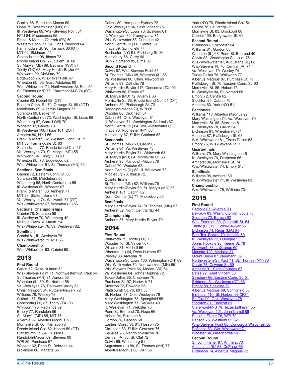Ill. Wesleyan 69, Wis.-Stevens Point 61 NYU 84, Misericordia 65 Frank. & Marsh. 72, York (PA) 50 Western Conn. St. 94, Chris. Newport 84 Farmingdale St. 98, Hartwick 88 (OT) MIT 62, Skidmore 55 Staten Island 98, Ithaca 73 Rhode Island Col. 77, Salem St. 60 St. Mary's (MD) 69, Bethany (WV) 57 Trinity (TX) 68, Mary Hardin-Baylor 66 Whitworth 90, McMurry 79 Edgewood 75, Wis.-River Falls 67 Wheaton (IL) 68, Gust. Adolphus 60 Wis.-Whitewater 71, Northwestern-St. Paul 59 St. Thomas (MN) 76, Claremont-M-S 74 (OT). **Second Round** Cabrini 90, Hobart 88 (OT) Eastern Conn. St. 70, Oswego St. 69 (2OT) Middlebury 89, Albertus Magnus 73 Scranton 69, Becker 41 North Central (IL) 72, Washington-St. Louis 68 Wittenberg 87, Carroll (WI) 70 Wooster 92, Capital 79 Ill. Wesleyan 108, Hope 101 (2OT) Amherst 80, NYU 56 Frank. & Marsh. 82, Western Conn. St. 72 MIT 83, Farmingdale St. 63 Staten Island 77, Rhode Island Col. 67 Va. Wesleyan 70, St. Mary's (MD) 55 Whitworth 64, Trinity (TX) 53 Wheaton (IL) 73, Edgewood 62

Capital 68, Randolph-Macon 60 Hope 79, Westminster (MO) 65

Wis.-Whitewater 91, St. Thomas (MN) 62.

#### **Sectional Semifinals**

Cabrini 72, Eastern Conn. St. 65 Scranton 58, Middlebury 55 Wittenberg 58, North Central (IL) 55 Ill. Wesleyan 69, Wooster 67 Frank. & Marsh. 80, Amherst 71 MIT 83, Staten Island 67 Va. Wesleyan 74, Whitworth 71 (OT) Wis.-Whitewater 67, Wheaton (IL) 56.

#### **Sectional Championships**

Cabrini 78, Scranton 58 Ill. Wesleyan 70, Wittenberg 49 MIT 69, Frank. & Marsh. 54 Wis.-Whitewater 76, Va. Wesleyan 62. **Semifinals**

Cabrini 81, Ill. Wesleyan 78 Wis.-Whitewater 71, MIT 56.

**Championship** Wis.-Whitewater 63, Cabrini 60.

## 2013

**First Round** Calvin 72, Rose-Hulman 52 Wis.-Stevens Point 71, Northwestern-St. Paul 54 St. Thomas (MN) 91, Aurora 62 Wheaton (IL) 59, St. Norbert 58 Va. Wesleyan 76, Delaware Valley 61 Chris. Newport 84, Rutgers-Newark 72 Williams 79, Wesley 78 Catholic 67, Staten Island 61 Concordia (TX) 87, Trinity (TX) 83 Whitworth 75, Redlands 69 Emory 77, Randolph 56 St. Mary's (MD) 85, MIT 76 Alvernia 97, Albertus Magnus 78 Morrisville St. 86, Ramapo 78 Rhode Island Col. 62, Hobart 59 (OT) Plattsburgh St. 84, Husson 63 Randolph-Macon 69, Stevens 60 WPI 80, Purchase 67 Wooster 62, Penn St.-Behrend 44 Dickinson 80, Marietta 65

Cabrini 80, Hampden-Sydney 78 Ohio Wesleyan 84, Saint Vincent 75 Washington-St. Louis 70, Spalding 61 Ill. Wesleyan 80, Transylvania 71 Wis.-Whitewater 58, Dubuque 42 North Central (IL) 66, Centre 50 Ithaca 89, Springfield 77 Rochester (NY) 91, Fitchburg St. 86 Middlebury 68, Curry 66 SUNY Cortland 85, Elms 59.

#### **Second Round**

Calvin 67, Wis.-Stevens Point 58 St. Thomas (MN) 68, Wheaton (IL) 58 Va. Wesleyan 80, Chris. Newport 69 Williams 89, Catholic 78 Mary Hardin-Baylor 117, Concordia (TX) 92 Whitworth 86, Emory 67 St. Mary's (MD) 72, Alvernia 66 Morrisville St. 66, Rhode Island Col. 61 (OT) Amherst 89, Plattsburgh St. 72 Randolph-Macon 79, WPI 68 Wooster 80, Dickinson 54 Cabrini 84, Ohio Wesleyan 81 Ill. Wesleyan 71, Washington-St. Louis 67 North Central (IL) 64, Wis.-Whitewater 60 Ithaca 70, Rochester (NY) 68 Middlebury 67, SUNY Cortland 63.

#### **Sectionals**

St. Thomas (MN) 63, Calvin 62 Williams 84, Va. Wesleyan 75 Mary Hardin-Baylor 71, Whitworth 63 St. Mary's (MD) 84, Morrisville St. 66 Amherst 93, Randolph-Macon 76 Cabrini 70, Wooster 63 North Central (IL) 83, Ill. Wesleyan 73 Middlebury 73, Ithaca 72.

#### **Quarterfinals**

St. Thomas (MN) 82, Williams 79 Mary Hardin-Baylor 69, St. Mary's (MD) 66 Amherst 101, Cabrini 82 North Central (IL) 77, Middlebury 65.

#### **Semifinals**

Mary Hardin-Baylor 74, St. Thomas (MN) 67 Amherst 52, North Central (IL) 44.

**Championship** Amherst 87, Mary Hardin-Baylor 70.

## 2014

**First Round** Whitworth 75, Trinity (TX) 73 Wooster 76, St. Vincent 67 Williams 81, Mitchell 66 Wheaton (IL) 64, Rose-Hulman 57 Wesley 83, Alvernia 78 Washington-St. Louis 100, Wilmington (OH) 69 Wis.-Whitewater 79, Northwestern (MN) 55 Wis.-Stevens Point 66, Marian (WI) 64 Va. Wesleyan 84, Johns Hopkins 72 Texas-Dallas 85, Chapman 70 Purchase St. 97, Hartwick 71 Stockton 72, Bowdoin 66 Plattsburgh St. 76, MIT 53 St. Norbert 87, Ohio Wesleyan 79 Mary Washington 78, Springfield 58 Mary Washington 77, DeSales 49 Ill. Wesleyan 71, Webster 70 Penn St. Behrend 70, Hope 66 Hobart 94, Scranton 81 Gordon 76, Babson 68 Eastern Conn. St. 81, Husson 75 Dickinson 83, SUNY Geneseo 76 DeSales 76, Randolph-Macon 70 Central (IA) 85, St. Olaf 72 Calvin 66, Wittenberg 51 Augustana (IL) 88, St. Thomas (MN) 77 Albertus Magnus 68, WPI 66

York (NY) 79, Rhode Island Col. 54 Centre 78, LaGrange 71 Morrisville St. 83, Brockport 80 Cabrini 100, Bridgewater St. 69. **Second Round** Dickinson 67, Wooster 64 Williams 81, Gordon 63 Wheaton (IL) 68, Penn St. Behrend 40 Calvin 83, Washington-St. Louis 75 Wis.-Whitewater 87, Augustana (IL) 68 Wis.-Stevens Pt. 76, Central (IA) 71 Va. Wesleyan 79, Wesley 74 Texas-Dallas 78, Whitworth 77 Albertus Magnus 87, Purchase St. 79 Plattsburgh St. 70, Eastern Conn. St. 60 Morrisville St. 86, Hobart 75 Ill. Wesleyan 84, St. Norbert 68 Emory 72, Centre 62 Stockton 85, Cabrini 76 Amherst 63, York (NY) 51.

#### **Sectionals**

Williams 110, Albertus Magnus 92 Mary Washington 74, Va. Wesleyan 70 Morrisville St. 88, Stockton 81 Ill. Wesleyan 78, Calvin 64 Dickinson 81, Wheaton (IL) 71 Amherst 87, Plattsburgh St. 63 Wis.-Whitewater 81, Texas-Dallas 63 Emory 76, Wis.-Stevens Pt. 73.

#### **Quarterfinals**

Williams 79, Mary Washington 46 Ill. Wesleyan 79, Dickinson 66 Amherst 84, Morrisville St. 74 Wis.-Whitewater 74, Emory 51.

## **Semifinals**

Williams 98, Amherst 69 Wis.-Whitewater 71, Ill. Wesleyan 63.

**Championship** Wis.-Whitewater 75, Williams 73.

## 2015

#### **First Round**

[Catholic 87, Alvernia 80](http://stats.ncaa.org/game/index/3877693?org_id=124) [DePauw 83, Washington-St. Louis 73](http://stats.ncaa.org/game/index/3805305?org_id=755) [Scranton 72, Baruch 62](http://stats.ncaa.org/game/index/3812691?org_id=633) [Wm. Paterson 80, Cobleskill St. 54](http://stats.ncaa.org/game/index/3806241?org_id=787) [Trinity \(CT\) 60, Colby-Sawyer 55](http://stats.ncaa.org/game/index/3877803?org_id=713) [Dickinson 74, Regis \(MA\) 64](http://stats.ncaa.org/game/index/3808410?org_id=185) [East Tex. Baptist 79, Hendrix 59](http://stats.ncaa.org/game/index/3806282?org_id=1124) III. Wesleyan 72, Dubuque 53 [Johns Hopkins 95, Keene St. 78](http://stats.ncaa.org/game/index/3806202?org_id=322) [Whitworth 88, LaGrange 60](http://stats.ncaa.org/game/index/3805974?org_id=1454) [Marietta 120, Medaille 81](http://stats.ncaa.org/game/index/3808425?org_id=385) [Mount Union 87, Neumann 59](http://stats.ncaa.org/game/index/3877770?org_id=452) [Northwestern-St. Paul 71, St. Thomas \(MN\) 70](http://stats.ncaa.org/game/index/3806104?org_id=30031) [Calvin 78, Oswego St. 69](http://stats.ncaa.org/game/index/3805950?org_id=114) [Amherst 91, Sage Colleges 67](http://stats.ncaa.org/game/index/3806028?org_id=11036) [Bates 92, Saint Vincent 80](http://stats.ncaa.org/game/index/3806009?org_id=30064) [Salisbury 66, Eastern Conn. St. 54](http://stats.ncaa.org/game/index/3805957?org_id=622) [Skidmore 81, Wesleyan \(CT\) 66](http://stats.ncaa.org/game/index/3805977?org_id=642) [Emory 88, Spalding 59](http://stats.ncaa.org/game/index/3811081?org_id=217) [Albertus Magnus 68, Springfield 58](http://stats.ncaa.org/game/index/3805980?org_id=673) [Elmhurst 110, St. Norbert 98 \(3OT\)](http://stats.ncaa.org/game/index/3806399?org_id=614) <u>[St. Olaf 90, Ohio Wesleyan 78](http://stats.ncaa.org/game/index/3806170?org_id=520)</u> [Stockton 81, Endicott 61](http://stats.ncaa.org/game/index/3806234?org_id=681) [Claremont-M-S 79, Texas Lutheran 55](http://stats.ncaa.org/game/index/3806098?org_id=1400) [Va. Wesleyan 101, John Carroll 86](http://stats.ncaa.org/game/index/3808413?org_id=745) [St. John Fisher 76, WPI 70](http://stats.ncaa.org/game/index/3877798?org_id=601) [Babson 75, Westfield St. 62](http://stats.ncaa.org/game/index/3806237?org_id=45) [Wis.-Stevens Point 88, Concordia Wisconsin 56](http://stats.ncaa.org/game/index/3806312?org_id=802) [Defiance 83, Wis.-Whitewater 71](http://stats.ncaa.org/game/index/3806341?org_id=805) [Wooster 84, Misericordia 59](http://stats.ncaa.org/game/index/3806042?org_id=807) **Second Round** [St. John Fisher 87, Amherst 70](http://stats.ncaa.org/game/index/3807934?org_id=601)

[Augustana \(IL\) 68, DePauw 66](http://stats.ncaa.org/game/index/3808428?org_id=40) [Dickinson 74, Albertus Magnus 72](http://stats.ncaa.org/game/index/3807977?org_id=185)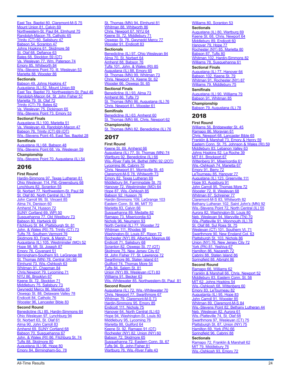[East Tex. Baptist 80, Claremont-M-S 75](http://stats.ncaa.org/game/index/3807799?org_id=142) [Mount Union 81, Calvin 69](http://stats.ncaa.org/game/index/3808432?org_id=452) [Northwestern-St. Paul 84, Elmhurst 75](http://stats.ncaa.org/game/index/3808151?org_id=212) [Randolph-Macon 78, Catholic 65](http://stats.ncaa.org/game/index/3807688?org_id=565) [Trinity \(CT\) 60, Salisbury 47](http://stats.ncaa.org/game/index/3807956?org_id=713) [Babson 54, Scranton 47](http://stats.ncaa.org/game/index/3810105?org_id=633) [Johns Hopkins 61, Skidmore 58](http://stats.ncaa.org/game/index/3807935?org_id=322) <u>[St. Olaf 68, Defiance 63](http://stats.ncaa.org/game/index/3808382?org_id=615)</u> [Bates 68, Stockton 59 \(OT\)](http://stats.ncaa.org/game/index/3807999?org_id=681) [Va. Wesleyan 77, Wm. Paterson 74](http://stats.ncaa.org/game/index/3808153?org_id=787) [Emory 85, Whitworth 84](http://stats.ncaa.org/game/index/3808132?org_id=217) [Wis.-Stevens Point 70, Ill. Wesleyan 53](http://stats.ncaa.org/game/index/3808053?org_id=802) [Marietta 88, Wooster 86](http://stats.ncaa.org/game/index/3807969?org_id=385)

#### **Sectionals**

[Babson 49, Johns Hopkins 47](http://stats.ncaa.org/game/index/3817116?org_id=322) [Augustana \(IL\) 82, Mount Union 69](http://stats.ncaa.org/game/index/3815024?org_id=40) [East Tex. Baptist 70, Northwestern-St. Paul 46](http://stats.ncaa.org/game/index/3818050?org_id=1062) [Randolph-Macon 64, St. John Fisher 57](http://stats.ncaa.org/game/index/3814947?org_id=565) [Marietta 79, St. Olaf 72](http://stats.ncaa.org/game/index/3817275?org_id=385) [Trinity \(CT\) 79, Bates 62](http://stats.ncaa.org/game/index/3817118?org_id=713) [Va. Wesleyan 75, Dickinson 65](http://stats.ncaa.org/game/index/3815003?org_id=745) [Wis.-Stevens Point 73, Emory 53](http://stats.ncaa.org/game/index/3815057?org_id=802)

#### **Sectional Finals**

[Augustana \(IL\) 100, Marietta 51](http://stats.ncaa.org/game/index/3817119?org_id=40) [Va. Wesleyan 49, Randolph-Macon 47](http://stats.ncaa.org/game/index/3816050?org_id=565) [Babson 76, Trinity \(CT\) 69](http://stats.ncaa.org/game/index/3817120?org_id=713) (OT) [Wis.-Stevens Point 45, East Tex. Baptist 28](http://stats.ncaa.org/game/index/3816181?org_id=802)

**Semifinals** [Augustana \(IL\) 68, Babson 48](http://stats.ncaa.org/game/index/3822334?org_id=40) [Wis.-Stevens Point 68, Va. Wesleyan 59](http://stats.ncaa.org/game/index/3822406?org_id=745) **Championship** [Wis.-Stevens Point 70, Augustana \(IL\) 54](http://stats.ncaa.org/game/index/3823296?org_id=40)

## 2016

**First Round**

Hardin-Simmons 97, Texas Lutheran 81 Ohio Wesleyan 114, Pitt.-Greensburg 68<br>Lynchburg 82, Scranton 55 Lynchburg 82, Scranton 55 St. Norbert 77, Northwestern-St. Paul 58 St. Olaf 80, North Central (IL) 78 John Carroll 99, St. Vincent 85 Alma 74, Denison 60 Amherst 74, Husson 72 SUNY Cortland 69, WPI 50 Susquehanna 77, Old Westbury 73 Babson 80, Hartwick 69 Fitchburg St. 84, Plattsburgh St. 81 John. & Wales (RI) 75, Trinity (CT) 73 Tufts 78, Southern Vermont 76 <u>Skidmore 83, Frank. & Marsh. 72</u> Augustana (IL) 105, Westminster (MO) 52 Hope 98, Mt. St. Joseph 87 Emory 76, Covenant 51 Birmingham-Southern 93, LaGrange 88 St. Thomas (MN) 78, Central (IA) 66 Elmhurst 73, Wis.-Oshkosh 63 Whitman 91, Chapman 84 Chris.Newport 79, Lycoming 71 NYU 86, Brooklyn 67 Keene St. 72, Stockton 71 Middlebury 75, Salisbury 73 Gwynedd Mercy 86, Marietta 85 Oswego St. 88, Delaware Valley 78 Endicott 84, Catholic 76 Wooster 96, Lancaster Bible 83 **Second Round**

Benedictine (IL) 85, Hardin-Simmons 64 Ohio Wesleyan 97, Lynchburg 94 St. Norbert 63, St. Olaf 61 Alma 90, John Carroll 83 Amherst 69, SUNY Cortland 68 Babson 70, Susquehanna 67 John. & Wales (RI) 86, Fitchburg St. 74 Tufts 88, Skidmore 80 Augustana (IL) 96, Hope 80 Emory 84, Birmingham-So. 78

<u>St. Thomas (MN) 94, Elmhurst 81</u> Whitman 88, Whitworth 86 Chris. Newport 67, NYU 64 Keene St. 72, Middlebury 71 Oswego St. 78, Gwynedd Mercy 77 Wooster 91, Endicott 83

#### **Sectionals**

Benedictine (IL) 97, Ohio Wesleyan 84 Alma 70, St. Norbert 64 Amherst 88, Babson 76 Tufts 101, John. & Wales (RI) 85 Augustana (IL) 88, Emory 65 St. Thomas (MN) 99, Whitman 73 Chris. Newport 74, Keene St. 62 Wooster 66, Oswego St. 65

**Sectional Finals** Benedictine (IL) 93, Alma 73 Amherst 86, Tufts 73 St. Thomas (MN) 86, Augustana (IL) 76 Chris. Newport 81, Wooster 61

#### **Semifinals**

Benedictine (IL) 63, Amherst 60 St. Thomas (MN) 66, Chris. Newport 62 **Championship** St. Thomas (MN) 82, Benedictine (IL) 76

## 2017

#### **First Round**

[Keene St. 69, Amherst 66](http://stats.ncaa.org/game/index/4305181?org_id=330) [Augustana \(IL\) 77, St. Thomas \(MN\) 74](http://stats.ncaa.org/game/index/4307108?org_id=620) [Wartburg 92, Benedictine \(IL\) 66](http://stats.ncaa.org/game/index/4305251?org_id=750) [Wis.-River Falls 94, Bethel \(MN\) 92 \(2OT\)](http://stats.ncaa.org/game/index/4305581?org_id=801) [Lycoming 86, Cabrini 70](http://stats.ncaa.org/game/index/4305126?org_id=373) [Chris. Newport 81, Morrisville St. 45](http://stats.ncaa.org/game/index/4307171?org_id=139) [Claremont-M-S 78, Whitworth 73](http://stats.ncaa.org/game/index/4305599?org_id=142) [Emory 82, Texas Lutheran 69](http://stats.ncaa.org/game/index/4305759?org_id=217) [Middlebury 84, Farmingdale St. 75](http://stats.ncaa.org/game/index/4305340?org_id=420) [Hanover 72, Westminster \(MO\) 64](http://stats.ncaa.org/game/index/4305707?org_id=1115) [Hope 87, Wis.-Oshkosh 85](http://stats.ncaa.org/game/index/4305361?org_id=286) [Babson 92, Husson 76](http://stats.ncaa.org/game/index/4305330?org_id=45) [Hardin-Simmons 109, LaGrange 103](http://stats.ncaa.org/game/index/4305539?org_id=271) [Eastern Conn. St. 86, MIT 70](http://stats.ncaa.org/game/index/4305371?org_id=398) [Marietta 83, Calvin 66](http://stats.ncaa.org/game/index/4305389?org_id=385) [Susquehanna 89, Medaille 82](http://stats.ncaa.org/game/index/4305363?org_id=685) [Ramapo 73, Misericordia 63](http://stats.ncaa.org/game/index/4306541?org_id=564) [Nichols 96, Neumann 93](http://stats.ncaa.org/game/index/4305655?org_id=1254) [North Central \(IL\) 77, Wooster 72](http://stats.ncaa.org/game/index/4305161?org_id=492) [Whitman 111, Rhodes 98](http://stats.ncaa.org/game/index/4305727?org_id=780) [Washington-St. Louis 87, Ripon 72](http://stats.ncaa.org/game/index/4305123?org_id=577) [Rochester \(NY\) 89, Albertus Magnus 66](http://stats.ncaa.org/game/index/4305343?org_id=2798) [Endicott 71, Salisbury 68](http://stats.ncaa.org/game/index/4305153?org_id=8981) [Scranton 82, Oswego St. 77 \(OT\)](http://stats.ncaa.org/game/index/4305153?org_id=8981) [Skidmore 75, New Jersey City 67](http://stats.ncaa.org/game/index/4305291?org_id=319) [St. John Fisher 77, St. Lawrence 72](http://stats.ncaa.org/game/index/4305394?org_id=601) [Swarthmore 86, Staten Island 61](http://stats.ncaa.org/game/index/4305404?org_id=686) [Guilford 74, Thomas More 54](http://stats.ncaa.org/game/index/4307604?org_id=1112) [Tufts 84, Salem St. 81](http://stats.ncaa.org/game/index/4305706?org_id=621) [Union \(NY\) 89, Wesleyan \(CT\) 83](http://stats.ncaa.org/game/index/4305147?org_id=764) [Williams 91, Becker 63](http://stats.ncaa.org/game/index/4305726?org_id=26107) [Wis.-Whitewater 85, Northwestern-St. Paul 81](http://stats.ncaa.org/game/index/4305552?org_id=805) **Second Round** [Augustana \(IL\) 72, Wis.-Whitewater 70](http://stats.ncaa.org/game/index/4307099?org_id=805) [Chris. Newport 77, Swarthmore 67](http://stats.ncaa.org/game/index/4306930?org_id=686) [Whitman 79, Claremont-M-S 73](http://stats.ncaa.org/game/index/4307458?org_id=780) [Hardin-Simmons 95, Emory 85](http://stats.ncaa.org/game/index/4307137?org_id=271) [Endicott 111, Nichols 75](http://stats.ncaa.org/game/index/4307025?org_id=8981) <u>[Hanover 64, North Central \(IL\) 63](http://stats.ncaa.org/game/index/4306952?org_id=492)</u> [Hope 94, Washington-St. Louis 80](http://stats.ncaa.org/game/index/4307779?org_id=286) [Middlebury 95, Lycoming 76](http://stats.ncaa.org/game/index/4306931?org_id=420) [Marietta 88, Guilford 64](http://stats.ncaa.org/game/index/4306928?org_id=385) [Keene St. 92, Ramapo 91 \(OT\)](http://stats.ncaa.org/game/index/4307034?org_id=564) [Rochester \(NY\) 82, Union \(NY\) 60](http://stats.ncaa.org/game/index/4307648?org_id=581) [Babson 72, Skidmore 65](http://stats.ncaa.org/game/index/4306976?org_id=45) [Susquehanna 72, Eastern Conn. St. 67](http://stats.ncaa.org/game/index/4306971?org_id=685) [Tufts 94, St. John Fisher 81](http://stats.ncaa.org/game/index/4307032?org_id=601) [Wartburg 76, Wis.-River Falls 43](http://stats.ncaa.org/game/index/4307085?org_id=801)

#### [Williams 80, Scranton 53](http://stats.ncaa.org/game/index/4307645?org_id=633)

**Sectionals** [Augustana \(IL\) 80, Wartburg 69](http://stats.ncaa.org/game/index/4314129?org_id=40) [Keene St. 68, Chris. Newport 64](http://stats.ncaa.org/game/index/4314102?org_id=330) [Middlebury 89, Endicott 60](http://stats.ncaa.org/game/index/4314305?org_id=420) [Hanover 79, Hope 77](http://stats.ncaa.org/game/index/4314360?org_id=286) [Rochester \(NY\) 85, Marietta 80](http://stats.ncaa.org/game/index/4314370?org_id=385) [Babson 87, Tufts 80](http://stats.ncaa.org/game/index/4314387?org_id=45) [Whitman 102, Hardin-Simmons 82](http://stats.ncaa.org/game/index/4314103?org_id=271) [Williams 78, Susquehanna 61](http://stats.ncaa.org/game/index/4314185?org_id=789)

**Sectional Finals** [Augustana \(IL\) 77, Hanover 64](http://stats.ncaa.org/game/index/4316136?org_id=40) [Babson 102, Keene St. 79](http://stats.ncaa.org/game/index/4315823?org_id=45) [Whitman 91, Rochester \(NY\) 87](http://stats.ncaa.org/game/index/4316209?org_id=581) [Williams 79, Middlebury 75](http://stats.ncaa.org/game/index/4315788?org_id=420)

**Semifinals** [Augustana \(IL\) 90, Williams 79](http://stats.ncaa.org/game/index/4322028?org_id=789) [Babson 91, Whitman 85](http://stats.ncaa.org/game/index/4321803?org_id=780) **Championship** [Babson 79, Augustana \(IL\) 78](http://stats.ncaa.org/game/index/4323476?org_id=45)

## 2018

**First Round** [Williams 56, Bridgewater St. 45](https://stats.ncaa.org/contests/25747/box_score) [Ramapo 86, Moravian 61](https://stats.ncaa.org/contests/25773/box_score) [Chris. Newport 68, Lancaster Bible 65](https://stats.ncaa.org/contests/25748/box_score) [Franklin & Marshall 73, Emory & Henry 59](https://stats.ncaa.org/contests/25802/box_score) [Eastern Conn. St. 75, Johnson & Wales \(RI\) 59](https://stats.ncaa.org/contests/25749/box_score) [Middlebury 83, Lebanon Valley 63](https://stats.ncaa.org/contests/25825/box_score) [Johns Hopkins 52, La Roche 39](https://stats.ncaa.org/contests/25750/box_score) [MIT 81, Brockport 67](https://stats.ncaa.org/contests/25767/box_score) [Wittenberg 91, Misericordia 61](https://stats.ncaa.org/contests/25751/box_score) [Wis.-Oshkosh 74, Marietta 67](https://stats.ncaa.org/contests/25816/box_score) [Emory 91, Berry 72](https://stats.ncaa.org/contests/25752/box_score) [LeTourneau 85, Hanover 77](https://stats.ncaa.org/contests/25766/box_score) [Augustana \(IL\) 123, Greenville 111](https://stats.ncaa.org/contests/25753/box_score) [Hope 93, Augsburg 91](https://stats.ncaa.org/contests/25807/box_score) [John Carroll 95, Thomas More 72](https://stats.ncaa.org/contests/25754/box_score) [Wooster 72, Ill. Wesleyan 68](https://stats.ncaa.org/contests/25778/box_score) [Whitman 87, Schreiner 77](https://stats.ncaa.org/contests/25758/box_score) [Claremont-M-S 83, Whitworth 82](https://stats.ncaa.org/contests/25813/box_score) [Bethany Lutheran 102, Saint John's \(MN\) 92](https://stats.ncaa.org/contests/25759/box_score) [Wis.-Stevens Point 72, North Central \(IL\) 55](https://stats.ncaa.org/contests/25812/box_score) [Aurora 82, Washington-St. Louis 80](https://stats.ncaa.org/contests/25760/box_score) [Neb. Wesleyan 94, Maryville \(TN\) 70](https://stats.ncaa.org/contests/25817/box_score) [Wis.-Platteville 91, Monmouth \(IL\) 76](https://stats.ncaa.org/contests/25761/box_score) <u>[St. Olaf 88, Sul Ross St. 75](https://stats.ncaa.org/contests/25830/box_score)</u> [Wesleyan \(CT\) 101, Southern Vt. 71](https://stats.ncaa.org/contests/25755/box_score) [Swarthmore 90, New England Col. 63](https://stats.ncaa.org/contests/25829/box_score) [Plattsburgh St. 103, Nichols 86](https://stats.ncaa.org/contests/25756/box_score) [Union \(NY\) 76, New Jersey City 72](https://stats.ncaa.org/contests/25805/box_score) [York \(PA\) 81, Yeshiva 67](https://stats.ncaa.org/contests/25826/box_score) [Hamilton 86, Nazareth 72](https://stats.ncaa.org/contests/25831/box_score) [Cabrini 88, Staten Island 86](https://stats.ncaa.org/contests/25757/box_score) [Springfield 88, Albright 86](https://stats.ncaa.org/contests/25800/box_score)

#### **Second Round**

[Ramapo 66, Williams 62](https://stats.ncaa.org/contests/25924/box_score) [Franklin & Marshall 66, Chris. Newport 52](https://stats.ncaa.org/contests/25925/box_score) [Middlebury 83, Eastern Conn. St. 58](https://stats.ncaa.org/contests/25927/box_score) <u>[MIT 62, Johns Hopkins 54](https://stats.ncaa.org/contests/25928/box_score)</u> [Wis.-Oshkosh 68, Wittenberg 60](https://stats.ncaa.org/contests/25930/box_score) [Emory 83, LeTourneau 82](https://stats.ncaa.org/contests/25931/box_score) [Augustanta \(IL\) 95, Hope 83](https://stats.ncaa.org/contests/25934/box_score) [John Carroll 91, Wooster 85](https://stats.ncaa.org/contests/25935/box_score) [Whitman 89, Claremont-M-S 84](https://stats.ncaa.org/contests/25926/box_score) [Wis.-Stevens Point 82, Bethany Lutheran 44](https://stats.ncaa.org/contests/25974/box_score) [Neb. Wesleyan 82, Aurora 61](https://stats.ncaa.org/contests/25976/box_score) <u>[Wis.-Platteville 74, St. Olaf 68](https://stats.ncaa.org/contests/25929/box_score)</u> [Swarthmore 97, Wesleyan \(CT\) 75](https://stats.ncaa.org/contests/25932/box_score) [Plattsburgh St. 87, Union \(NY\) 75](https://stats.ncaa.org/contests/25933/box_score) [Hamilton 69, York \(PA\) 66](https://stats.ncaa.org/contests/25936/box_score) [Springfield 96, Cabrini 88](https://stats.ncaa.org/contests/25937/box_score)

#### **Sectionals**

[Ramapo 72, Franklin & Marshall 62](https://stats.ncaa.org/contests/26168/box_score) [MIT 79, Middlebury 76](https://stats.ncaa.org/contests/26203/box_score) [Wis.-Oshkosh 93, Emory 72](https://stats.ncaa.org/contests/26211/box_score)